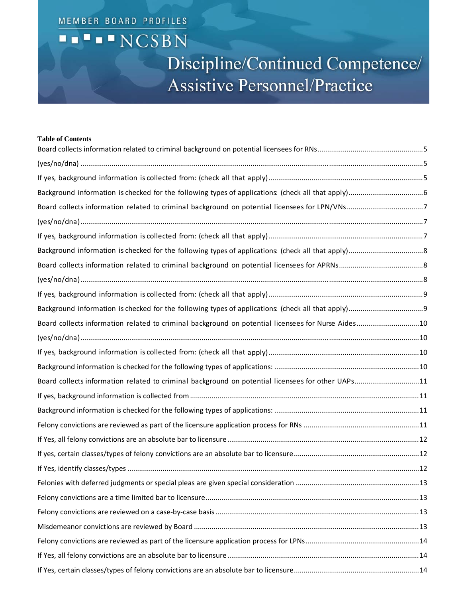## MEMBER BOARD PROFILES **THENCSBN** Discipline/Continued Competence/ **Assistive Personnel/Practice**

| <b>Table of Contents</b>                                                                           |  |
|----------------------------------------------------------------------------------------------------|--|
|                                                                                                    |  |
|                                                                                                    |  |
|                                                                                                    |  |
|                                                                                                    |  |
|                                                                                                    |  |
|                                                                                                    |  |
|                                                                                                    |  |
|                                                                                                    |  |
|                                                                                                    |  |
|                                                                                                    |  |
|                                                                                                    |  |
| Board collects information related to criminal background on potential licensees for Nurse Aides10 |  |
|                                                                                                    |  |
|                                                                                                    |  |
|                                                                                                    |  |
| Board collects information related to criminal background on potential licensees for other UAPs11  |  |
|                                                                                                    |  |
|                                                                                                    |  |
|                                                                                                    |  |
|                                                                                                    |  |
|                                                                                                    |  |
|                                                                                                    |  |
|                                                                                                    |  |
|                                                                                                    |  |
|                                                                                                    |  |
|                                                                                                    |  |
|                                                                                                    |  |
|                                                                                                    |  |
|                                                                                                    |  |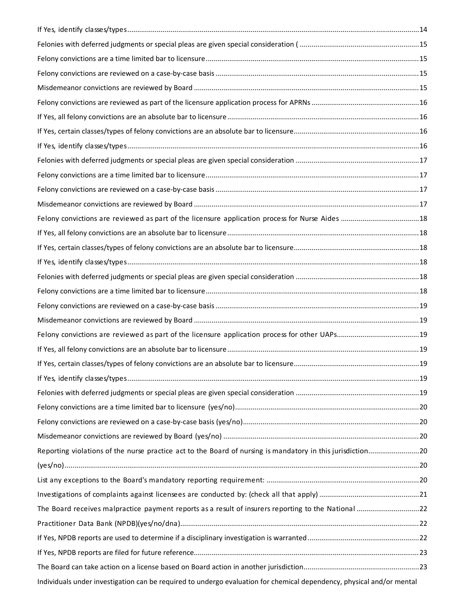| Reporting violations of the nurse practice act to the Board of nursing is mandatory in this jurisdiction              |  |
|-----------------------------------------------------------------------------------------------------------------------|--|
|                                                                                                                       |  |
|                                                                                                                       |  |
|                                                                                                                       |  |
| The Board receives malpractice payment reports as a result of insurers reporting to the National 22                   |  |
|                                                                                                                       |  |
|                                                                                                                       |  |
|                                                                                                                       |  |
|                                                                                                                       |  |
| Individuals under investigation can be required to undergo evaluation for chemical dependency, physical and/or mental |  |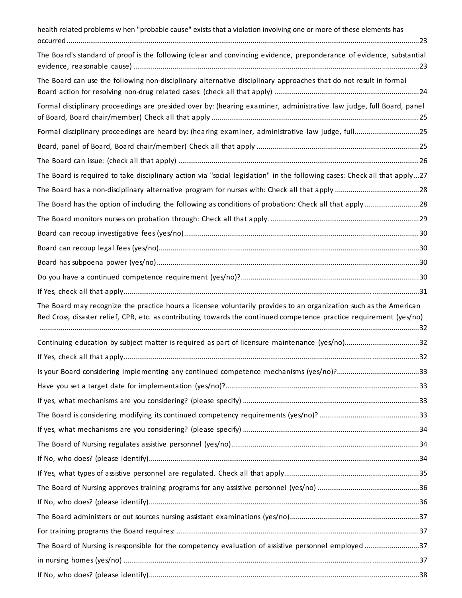| health related problems w hen "probable cause" exists that a violation involving one or more of these elements has                                                                                                                         |  |
|--------------------------------------------------------------------------------------------------------------------------------------------------------------------------------------------------------------------------------------------|--|
| The Board's standard of proof is the following (clear and convincing evidence, preponderance of evidence, substantial                                                                                                                      |  |
| The Board can use the following non-disciplinary alternative disciplinary approaches that do not result in formal                                                                                                                          |  |
| Formal disciplinary proceedings are presided over by: (hearing examiner, administrative law judge, full Board, panel                                                                                                                       |  |
| Formal disciplinary proceedings are heard by: (hearing examiner, administrative law judge, full25                                                                                                                                          |  |
|                                                                                                                                                                                                                                            |  |
|                                                                                                                                                                                                                                            |  |
| The Board is required to take disciplinary action via "social legislation" in the following cases: Check all that apply27                                                                                                                  |  |
|                                                                                                                                                                                                                                            |  |
| The Board has the option of including the following as conditions of probation: Check all that apply28                                                                                                                                     |  |
|                                                                                                                                                                                                                                            |  |
|                                                                                                                                                                                                                                            |  |
|                                                                                                                                                                                                                                            |  |
|                                                                                                                                                                                                                                            |  |
|                                                                                                                                                                                                                                            |  |
|                                                                                                                                                                                                                                            |  |
| The Board may recognize the practice hours a licensee voluntarily provides to an organization such as the American<br>Red Cross, disaster relief, CPR, etc. as contributing towards the continued competence practice requirement (yes/no) |  |
| Continuing education by subject matter is required as part of licensure maintenance (yes/no)32                                                                                                                                             |  |
|                                                                                                                                                                                                                                            |  |
| Is your Board considering implementing any continued competence mechanisms (yes/no)?33                                                                                                                                                     |  |
|                                                                                                                                                                                                                                            |  |
|                                                                                                                                                                                                                                            |  |
|                                                                                                                                                                                                                                            |  |
|                                                                                                                                                                                                                                            |  |
|                                                                                                                                                                                                                                            |  |
|                                                                                                                                                                                                                                            |  |
|                                                                                                                                                                                                                                            |  |
|                                                                                                                                                                                                                                            |  |
|                                                                                                                                                                                                                                            |  |
|                                                                                                                                                                                                                                            |  |
|                                                                                                                                                                                                                                            |  |
|                                                                                                                                                                                                                                            |  |
| The Board of Nursing is responsible for the competency evaluation of assistive personnel employed37                                                                                                                                        |  |
|                                                                                                                                                                                                                                            |  |
|                                                                                                                                                                                                                                            |  |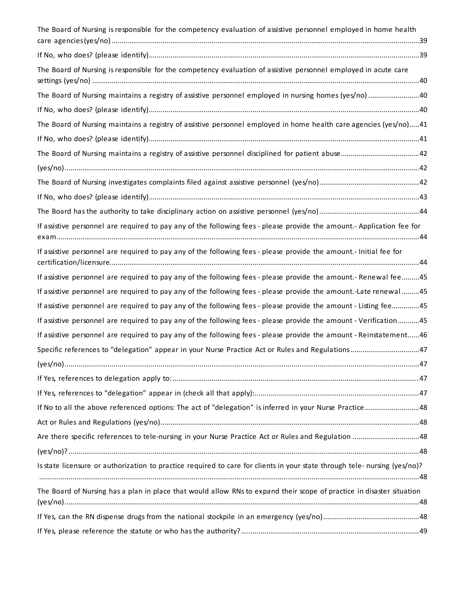| Are there specific references to tele-nursing in your Nurse Practice Act or Rules and Regulation 48<br>Is state licensure or authorization to practice required to care for clients in your state through tele-nursing (yes/no)?<br>The Board of Nursing has a plan in place that would allow RNs to expand their scope of practice in disaster situation |
|-----------------------------------------------------------------------------------------------------------------------------------------------------------------------------------------------------------------------------------------------------------------------------------------------------------------------------------------------------------|
|                                                                                                                                                                                                                                                                                                                                                           |
|                                                                                                                                                                                                                                                                                                                                                           |
|                                                                                                                                                                                                                                                                                                                                                           |
|                                                                                                                                                                                                                                                                                                                                                           |
|                                                                                                                                                                                                                                                                                                                                                           |
|                                                                                                                                                                                                                                                                                                                                                           |
| If No to all the above referenced options: The act of "delegation" is inferred in your Nurse Practice48                                                                                                                                                                                                                                                   |
|                                                                                                                                                                                                                                                                                                                                                           |
|                                                                                                                                                                                                                                                                                                                                                           |
|                                                                                                                                                                                                                                                                                                                                                           |
|                                                                                                                                                                                                                                                                                                                                                           |
| If assistive personnel are required to pay any of the following fees - please provide the amount - Reinstatement46                                                                                                                                                                                                                                        |
| If assistive personnel are required to pay any of the following fees - please provide the amount - Verification45                                                                                                                                                                                                                                         |
| If assistive personnel are required to pay any of the following fees - please provide the amount - Listing fee45                                                                                                                                                                                                                                          |
| If assistive personnel are required to pay any of the following fees - please provide the amount.-Late renewal45                                                                                                                                                                                                                                          |
| If assistive personnel are required to pay any of the following fees - please provide the amount.- Renewal fee45                                                                                                                                                                                                                                          |
|                                                                                                                                                                                                                                                                                                                                                           |
| If assistive personnel are required to pay any of the following fees - please provide the amount.- Application fee for                                                                                                                                                                                                                                    |
|                                                                                                                                                                                                                                                                                                                                                           |
|                                                                                                                                                                                                                                                                                                                                                           |
|                                                                                                                                                                                                                                                                                                                                                           |
|                                                                                                                                                                                                                                                                                                                                                           |
|                                                                                                                                                                                                                                                                                                                                                           |
|                                                                                                                                                                                                                                                                                                                                                           |
| The Board of Nursing maintains a registry of assistive personnel employed in home health care agencies (yes/no)41                                                                                                                                                                                                                                         |
|                                                                                                                                                                                                                                                                                                                                                           |
| The Board of Nursing maintains a registry of assistive personnel employed in nursing homes (yes/no) 40                                                                                                                                                                                                                                                    |
|                                                                                                                                                                                                                                                                                                                                                           |
|                                                                                                                                                                                                                                                                                                                                                           |
| The Board of Nursing is responsible for the competency evaluation of assistive personnel employed in home health                                                                                                                                                                                                                                          |
|                                                                                                                                                                                                                                                                                                                                                           |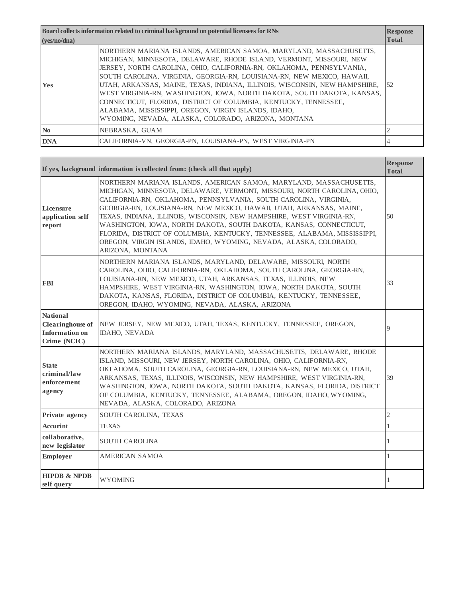| Board collects information related to criminal background on potential licensees for RNs |                                                                                                                                                                                                                                                                                                                                                                                                                                                                                                                                                                                                                                          | <b>Response</b> |
|------------------------------------------------------------------------------------------|------------------------------------------------------------------------------------------------------------------------------------------------------------------------------------------------------------------------------------------------------------------------------------------------------------------------------------------------------------------------------------------------------------------------------------------------------------------------------------------------------------------------------------------------------------------------------------------------------------------------------------------|-----------------|
| (ves/no/dna)                                                                             |                                                                                                                                                                                                                                                                                                                                                                                                                                                                                                                                                                                                                                          | <b>Total</b>    |
| <b>Yes</b>                                                                               | NORTHERN MARIANA ISLANDS, AMERICAN SAMOA, MARYLAND, MASSACHUSETTS,<br>MICHIGAN, MINNESOTA, DELAWARE, RHODE ISLAND, VERMONT, MISSOURI, NEW<br>JERSEY, NORTH CAROLINA, OHIO, CALIFORNIA-RN, OKLAHOMA, PENNSYLVANIA,<br>SOUTH CAROLINA, VIRGINIA, GEORGIA-RN, LOUISIANA-RN, NEW MEXICO, HAWAII,<br>UTAH, ARKANSAS, MAINE, TEXAS, INDIANA, ILLINOIS, WISCONSIN, NEW HAMPSHIRE,<br>WEST VIRGINIA-RN, WASHINGTON, IOWA, NORTH DAKOTA, SOUTH DAKOTA, KANSAS,<br>CONNECTICUT. FLORIDA. DISTRICT OF COLUMBIA. KENTUCKY. TENNESSEE.<br>ALABAMA, MISSISSIPPI, OREGON, VIRGIN ISLANDS, IDAHO,<br>WYOMING, NEVADA, ALASKA, COLORADO, ARIZONA, MONTANA | 52              |
| $\mathbf{N}\mathbf{0}$                                                                   | NEBRASKA, GUAM                                                                                                                                                                                                                                                                                                                                                                                                                                                                                                                                                                                                                           |                 |
| <b>DNA</b>                                                                               | CALIFORNIA-VN, GEORGIA-PN, LOUISIANA-PN, WEST VIRGINIA-PN                                                                                                                                                                                                                                                                                                                                                                                                                                                                                                                                                                                |                 |

|                                                                                     | If yes, background information is collected from: (check all that apply)                                                                                                                                                                                                                                                                                                                                                                                                                                                                                                                                       | <b>Response</b><br><b>Total</b> |
|-------------------------------------------------------------------------------------|----------------------------------------------------------------------------------------------------------------------------------------------------------------------------------------------------------------------------------------------------------------------------------------------------------------------------------------------------------------------------------------------------------------------------------------------------------------------------------------------------------------------------------------------------------------------------------------------------------------|---------------------------------|
| Licensure<br>application self<br>report                                             | NORTHERN MARIANA ISLANDS, AMERICAN SAMOA, MARYLAND, MASSACHUSETTS,<br>MICHIGAN, MINNESOTA, DELAWARE, VERMONT, MISSOURI, NORTH CAROLINA, OHIO,<br>CALIFORNIA-RN, OKLAHOMA, PENNSYLVANIA, SOUTH CAROLINA, VIRGINIA,<br>GEORGIA-RN, LOUISIANA-RN, NEW MEXICO, HAWAII, UTAH, ARKANSAS, MAINE,<br>TEXAS, INDIANA, ILLINOIS, WISCONSIN, NEW HAMPSHIRE, WEST VIRGINIA-RN,<br>WASHINGTON, IOWA, NORTH DAKOTA, SOUTH DAKOTA, KANSAS, CONNECTICUT,<br>FLORIDA, DISTRICT OF COLUMBIA, KENTUCKY, TENNESSEE, ALABAMA, MISSISSIPPI,<br>OREGON, VIRGIN ISLANDS, IDAHO, WYOMING, NEVADA, ALASKA, COLORADO,<br>ARIZONA, MONTANA | 50                              |
| <b>FBI</b>                                                                          | NORTHERN MARIANA ISLANDS, MARYLAND, DELAWARE, MISSOURI, NORTH<br>CAROLINA, OHIO, CALIFORNIA-RN, OKLAHOMA, SOUTH CAROLINA, GEORGIA-RN,<br>LOUISIANA-RN, NEW MEXICO, UTAH, ARKANSAS, TEXAS, ILLINOIS, NEW<br>HAMPSHIRE, WEST VIRGINIA-RN, WASHINGTON, IOWA, NORTH DAKOTA, SOUTH<br>DAKOTA, KANSAS, FLORIDA, DISTRICT OF COLUMBIA, KENTUCKY, TENNESSEE,<br>OREGON, IDAHO, WYOMING, NEVADA, ALASKA, ARIZONA                                                                                                                                                                                                        | 33                              |
| <b>National</b><br><b>Clearinghouse</b> of<br><b>Information on</b><br>Crime (NCIC) | NEW JERSEY, NEW MEXICO, UTAH, TEXAS, KENTUCKY, TENNESSEE, OREGON,<br><b>IDAHO, NEVADA</b>                                                                                                                                                                                                                                                                                                                                                                                                                                                                                                                      | $\overline{Q}$                  |
| <b>State</b><br>criminal/law<br>enforcement<br>agency                               | NORTHERN MARIANA ISLANDS, MARYLAND, MASSACHUSETTS, DELAWARE, RHODE<br>ISLAND, MISSOURI, NEW JERSEY, NORTH CAROLINA, OHIO, CALIFORNIA-RN,<br>OKLAHOMA, SOUTH CAROLINA, GEORGIA-RN, LOUISIANA-RN, NEW MEXICO, UTAH,<br>ARKANSAS, TEXAS, ILLINOIS, WISCONSIN, NEW HAMPSHIRE, WEST VIRGINIA-RN,<br>WASHINGTON, IOWA, NORTH DAKOTA, SOUTH DAKOTA, KANSAS, FLORIDA, DISTRICT<br>OF COLUMBIA, KENTUCKY, TENNESSEE, ALABAMA, OREGON, IDAHO, WYOMING,<br>NEVADA, ALASKA, COLORADO, ARIZONA                                                                                                                              | 39                              |
| Private agency                                                                      | SOUTH CAROLINA, TEXAS                                                                                                                                                                                                                                                                                                                                                                                                                                                                                                                                                                                          | $\overline{2}$                  |
| <b>Accurint</b>                                                                     | <b>TEXAS</b>                                                                                                                                                                                                                                                                                                                                                                                                                                                                                                                                                                                                   | $\mathbf{1}$                    |
| collaborative,<br>new legislator                                                    | SOUTH CAROLINA                                                                                                                                                                                                                                                                                                                                                                                                                                                                                                                                                                                                 | 1                               |
| Employer                                                                            | <b>AMERICAN SAMOA</b>                                                                                                                                                                                                                                                                                                                                                                                                                                                                                                                                                                                          | 1                               |
| <b>HIPDB &amp; NPDB</b><br>self query                                               | <b>WYOMING</b>                                                                                                                                                                                                                                                                                                                                                                                                                                                                                                                                                                                                 | 1                               |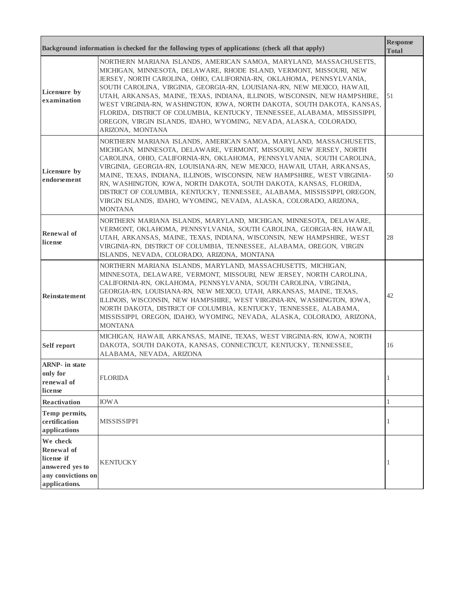|                                                                                                | Background information is checked for the following types of applications: (check all that apply)                                                                                                                                                                                                                                                                                                                                                                                                                                                                                                                           | <b>Response</b><br><b>Total</b> |
|------------------------------------------------------------------------------------------------|-----------------------------------------------------------------------------------------------------------------------------------------------------------------------------------------------------------------------------------------------------------------------------------------------------------------------------------------------------------------------------------------------------------------------------------------------------------------------------------------------------------------------------------------------------------------------------------------------------------------------------|---------------------------------|
| Licensure by<br>examination                                                                    | NORTHERN MARIANA ISLANDS, AMERICAN SAMOA, MARYLAND, MASSACHUSETTS,<br>MICHIGAN, MINNESOTA, DELAWARE, RHODE ISLAND, VERMONT, MISSOURI, NEW<br>JERSEY, NORTH CAROLINA, OHIO, CALIFORNIA-RN, OKLAHOMA, PENNSYLVANIA,<br>SOUTH CAROLINA, VIRGINIA, GEORGIA-RN, LOUISIANA-RN, NEW MEXICO, HAWAII,<br>UTAH, ARKANSAS, MAINE, TEXAS, INDIANA, ILLINOIS, WISCONSIN, NEW HAMPSHIRE,<br>WEST VIRGINIA-RN, WASHINGTON, IOWA, NORTH DAKOTA, SOUTH DAKOTA, KANSAS,<br>FLORIDA, DISTRICT OF COLUMBIA, KENTUCKY, TENNESSEE, ALABAMA, MISSISSIPPI,<br>OREGON, VIRGIN ISLANDS, IDAHO, WYOMING, NEVADA, ALASKA, COLORADO,<br>ARIZONA, MONTANA | 51                              |
| Licensure by<br>endorsement                                                                    | NORTHERN MARIANA ISLANDS, AMERICAN SAMOA, MARYLAND, MASSACHUSETTS,<br>MICHIGAN, MINNESOTA, DELAWARE, VERMONT, MISSOURI, NEW JERSEY, NORTH<br>CAROLINA, OHIO, CALIFORNIA-RN, OKLAHOMA, PENNSYLVANIA, SOUTH CAROLINA,<br>VIRGINIA, GEORGIA-RN, LOUISIANA-RN, NEW MEXICO, HAWAII, UTAH, ARKANSAS,<br>MAINE, TEXAS, INDIANA, ILLINOIS, WISCONSIN, NEW HAMPSHIRE, WEST VIRGINIA-<br>RN, WASHINGTON, IOWA, NORTH DAKOTA, SOUTH DAKOTA, KANSAS, FLORIDA,<br>DISTRICT OF COLUMBIA, KENTUCKY, TENNESSEE, ALABAMA, MISSISSIPPI, OREGON,<br>VIRGIN ISLANDS, IDAHO, WYOMING, NEVADA, ALASKA, COLORADO, ARIZONA,<br><b>MONTANA</b>       | 50                              |
| <b>Renewal</b> of<br>license                                                                   | NORTHERN MARIANA ISLANDS, MARYLAND, MICHIGAN, MINNESOTA, DELAWARE,<br>VERMONT, OKLAHOMA, PENNSYLVANIA, SOUTH CAROLINA, GEORGIA-RN, HAWAII,<br>UTAH, ARKANSAS, MAINE, TEXAS, INDIANA, WISCONSIN, NEW HAMPSHIRE, WEST<br>VIRGINIA-RN, DISTRICT OF COLUMBIA, TENNESSEE, ALABAMA, OREGON, VIRGIN<br>ISLANDS, NEVADA, COLORADO, ARIZONA, MONTANA                                                                                                                                                                                                                                                                                 | 28                              |
| Reinstatement                                                                                  | NORTHERN MARIANA ISLANDS, MARYLAND, MASSACHUSETTS, MICHIGAN,<br>MINNESOTA, DELAWARE, VERMONT, MISSOURI, NEW JERSEY, NORTH CAROLINA,<br>CALIFORNIA-RN, OKLAHOMA, PENNSYLVANIA, SOUTH CAROLINA, VIRGINIA,<br>GEORGIA-RN, LOUISIANA-RN, NEW MEXICO, UTAH, ARKANSAS, MAINE, TEXAS,<br>ILLINOIS, WISCONSIN, NEW HAMPSHIRE, WEST VIRGINIA-RN, WASHINGTON, IOWA,<br>NORTH DAKOTA, DISTRICT OF COLUMBIA, KENTUCKY, TENNESSEE, ALABAMA,<br>MISSISSIPPI, OREGON, IDAHO, WYOMING, NEVADA, ALASKA, COLORADO, ARIZONA,<br><b>MONTANA</b>                                                                                                 | 42                              |
| <b>Self report</b>                                                                             | MICHIGAN, HAWAII, ARKANSAS, MAINE, TEXAS, WEST VIRGINIA-RN, IOWA, NORTH<br>DAKOTA, SOUTH DAKOTA, KANSAS, CONNECTICUT, KENTUCKY, TENNESSEE,<br>ALABAMA, NEVADA, ARIZONA                                                                                                                                                                                                                                                                                                                                                                                                                                                      | 16                              |
| <b>ARNP</b> - in state<br>only for<br>renewal of<br>license                                    | <b>FLORIDA</b>                                                                                                                                                                                                                                                                                                                                                                                                                                                                                                                                                                                                              |                                 |
| Reactivation                                                                                   | <b>IOWA</b>                                                                                                                                                                                                                                                                                                                                                                                                                                                                                                                                                                                                                 | $\mathbf{1}$                    |
| Temp permits,<br>certification<br>applications                                                 | <b>MISSISSIPPI</b>                                                                                                                                                                                                                                                                                                                                                                                                                                                                                                                                                                                                          | 1                               |
| We check<br>Renewal of<br>license if<br>answered yes to<br>any convictions on<br>applications. | <b>KENTUCKY</b>                                                                                                                                                                                                                                                                                                                                                                                                                                                                                                                                                                                                             |                                 |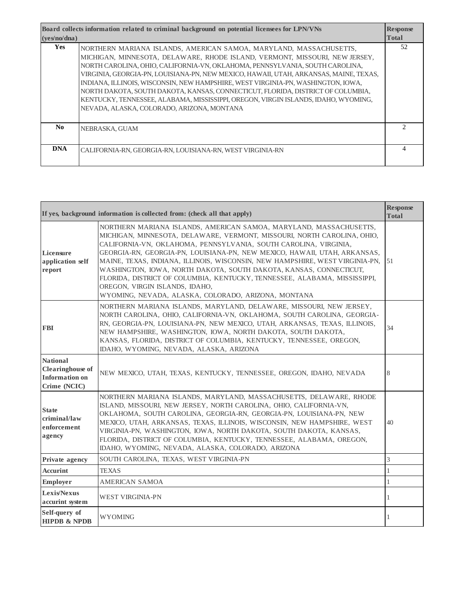| Board collects information related to criminal background on potential licensees for LPN/VNs |                                                                                                                                                                                                                                                                                                                                                                                                                                                                                                                                                                                                                                       | <b>Response</b> |
|----------------------------------------------------------------------------------------------|---------------------------------------------------------------------------------------------------------------------------------------------------------------------------------------------------------------------------------------------------------------------------------------------------------------------------------------------------------------------------------------------------------------------------------------------------------------------------------------------------------------------------------------------------------------------------------------------------------------------------------------|-----------------|
| (yes/no/dna)                                                                                 |                                                                                                                                                                                                                                                                                                                                                                                                                                                                                                                                                                                                                                       | <b>Total</b>    |
| <b>Yes</b>                                                                                   | NORTHERN MARIANA ISLANDS, AMERICAN SAMOA, MARYLAND, MASSACHUSETTS,<br>MICHIGAN, MINNESOTA, DELAWARE, RHODE ISLAND, VERMONT, MISSOURI, NEW JERSEY,<br>NORTH CAROLINA, OHIO, CALIFORNIA-VN, OKLAHOMA, PENNSYLVANIA, SOUTH CAROLINA,<br>VIRGINIA, GEORGIA-PN, LOUISIANA-PN, NEW MEXICO, HAWAII, UTAH, ARKANSAS, MAINE, TEXAS,<br>INDIANA, ILLINOIS, WISCONSIN, NEW HAMPSHIRE, WEST VIRGINIA-PN, WASHINGTON, IOWA,<br>NORTH DAKOTA, SOUTH DAKOTA, KANSAS, CONNECTICUT, FLORIDA, DISTRICT OF COLUMBIA,<br>KENTUCKY, TENNESSEE, ALABAMA, MISSISSIPPI, OREGON, VIRGIN ISLANDS, IDAHO, WYOMING,<br>NEVADA, ALASKA, COLORADO, ARIZONA, MONTANA | 52              |
| No.                                                                                          | NEBRASKA, GUAM                                                                                                                                                                                                                                                                                                                                                                                                                                                                                                                                                                                                                        |                 |
| <b>DNA</b>                                                                                   | CALIFORNIA-RN, GEORGIA-RN, LOUISIANA-RN, WEST VIRGINIA-RN                                                                                                                                                                                                                                                                                                                                                                                                                                                                                                                                                                             |                 |

|                                                                              | If yes, background information is collected from: (check all that apply)                                                                                                                                                                                                                                                                                                                                                                                                                                                                                                                                                   | <b>Response</b><br><b>Total</b> |
|------------------------------------------------------------------------------|----------------------------------------------------------------------------------------------------------------------------------------------------------------------------------------------------------------------------------------------------------------------------------------------------------------------------------------------------------------------------------------------------------------------------------------------------------------------------------------------------------------------------------------------------------------------------------------------------------------------------|---------------------------------|
| Licensure<br>application self<br>report                                      | NORTHERN MARIANA ISLANDS, AMERICAN SAMOA, MARYLAND, MASSACHUSETTS,<br>MICHIGAN, MINNESOTA, DELAWARE, VERMONT, MISSOURI, NORTH CAROLINA, OHIO,<br>CALIFORNIA-VN, OKLAHOMA, PENNSYLVANIA, SOUTH CAROLINA, VIRGINIA,<br>GEORGIA-RN, GEORGIA-PN, LOUISIANA-PN, NEW MEXICO, HAWAII, UTAH, ARKANSAS,<br>MAINE, TEXAS, INDIANA, ILLINOIS, WISCONSIN, NEW HAMPSHIRE, WEST VIRGINIA-PN,<br>WASHINGTON, IOWA, NORTH DAKOTA, SOUTH DAKOTA, KANSAS, CONNECTICUT,<br>FLORIDA, DISTRICT OF COLUMBIA, KENTUCKY, TENNESSEE, ALABAMA, MISSISSIPPI,<br>OREGON, VIRGIN ISLANDS, IDAHO,<br>WYOMING, NEVADA, ALASKA, COLORADO, ARIZONA, MONTANA | 51                              |
| <b>FBI</b>                                                                   | NORTHERN MARIANA ISLANDS, MARYLAND, DELAWARE, MISSOURI, NEW JERSEY,<br>NORTH CAROLINA, OHIO, CALIFORNIA-VN, OKLAHOMA, SOUTH CAROLINA, GEORGIA-<br>RN, GEORGIA-PN, LOUISIANA-PN, NEW MEXICO, UTAH, ARKANSAS, TEXAS, ILLINOIS,<br>NEW HAMPSHIRE, WASHINGTON, IOWA, NORTH DAKOTA, SOUTH DAKOTA,<br>KANSAS, FLORIDA, DISTRICT OF COLUMBIA, KENTUCKY, TENNESSEE, OREGON,<br>IDAHO, WYOMING, NEVADA, ALASKA, ARIZONA                                                                                                                                                                                                             | 34                              |
| <b>National</b><br><b>Clearinghouse</b> of<br>Information on<br>Crime (NCIC) | NEW MEXICO, UTAH, TEXAS, KENTUCKY, TENNESSEE, OREGON, IDAHO, NEVADA                                                                                                                                                                                                                                                                                                                                                                                                                                                                                                                                                        | 8                               |
| <b>State</b><br>criminal/law<br>enforcement<br>agency                        | NORTHERN MARIANA ISLANDS, MARYLAND, MASSACHUSETTS, DELAWARE, RHODE<br>ISLAND, MISSOURI, NEW JERSEY, NORTH CAROLINA, OHIO, CALIFORNIA-VN,<br>OKLAHOMA, SOUTH CAROLINA, GEORGIA-RN, GEORGIA-PN, LOUISIANA-PN, NEW<br>MEXICO, UTAH, ARKANSAS, TEXAS, ILLINOIS, WISCONSIN, NEW HAMPSHIRE, WEST<br>VIRGINIA-PN, WASHINGTON, IOWA, NORTH DAKOTA, SOUTH DAKOTA, KANSAS,<br>FLORIDA, DISTRICT OF COLUMBIA, KENTUCKY, TENNESSEE, ALABAMA, OREGON,<br>IDAHO, WYOMING, NEVADA, ALASKA, COLORADO, ARIZONA                                                                                                                              | 40                              |
| Private agency                                                               | SOUTH CAROLINA, TEXAS, WEST VIRGINIA-PN                                                                                                                                                                                                                                                                                                                                                                                                                                                                                                                                                                                    | 3                               |
| <b>Accurint</b>                                                              | <b>TEXAS</b>                                                                                                                                                                                                                                                                                                                                                                                                                                                                                                                                                                                                               | $\mathbf{1}$                    |
| <b>Employer</b>                                                              | <b>AMERICAN SAMOA</b>                                                                                                                                                                                                                                                                                                                                                                                                                                                                                                                                                                                                      | 1                               |
| Lexis/Nexus<br>accurint system                                               | <b>WEST VIRGINIA-PN</b>                                                                                                                                                                                                                                                                                                                                                                                                                                                                                                                                                                                                    | 1                               |
| Self-query of<br><b>HIPDB &amp; NPDB</b>                                     | <b>WYOMING</b>                                                                                                                                                                                                                                                                                                                                                                                                                                                                                                                                                                                                             | 1                               |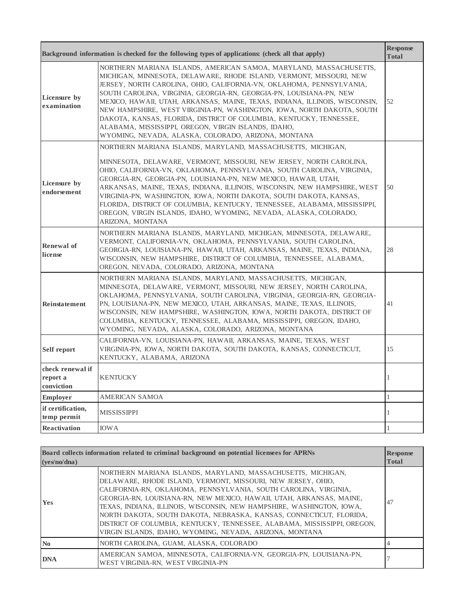|                                            | Background information is checked for the following types of applications: (check all that apply)                                                                                                                                                                                                                                                                                                                                                                                                                                                                                                                                       | <b>Response</b><br><b>Total</b> |
|--------------------------------------------|-----------------------------------------------------------------------------------------------------------------------------------------------------------------------------------------------------------------------------------------------------------------------------------------------------------------------------------------------------------------------------------------------------------------------------------------------------------------------------------------------------------------------------------------------------------------------------------------------------------------------------------------|---------------------------------|
| Licensure by<br>examination                | NORTHERN MARIANA ISLANDS, AMERICAN SAMOA, MARYLAND, MASSACHUSETTS,<br>MICHIGAN, MINNESOTA, DELAWARE, RHODE ISLAND, VERMONT, MISSOURI, NEW<br>JERSEY, NORTH CAROLINA, OHIO, CALIFORNIA-VN, OKLAHOMA, PENNSYLVANIA,<br>SOUTH CAROLINA, VIRGINIA, GEORGIA-RN, GEORGIA-PN, LOUISIANA-PN, NEW<br>MEXICO, HAWAII, UTAH, ARKANSAS, MAINE, TEXAS, INDIANA, ILLINOIS, WISCONSIN,<br>NEW HAMPSHIRE, WEST VIRGINIA-PN, WASHINGTON, IOWA, NORTH DAKOTA, SOUTH<br>DAKOTA, KANSAS, FLORIDA, DISTRICT OF COLUMBIA, KENTUCKY, TENNESSEE,<br>ALABAMA, MISSISSIPPI, OREGON, VIRGIN ISLANDS, IDAHO,<br>WYOMING, NEVADA, ALASKA, COLORADO, ARIZONA, MONTANA | 52                              |
| Licensure by<br>endorsement                | NORTHERN MARIANA ISLANDS, MARYLAND, MASSACHUSETTS, MICHIGAN,<br>MINNESOTA, DELAWARE, VERMONT, MISSOURI, NEW JERSEY, NORTH CAROLINA,<br>OHIO, CALIFORNIA-VN, OKLAHOMA, PENNSYLVANIA, SOUTH CAROLINA, VIRGINIA,<br>GEORGIA-RN, GEORGIA-PN, LOUISIANA-PN, NEW MEXICO, HAWAII, UTAH,<br>ARKANSAS, MAINE, TEXAS, INDIANA, ILLINOIS, WISCONSIN, NEW HAMPSHIRE, WEST<br>VIRGINIA-PN, WASHINGTON, IOWA, NORTH DAKOTA, SOUTH DAKOTA, KANSAS,<br>FLORIDA, DISTRICT OF COLUMBIA, KENTUCKY, TENNESSEE, ALABAMA, MISSISSIPPI,<br>OREGON, VIRGIN ISLANDS, IDAHO, WYOMING, NEVADA, ALASKA, COLORADO,<br>ARIZONA, MONTANA                               | 50                              |
| Renewal of<br>license                      | NORTHERN MARIANA ISLANDS, MARYLAND, MICHIGAN, MINNESOTA, DELAWARE,<br>VERMONT, CALIFORNIA-VN, OKLAHOMA, PENNSYLVANIA, SOUTH CAROLINA,<br>GEORGIA-RN, LOUISIANA-PN, HAWAII, UTAH, ARKANSAS, MAINE, TEXAS, INDIANA,<br>WISCONSIN, NEW HAMPSHIRE, DISTRICT OF COLUMBIA, TENNESSEE, ALABAMA,<br>OREGON, NEVADA, COLORADO, ARIZONA, MONTANA                                                                                                                                                                                                                                                                                                  | 28                              |
| Reinstatement                              | NORTHERN MARIANA ISLANDS, MARYLAND, MASSACHUSETTS, MICHIGAN,<br>MINNESOTA, DELAWARE, VERMONT, MISSOURI, NEW JERSEY, NORTH CAROLINA,<br>OKLAHOMA, PENNSYLVANIA, SOUTH CAROLINA, VIRGINIA, GEORGIA-RN, GEORGIA-<br>PN, LOUISIANA-PN, NEW MEXICO, UTAH, ARKANSAS, MAINE, TEXAS, ILLINOIS,<br>WISCONSIN, NEW HAMPSHIRE, WASHINGTON, IOWA, NORTH DAKOTA, DISTRICT OF<br>COLUMBIA, KENTUCKY, TENNESSEE, ALABAMA, MISSISSIPPI, OREGON, IDAHO,<br>WYOMING, NEVADA, ALASKA, COLORADO, ARIZONA, MONTANA                                                                                                                                           | 41                              |
| Self report                                | CALIFORNIA-VN, LOUISIANA-PN, HAWAII, ARKANSAS, MAINE, TEXAS, WEST<br>VIRGINIA-PN, IOWA, NORTH DAKOTA, SOUTH DAKOTA, KANSAS, CONNECTICUT,<br>KENTUCKY, ALABAMA, ARIZONA                                                                                                                                                                                                                                                                                                                                                                                                                                                                  | 15                              |
| check renewal if<br>report a<br>conviction | <b>KENTUCKY</b>                                                                                                                                                                                                                                                                                                                                                                                                                                                                                                                                                                                                                         | 1                               |
| <b>Employer</b>                            | <b>AMERICAN SAMOA</b>                                                                                                                                                                                                                                                                                                                                                                                                                                                                                                                                                                                                                   | $\mathbf{1}$                    |
| if certification,<br>temp permit           | <b>MISSISSIPPI</b>                                                                                                                                                                                                                                                                                                                                                                                                                                                                                                                                                                                                                      | 1                               |
| <b>Reactivation</b>                        | <b>IOWA</b>                                                                                                                                                                                                                                                                                                                                                                                                                                                                                                                                                                                                                             | 1                               |

| Board collects information related to criminal background on potential licensees for APRNs |                                                                                                                                                                                                                                                                                                                                                                                                                                                                                                                                                                  | <b>Response</b> |
|--------------------------------------------------------------------------------------------|------------------------------------------------------------------------------------------------------------------------------------------------------------------------------------------------------------------------------------------------------------------------------------------------------------------------------------------------------------------------------------------------------------------------------------------------------------------------------------------------------------------------------------------------------------------|-----------------|
| ( <b>ves</b> /no/dna)                                                                      |                                                                                                                                                                                                                                                                                                                                                                                                                                                                                                                                                                  | <b>Total</b>    |
| <b>Yes</b>                                                                                 | NORTHERN MARIANA ISLANDS, MARYLAND, MASSACHUSETTS, MICHIGAN,<br>DELAWARE, RHODE ISLAND, VERMONT, MISSOURI, NEW JERSEY, OHIO,<br>CALIFORNIA-RN. OKLAHOMA. PENNSYLVANIA. SOUTH CAROLINA. VIRGINIA.<br>GEORGIA-RN, LOUISIANA-RN, NEW MEXICO, HAWAII, UTAH, ARKANSAS, MAINE,<br>TEXAS, INDIANA, ILLINOIS, WISCONSIN, NEW HAMPSHIRE, WASHINGTON, IOWA,<br>NORTH DAKOTA, SOUTH DAKOTA, NEBRASKA, KANSAS, CONNECTICUT, FLORIDA,<br>DISTRICT OF COLUMBIA, KENTUCKY, TENNESSEE, ALABAMA, MISSISSIPPI, OREGON,<br>VIRGIN ISLANDS, IDAHO, WYOMING, NEVADA, ARIZONA, MONTANA | 47              |
| $\mathbf{N}\mathbf{0}$                                                                     | NORTH CAROLINA, GUAM, ALASKA, COLORADO                                                                                                                                                                                                                                                                                                                                                                                                                                                                                                                           |                 |
| <b>DNA</b>                                                                                 | AMERICAN SAMOA, MINNESOTA, CALIFORNIA-VN, GEORGIA-PN, LOUISIANA-PN,<br>WEST VIRGINIA-RN. WEST VIRGINIA-PN                                                                                                                                                                                                                                                                                                                                                                                                                                                        |                 |

 $\blacksquare$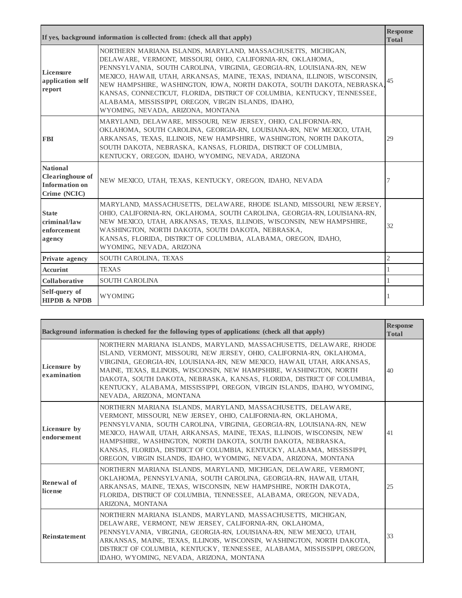|                                                                              | If yes, background information is collected from: (check all that apply)                                                                                                                                                                                                                                                                                                                                                                                                                                                              | <b>Response</b><br><b>Total</b> |
|------------------------------------------------------------------------------|---------------------------------------------------------------------------------------------------------------------------------------------------------------------------------------------------------------------------------------------------------------------------------------------------------------------------------------------------------------------------------------------------------------------------------------------------------------------------------------------------------------------------------------|---------------------------------|
| Licensure<br>application self<br>report                                      | NORTHERN MARIANA ISLANDS, MARYLAND, MASSACHUSETTS, MICHIGAN,<br>DELAWARE, VERMONT, MISSOURI, OHIO, CALIFORNIA-RN, OKLAHOMA,<br>PENNSYLVANIA, SOUTH CAROLINA, VIRGINIA, GEORGIA-RN, LOUISIANA-RN, NEW<br>MEXICO, HAWAII, UTAH, ARKANSAS, MAINE, TEXAS, INDIANA, ILLINOIS, WISCONSIN,<br>NEW HAMPSHIRE, WASHINGTON, IOWA, NORTH DAKOTA, SOUTH DAKOTA, NEBRASKA<br>KANSAS, CONNECTICUT, FLORIDA, DISTRICT OF COLUMBIA, KENTUCKY, TENNESSEE,<br>ALABAMA, MISSISSIPPI, OREGON, VIRGIN ISLANDS, IDAHO,<br>WYOMING, NEVADA, ARIZONA, MONTANA | 45                              |
| <b>FBI</b>                                                                   | MARYLAND, DELAWARE, MISSOURI, NEW JERSEY, OHIO, CALIFORNIA-RN,<br>OKLAHOMA, SOUTH CAROLINA, GEORGIA-RN, LOUISIANA-RN, NEW MEXICO, UTAH,<br>ARKANSAS, TEXAS, ILLINOIS, NEW HAMPSHIRE, WASHINGTON, NORTH DAKOTA,<br>SOUTH DAKOTA, NEBRASKA, KANSAS, FLORIDA, DISTRICT OF COLUMBIA,<br>KENTUCKY, OREGON, IDAHO, WYOMING, NEVADA, ARIZONA                                                                                                                                                                                                 | 29                              |
| <b>National</b><br><b>Clearinghouse</b> of<br>Information on<br>Crime (NCIC) | NEW MEXICO, UTAH, TEXAS, KENTUCKY, OREGON, IDAHO, NEVADA                                                                                                                                                                                                                                                                                                                                                                                                                                                                              | 7                               |
| <b>State</b><br>criminal/law<br>enforcement<br>agency                        | MARYLAND, MASSACHUSETTS, DELAWARE, RHODE ISLAND, MISSOURI, NEW JERSEY,<br>OHIO, CALIFORNIA-RN, OKLAHOMA, SOUTH CAROLINA, GEORGIA-RN, LOUISIANA-RN,<br>NEW MEXICO, UTAH, ARKANSAS, TEXAS, ILLINOIS, WISCONSIN, NEW HAMPSHIRE,<br>WASHINGTON, NORTH DAKOTA, SOUTH DAKOTA, NEBRASKA,<br>KANSAS, FLORIDA, DISTRICT OF COLUMBIA, ALABAMA, OREGON, IDAHO,<br>WYOMING, NEVADA, ARIZONA                                                                                                                                                       | 32                              |
| Private agency                                                               | SOUTH CAROLINA, TEXAS                                                                                                                                                                                                                                                                                                                                                                                                                                                                                                                 | $\mathbf{2}$                    |
| <b>Accurint</b>                                                              | <b>TEXAS</b>                                                                                                                                                                                                                                                                                                                                                                                                                                                                                                                          |                                 |
| <b>Collaborative</b>                                                         | <b>SOUTH CAROLINA</b>                                                                                                                                                                                                                                                                                                                                                                                                                                                                                                                 |                                 |
| Self-query of<br><b>HIPDB &amp; NPDB</b>                                     | <b>WYOMING</b>                                                                                                                                                                                                                                                                                                                                                                                                                                                                                                                        |                                 |

|                             | Background information is checked for the following types of applications: (check all that apply)                                                                                                                                                                                                                                                                                                                                                                                              | <b>Response</b><br><b>Total</b> |
|-----------------------------|------------------------------------------------------------------------------------------------------------------------------------------------------------------------------------------------------------------------------------------------------------------------------------------------------------------------------------------------------------------------------------------------------------------------------------------------------------------------------------------------|---------------------------------|
| Licensure by<br>examination | NORTHERN MARIANA ISLANDS, MARYLAND, MASSACHUSETTS, DELAWARE, RHODE<br>ISLAND, VERMONT, MISSOURI, NEW JERSEY, OHIO, CALIFORNIA-RN, OKLAHOMA,<br>VIRGINIA, GEORGIA-RN, LOUISIANA-RN, NEW MEXICO, HAWAII, UTAH, ARKANSAS,<br>MAINE, TEXAS, ILLINOIS, WISCONSIN, NEW HAMPSHIRE, WASHINGTON, NORTH<br>DAKOTA, SOUTH DAKOTA, NEBRASKA, KANSAS, FLORIDA, DISTRICT OF COLUMBIA,<br>KENTUCKY, ALABAMA, MISSISSIPPI, OREGON, VIRGIN ISLANDS, IDAHO, WYOMING,<br>NEVADA, ARIZONA, MONTANA                 | 40                              |
| Licensure by<br>endorsement | NORTHERN MARIANA ISLANDS, MARYLAND, MASSACHUSETTS, DELAWARE,<br>VERMONT, MISSOURI, NEW JERSEY, OHIO, CALIFORNIA-RN, OKLAHOMA,<br>PENNSYLVANIA, SOUTH CAROLINA, VIRGINIA, GEORGIA-RN, LOUISIANA-RN, NEW<br>MEXICO, HAWAII, UTAH, ARKANSAS, MAINE, TEXAS, ILLINOIS, WISCONSIN, NEW<br>HAMPSHIRE, WASHINGTON, NORTH DAKOTA, SOUTH DAKOTA, NEBRASKA,<br>KANSAS, FLORIDA, DISTRICT OF COLUMBIA, KENTUCKY, ALABAMA, MISSISSIPPI,<br>OREGON, VIRGIN ISLANDS, IDAHO, WYOMING, NEVADA, ARIZONA, MONTANA | 41                              |
| Renewal of<br>license       | NORTHERN MARIANA ISLANDS, MARYLAND, MICHIGAN, DELAWARE, VERMONT,<br>OKLAHOMA, PENNSYLVANIA, SOUTH CAROLINA, GEORGIA-RN, HAWAII, UTAH,<br>ARKANSAS, MAINE, TEXAS, WISCONSIN, NEW HAMPSHIRE, NORTH DAKOTA,<br>FLORIDA, DISTRICT OF COLUMBIA, TENNESSEE, ALABAMA, OREGON, NEVADA,<br>ARIZONA. MONTANA                                                                                                                                                                                             | 25                              |
| Reinstatement               | NORTHERN MARIANA ISLANDS, MARYLAND, MASSACHUSETTS, MICHIGAN,<br>DELAWARE, VERMONT, NEW JERSEY, CALIFORNIA-RN, OKLAHOMA,<br>PENNSYLVANIA, VIRGINIA, GEORGIA-RN, LOUISIANA-RN, NEW MEXICO, UTAH,<br>ARKANSAS, MAINE, TEXAS, ILLINOIS, WISCONSIN, WASHINGTON, NORTH DAKOTA,<br>DISTRICT OF COLUMBIA, KENTUCKY, TENNESSEE, ALABAMA, MISSISSIPPI, OREGON,<br>IDAHO, WYOMING, NEVADA, ARIZONA, MONTANA                                                                                               | 33                              |

'n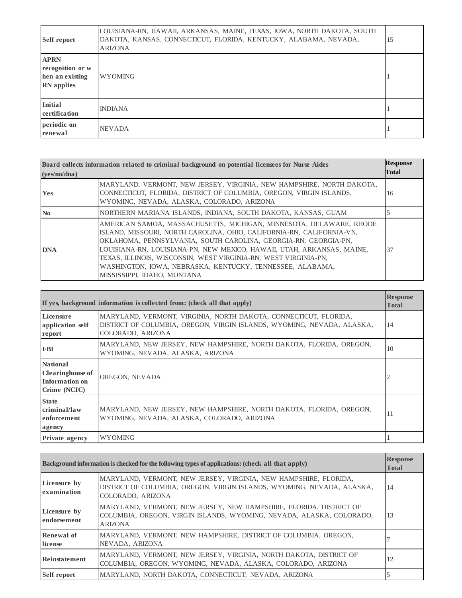| <b>Self report</b>                                                      | LOUISIANA-RN, HAWAII, ARKANSAS, MAINE, TEXAS, IOWA, NORTH DAKOTA, SOUTH<br>DAKOTA, KANSAS, CONNECTICUT, FLORIDA, KENTUCKY, ALABAMA, NEVADA,<br><b>ARIZONA</b> | 15 |
|-------------------------------------------------------------------------|---------------------------------------------------------------------------------------------------------------------------------------------------------------|----|
| <b>APRN</b><br>recognition or w<br>hen an existing<br><b>RN</b> applies | <b>WYOMING</b>                                                                                                                                                |    |
| <b>Initial</b><br>certification                                         | <b>INDIANA</b>                                                                                                                                                |    |
| periodic on<br>renewal                                                  | <b>NEVADA</b>                                                                                                                                                 |    |

| Board collects information related to criminal background on potential licensees for Nurse Aides<br>(ves/no/dna) |                                                                                                                                                                                                                                                                                                                                                                                                                                                          | <b>Response</b><br>Total |
|------------------------------------------------------------------------------------------------------------------|----------------------------------------------------------------------------------------------------------------------------------------------------------------------------------------------------------------------------------------------------------------------------------------------------------------------------------------------------------------------------------------------------------------------------------------------------------|--------------------------|
| <b>Yes</b>                                                                                                       | MARYLAND, VERMONT, NEW JERSEY, VIRGINIA, NEW HAMPSHIRE, NORTH DAKOTA,<br>CONNECTICUT, FLORIDA, DISTRICT OF COLUMBIA, OREGON, VIRGIN ISLANDS,<br>WYOMING, NEVADA, ALASKA, COLORADO, ARIZONA                                                                                                                                                                                                                                                               | 16                       |
| $\mathbf{N}\mathbf{0}$                                                                                           | NORTHERN MARIANA ISLANDS, INDIANA, SOUTH DAKOTA, KANSAS, GUAM                                                                                                                                                                                                                                                                                                                                                                                            |                          |
| <b>DNA</b>                                                                                                       | AMERICAN SAMOA, MASSACHUSETTS, MICHIGAN, MINNESOTA, DELAWARE, RHODE<br>ISLAND, MISSOURI, NORTH CAROLINA, OHIO, CALIFORNIA-RN, CALIFORNIA-VN,<br>OKLAHOMA, PENNSYLVANIA, SOUTH CAROLINA, GEORGIA-RN, GEORGIA-PN,<br>LOUISIANA-RN, LOUISIANA-PN, NEW MEXICO, HAWAII, UTAH, ARKANSAS, MAINE,<br>TEXAS, ILLINOIS, WISCONSIN, WEST VIRGINIA-RN, WEST VIRGINIA-PN,<br>WASHINGTON, IOWA, NEBRASKA, KENTUCKY, TENNESSEE, ALABAMA,<br>MISSISSIPPI, IDAHO, MONTANA | 37                       |

| If yes, background information is collected from: (check all that apply)     |                                                                                                                                                                 | <b>Response</b><br><b>Total</b> |
|------------------------------------------------------------------------------|-----------------------------------------------------------------------------------------------------------------------------------------------------------------|---------------------------------|
| Licensure<br>application self<br>report                                      | MARYLAND, VERMONT, VIRGINIA, NORTH DAKOTA, CONNECTICUT, FLORIDA,<br>DISTRICT OF COLUMBIA, OREGON, VIRGIN ISLANDS, WYOMING, NEVADA, ALASKA,<br>COLORADO, ARIZONA | 14                              |
| <b>FBI</b>                                                                   | MARYLAND, NEW JERSEY, NEW HAMPSHIRE, NORTH DAKOTA, FLORIDA, OREGON,<br>WYOMING, NEVADA, ALASKA, ARIZONA                                                         | 10                              |
| <b>National</b><br><b>Clearinghouse</b> of<br>Information on<br>Crime (NCIC) | OREGON, NEVADA                                                                                                                                                  |                                 |
| <b>State</b><br>criminal/law<br>enforcement<br>agency                        | MARYLAND, NEW JERSEY, NEW HAMPSHIRE, NORTH DAKOTA, FLORIDA, OREGON,<br>WYOMING, NEVADA, ALASKA, COLORADO, ARIZONA                                               | 11                              |
| <b>Private agency</b>                                                        | <b>WYOMING</b>                                                                                                                                                  |                                 |

|                             | Background information is checked for the following types of applications: (check all that apply)                                                               | <b>Response</b><br><b>Total</b> |
|-----------------------------|-----------------------------------------------------------------------------------------------------------------------------------------------------------------|---------------------------------|
| Licensure by<br>examination | MARYLAND, VERMONT, NEW JERSEY, VIRGINIA, NEW HAMPSHIRE, FLORIDA,<br>DISTRICT OF COLUMBIA, OREGON, VIRGIN ISLANDS, WYOMING, NEVADA, ALASKA,<br>COLORADO, ARIZONA | 14                              |
| Licensure by<br>endorsement | MARYLAND, VERMONT, NEW JERSEY, NEW HAMPSHIRE, FLORIDA, DISTRICT OF<br>COLUMBIA, OREGON, VIRGIN ISLANDS, WYOMING, NEVADA, ALASKA, COLORADO,<br><b>ARIZONA</b>    | 13                              |
| Renewal of<br>license       | MARYLAND, VERMONT, NEW HAMPSHIRE, DISTRICT OF COLUMBIA, OREGON,<br>NEVADA, ARIZONA                                                                              |                                 |
| Reinstatement               | MARYLAND, VERMONT, NEW JERSEY, VIRGINIA, NORTH DAKOTA, DISTRICT OF<br>COLUMBIA, OREGON, WYOMING, NEVADA, ALASKA, COLORADO, ARIZONA                              | 12                              |
| <b>Self report</b>          | MARYLAND, NORTH DAKOTA, CONNECTICUT, NEVADA, ARIZONA                                                                                                            |                                 |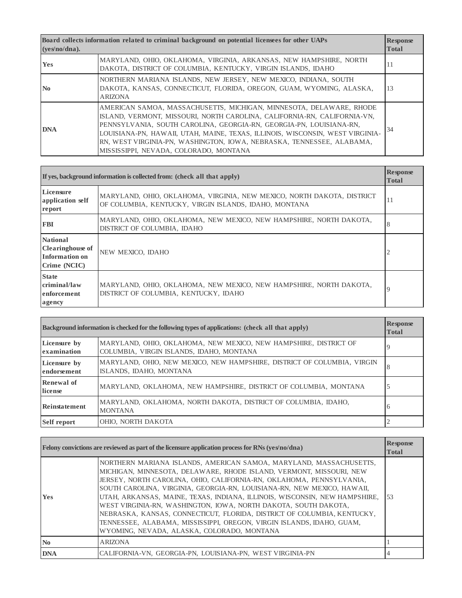| Board collects information related to criminal background on potential licensees for other UAPs<br>( <b>ves</b> /no/dna). |                                                                                                                                                                                                                                                                                                                                                                                                                            | <b>Response</b><br><b>Total</b> |
|---------------------------------------------------------------------------------------------------------------------------|----------------------------------------------------------------------------------------------------------------------------------------------------------------------------------------------------------------------------------------------------------------------------------------------------------------------------------------------------------------------------------------------------------------------------|---------------------------------|
| <b>Yes</b>                                                                                                                | MARYLAND, OHIO, OKLAHOMA, VIRGINIA, ARKANSAS, NEW HAMPSHIRE, NORTH<br>DAKOTA, DISTRICT OF COLUMBIA, KENTUCKY, VIRGIN ISLANDS, IDAHO                                                                                                                                                                                                                                                                                        | 11                              |
| $\mathbf{N}\mathbf{0}$                                                                                                    | NORTHERN MARIANA ISLANDS, NEW JERSEY, NEW MEXICO, INDIANA, SOUTH<br>DAKOTA, KANSAS, CONNECTICUT, FLORIDA, OREGON, GUAM, WYOMING, ALASKA,<br><b>ARIZONA</b>                                                                                                                                                                                                                                                                 | 13                              |
| <b>DNA</b>                                                                                                                | AMERICAN SAMOA, MASSACHUSETTS, MICHIGAN, MINNESOTA, DELAWARE, RHODE<br>ISLAND, VERMONT, MISSOURI, NORTH CAROLINA, CALIFORNIA-RN, CALIFORNIA-VN,<br>PENNSYLVANIA, SOUTH CAROLINA, GEORGIA-RN, GEORGIA-PN, LOUISIANA-RN,<br>LOUISIANA-PN, HAWAII, UTAH, MAINE, TEXAS, ILLINOIS, WISCONSIN, WEST VIRGINIA-<br>RN, WEST VIRGINIA-PN, WASHINGTON, IOWA, NEBRASKA, TENNESSEE, ALABAMA,<br>MISSISSIPPI, NEVADA, COLORADO, MONTANA | 34                              |

|                                                                              | If yes, background information is collected from: (check all that apply)                                                        | <b>Response</b><br><b>Total</b> |
|------------------------------------------------------------------------------|---------------------------------------------------------------------------------------------------------------------------------|---------------------------------|
| Licensure<br>application self<br>report                                      | MARYLAND, OHIO, OKLAHOMA, VIRGINIA, NEW MEXICO, NORTH DAKOTA, DISTRICT<br>OF COLUMBIA, KENTUCKY, VIRGIN ISLANDS, IDAHO, MONTANA | 11                              |
| <b>FBI</b>                                                                   | MARYLAND, OHIO, OKLAHOMA, NEW MEXICO, NEW HAMPSHIRE, NORTH DAKOTA,<br>DISTRICT OF COLUMBIA, IDAHO                               | 8                               |
| <b>National</b><br><b>Clearinghouse</b> of<br>Information on<br>Crime (NCIC) | NEW MEXICO, IDAHO                                                                                                               |                                 |
| <b>State</b><br>criminal/law<br>enforcement<br>agency                        | MARYLAND, OHIO, OKLAHOMA, NEW MEXICO, NEW HAMPSHIRE, NORTH DAKOTA,<br>DISTRICT OF COLUMBIA, KENTUCKY, IDAHO                     | $\overline{9}$                  |

| Background information is checked for the following types of applications: (check all that apply) |                                                                                                              | <b>Response</b><br><b>Total</b> |
|---------------------------------------------------------------------------------------------------|--------------------------------------------------------------------------------------------------------------|---------------------------------|
| Licensure by<br>examination                                                                       | MARYLAND, OHIO, OKLAHOMA, NEW MEXICO, NEW HAMPSHIRE, DISTRICT OF<br>COLUMBIA, VIRGIN ISLANDS, IDAHO, MONTANA | 9                               |
| Licensure by<br>endorsement                                                                       | MARYLAND, OHIO, NEW MEXICO, NEW HAMPSHIRE, DISTRICT OF COLUMBIA, VIRGIN<br>ISLANDS, IDAHO, MONTANA           | 8                               |
| Renewal of<br>license                                                                             | MARYLAND, OKLAHOMA, NEW HAMPSHIRE, DISTRICT OF COLUMBIA, MONTANA                                             | 5                               |
| Reinstatement                                                                                     | MARYLAND, OKLAHOMA, NORTH DAKOTA, DISTRICT OF COLUMBIA, IDAHO,<br><b>MONTANA</b>                             | 6                               |
| <b>Self report</b>                                                                                | OHIO, NORTH DAKOTA                                                                                           |                                 |

|                        | Felony convictions are reviewed as part of the licensure application process for RNs $(yes/no/dna)$                                                                                                                                                                                                                                                                                                                                                                                                                                                                                                                                             | <b>Response</b><br><b>Total</b> |
|------------------------|-------------------------------------------------------------------------------------------------------------------------------------------------------------------------------------------------------------------------------------------------------------------------------------------------------------------------------------------------------------------------------------------------------------------------------------------------------------------------------------------------------------------------------------------------------------------------------------------------------------------------------------------------|---------------------------------|
| <b>Yes</b>             | NORTHERN MARIANA ISLANDS, AMERICAN SAMOA, MARYLAND, MASSACHUSETTS,<br>MICHIGAN, MINNESOTA, DELAWARE, RHODE ISLAND, VERMONT, MISSOURI, NEW<br>JERSEY, NORTH CAROLINA, OHIO, CALIFORNIA-RN, OKLAHOMA, PENNSYLVANIA,<br>SOUTH CAROLINA, VIRGINIA, GEORGIA-RN, LOUISIANA-RN, NEW MEXICO, HAWAII,<br>UTAH, ARKANSAS, MAINE, TEXAS, INDIANA, ILLINOIS, WISCONSIN, NEW HAMPSHIRE,<br>WEST VIRGINIA-RN, WASHINGTON, IOWA, NORTH DAKOTA, SOUTH DAKOTA,<br>NEBRASKA, KANSAS, CONNECTICUT, FLORIDA, DISTRICT OF COLUMBIA, KENTUCKY,<br>TENNESSEE, ALABAMA, MISSISSIPPI, OREGON, VIRGIN ISLANDS, IDAHO, GUAM,<br>WYOMING, NEVADA, ALASKA, COLORADO, MONTANA | .53                             |
| $\mathbf{N}\mathbf{0}$ | <b>ARIZONA</b>                                                                                                                                                                                                                                                                                                                                                                                                                                                                                                                                                                                                                                  |                                 |
| <b>DNA</b>             | CALIFORNIA-VN, GEORGIA-PN, LOUISIANA-PN, WEST VIRGINIA-PN                                                                                                                                                                                                                                                                                                                                                                                                                                                                                                                                                                                       |                                 |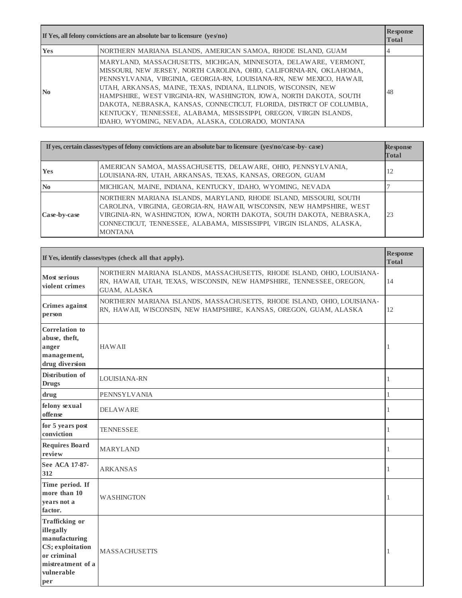| If Yes, all felony convictions are an absolute bar to licensure $(ves/no)$ |                                                                                                                                                                                                                                                                                                                                                                                                                                                                                                                                                                | <b>Response</b><br><b>Total</b> |
|----------------------------------------------------------------------------|----------------------------------------------------------------------------------------------------------------------------------------------------------------------------------------------------------------------------------------------------------------------------------------------------------------------------------------------------------------------------------------------------------------------------------------------------------------------------------------------------------------------------------------------------------------|---------------------------------|
| Yes                                                                        | NORTHERN MARIANA ISLANDS, AMERICAN SAMOA, RHODE ISLAND, GUAM                                                                                                                                                                                                                                                                                                                                                                                                                                                                                                   |                                 |
| N <sub>0</sub>                                                             | MARYLAND, MASSACHUSETTS, MICHIGAN, MINNESOTA, DELAWARE, VERMONT,<br>MISSOURI, NEW JERSEY, NORTH CAROLINA, OHIO, CALIFORNIA-RN, OKLAHOMA,<br>PENNSYLVANIA, VIRGINIA, GEORGIA-RN, LOUISIANA-RN, NEW MEXICO, HAWAII,<br>UTAH, ARKANSAS, MAINE, TEXAS, INDIANA, ILLINOIS, WISCONSIN, NEW<br>HAMPSHIRE, WEST VIRGINIA-RN, WASHINGTON, IOWA, NORTH DAKOTA, SOUTH<br>DAKOTA, NEBRASKA, KANSAS, CONNECTICUT, FLORIDA, DISTRICT OF COLUMBIA,<br>KENTUCKY, TENNESSEE, ALABAMA, MISSISSIPPI, OREGON, VIRGIN ISLANDS,<br>IDAHO, WYOMING, NEVADA, ALASKA, COLORADO, MONTANA | 48                              |

|                        | If yes, certain classes/types of felony convictions are an absolute bar to licensure (yes/no/case-by-case)                                                                                                                                                                                                     | <b>Response</b><br><b>Total</b> |
|------------------------|----------------------------------------------------------------------------------------------------------------------------------------------------------------------------------------------------------------------------------------------------------------------------------------------------------------|---------------------------------|
| <b>Yes</b>             | AMERICAN SAMOA, MASSACHUSETTS, DELAWARE, OHIO, PENNSYLVANIA,<br>LOUISIANA-RN, UTAH, ARKANSAS, TEXAS, KANSAS, OREGON, GUAM                                                                                                                                                                                      | 12                              |
| $\mathbf{N}\mathbf{0}$ | MICHIGAN, MAINE, INDIANA, KENTUCKY, IDAHO, WYOMING, NEVADA                                                                                                                                                                                                                                                     |                                 |
| Case-by-case           | NORTHERN MARIANA ISLANDS, MARYLAND, RHODE ISLAND, MISSOURI, SOUTH<br>CAROLINA, VIRGINIA, GEORGIA-RN, HAWAII, WISCONSIN, NEW HAMPSHIRE, WEST<br>VIRGINIA-RN, WASHINGTON, IOWA, NORTH DAKOTA, SOUTH DAKOTA, NEBRASKA,<br>CONNECTICUT, TENNESSEE, ALABAMA, MISSISSIPPI, VIRGIN ISLANDS, ALASKA,<br><b>MONTANA</b> | 23                              |

| If Yes, identify classes/types (check all that apply).                                                                           |                                                                                                                                                                  | <b>Response</b><br><b>Total</b> |
|----------------------------------------------------------------------------------------------------------------------------------|------------------------------------------------------------------------------------------------------------------------------------------------------------------|---------------------------------|
| <b>Most serious</b><br>violent crimes                                                                                            | NORTHERN MARIANA ISLANDS, MASSACHUSETTS, RHODE ISLAND, OHIO, LOUISIANA-<br>RN, HAWAII, UTAH, TEXAS, WISCONSIN, NEW HAMPSHIRE, TENNESSEE, OREGON,<br>GUAM, ALASKA | 14                              |
| Crimes against<br>person                                                                                                         | NORTHERN MARIANA ISLANDS, MASSACHUSETTS, RHODE ISLAND, OHIO, LOUISIANA-<br>RN, HAWAII, WISCONSIN, NEW HAMPSHIRE, KANSAS, OREGON, GUAM, ALASKA                    | 12                              |
| Correlation to<br>abuse, theft,<br>anger<br>management,<br>drug diversion                                                        | HAWAII                                                                                                                                                           | 1                               |
| Distribution of<br><b>Drugs</b>                                                                                                  | <b>LOUISIANA-RN</b>                                                                                                                                              | 1                               |
| drug                                                                                                                             | <b>PENNSYLVANIA</b>                                                                                                                                              | $\mathbf{1}$                    |
| felony sexual<br>offense                                                                                                         | <b>DELAWARE</b>                                                                                                                                                  | $\mathbf{1}$                    |
| for 5 years post<br>conviction                                                                                                   | <b>TENNESSEE</b>                                                                                                                                                 | 1                               |
| <b>Requires Board</b><br>review                                                                                                  | <b>MARYLAND</b>                                                                                                                                                  | 1                               |
| See ACA 17-87-<br>312                                                                                                            | <b>ARKANSAS</b>                                                                                                                                                  | $\mathbf{1}$                    |
| Time period. If<br>more than 10<br>years not a<br>factor.                                                                        | <b>WASHINGTON</b>                                                                                                                                                | 1                               |
| <b>Trafficking or</b><br>illegally<br>manufacturing<br>CS; exploitation<br>or criminal<br>mistreatment of a<br>vulnerable<br>per | <b>MASSACHUSETTS</b>                                                                                                                                             | 1                               |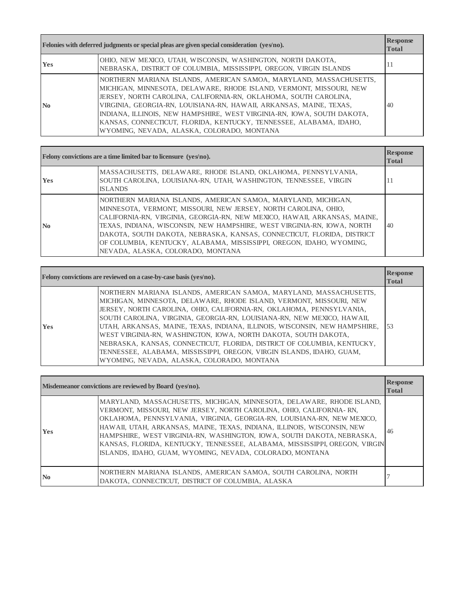| Felonies with deferred judgments or special pleas are given special consideration (yes/no). |                                                                                                                                                                                                                                                                                                                                                                                                                                                                                     | <b>Response</b><br><b>Total</b> |
|---------------------------------------------------------------------------------------------|-------------------------------------------------------------------------------------------------------------------------------------------------------------------------------------------------------------------------------------------------------------------------------------------------------------------------------------------------------------------------------------------------------------------------------------------------------------------------------------|---------------------------------|
| <b>Yes</b>                                                                                  | OHIO, NEW MEXICO, UTAH, WISCONSIN, WASHINGTON, NORTH DAKOTA,<br>NEBRASKA, DISTRICT OF COLUMBIA, MISSISSIPPI, OREGON, VIRGIN ISLANDS                                                                                                                                                                                                                                                                                                                                                 | 11                              |
| $\mathbf{N}$ <sub>0</sub>                                                                   | NORTHERN MARIANA ISLANDS, AMERICAN SAMOA, MARYLAND, MASSACHUSETTS,<br>MICHIGAN, MINNESOTA, DELAWARE, RHODE ISLAND, VERMONT, MISSOURI, NEW<br>JERSEY, NORTH CAROLINA, CALIFORNIA-RN, OKLAHOMA, SOUTH CAROLINA,<br>VIRGINIA, GEORGIA-RN, LOUISIANA-RN, HAWAII, ARKANSAS, MAINE, TEXAS,<br>INDIANA, ILLINOIS, NEW HAMPSHIRE, WEST VIRGINIA-RN, IOWA, SOUTH DAKOTA,<br>KANSAS, CONNECTICUT, FLORIDA, KENTUCKY, TENNESSEE, ALABAMA, IDAHO,<br>WYOMING, NEVADA, ALASKA, COLORADO, MONTANA | 40                              |

| Felony convictions are a time limited bar to licensure (yes/no). |                                                                                                                                                                                                                                                                                                                                                                                                                                                                                 | <b>Response</b><br><b>Total</b> |
|------------------------------------------------------------------|---------------------------------------------------------------------------------------------------------------------------------------------------------------------------------------------------------------------------------------------------------------------------------------------------------------------------------------------------------------------------------------------------------------------------------------------------------------------------------|---------------------------------|
| <b>Yes</b>                                                       | MASSACHUSETTS, DELAWARE, RHODE ISLAND, OKLAHOMA, PENNSYLVANIA,<br>SOUTH CAROLINA, LOUISIANA-RN, UTAH, WASHINGTON, TENNESSEE, VIRGIN<br><b>ISLANDS</b>                                                                                                                                                                                                                                                                                                                           | 11                              |
| N <sub>0</sub>                                                   | NORTHERN MARIANA ISLANDS, AMERICAN SAMOA, MARYLAND, MICHIGAN,<br>MINNESOTA, VERMONT, MISSOURI, NEW JERSEY, NORTH CAROLINA, OHIO,<br>CALIFORNIA-RN, VIRGINIA, GEORGIA-RN, NEW MEXICO, HAWAII, ARKANSAS, MAINE,<br>TEXAS, INDIANA, WISCONSIN, NEW HAMPSHIRE, WEST VIRGINIA-RN, IOWA, NORTH<br>DAKOTA, SOUTH DAKOTA, NEBRASKA, KANSAS, CONNECTICUT, FLORIDA, DISTRICT<br>OF COLUMBIA, KENTUCKY, ALABAMA, MISSISSIPPI, OREGON, IDAHO, WYOMING,<br>NEVADA, ALASKA, COLORADO, MONTANA | 40                              |

|            | Felony convictions are reviewed on a case-by-case basis (yes/no).                                                                                                                                                                                                                                                                                                                                                                                                                                                                                                                                                                               | <b>Response</b><br><b>Total</b> |
|------------|-------------------------------------------------------------------------------------------------------------------------------------------------------------------------------------------------------------------------------------------------------------------------------------------------------------------------------------------------------------------------------------------------------------------------------------------------------------------------------------------------------------------------------------------------------------------------------------------------------------------------------------------------|---------------------------------|
| <b>Yes</b> | NORTHERN MARIANA ISLANDS, AMERICAN SAMOA, MARYLAND, MASSACHUSETTS,<br>MICHIGAN, MINNESOTA, DELAWARE, RHODE ISLAND, VERMONT, MISSOURI, NEW<br>JERSEY, NORTH CAROLINA, OHIO, CALIFORNIA-RN, OKLAHOMA, PENNSYLVANIA,<br>SOUTH CAROLINA, VIRGINIA, GEORGIA-RN, LOUISIANA-RN, NEW MEXICO, HAWAII,<br>UTAH, ARKANSAS, MAINE, TEXAS, INDIANA, ILLINOIS, WISCONSIN, NEW HAMPSHIRE,<br>WEST VIRGINIA-RN, WASHINGTON, IOWA, NORTH DAKOTA, SOUTH DAKOTA,<br>NEBRASKA, KANSAS, CONNECTICUT, FLORIDA, DISTRICT OF COLUMBIA, KENTUCKY,<br>TENNESSEE, ALABAMA, MISSISSIPPI, OREGON, VIRGIN ISLANDS, IDAHO, GUAM,<br>WYOMING, NEVADA, ALASKA, COLORADO, MONTANA | 53                              |

| Misdemeanor convictions are reviewed by Board (yes/no). |                                                                                                                                                                                                                                                                                                                                                                                                                                                                                                                        | <b>Response</b><br><b>Total</b> |
|---------------------------------------------------------|------------------------------------------------------------------------------------------------------------------------------------------------------------------------------------------------------------------------------------------------------------------------------------------------------------------------------------------------------------------------------------------------------------------------------------------------------------------------------------------------------------------------|---------------------------------|
| <b>Yes</b>                                              | MARYLAND, MASSACHUSETTS, MICHIGAN, MINNESOTA, DELAWARE, RHODE ISLAND,<br>VERMONT, MISSOURI, NEW JERSEY, NORTH CAROLINA, OHIO, CALIFORNIA-RN,<br>OKLAHOMA, PENNSYLVANIA, VIRGINIA, GEORGIA-RN, LOUISIANA-RN, NEW MEXICO,<br>HAWAII, UTAH, ARKANSAS, MAINE, TEXAS, INDIANA, ILLINOIS, WISCONSIN, NEW<br>HAMPSHIRE, WEST VIRGINIA-RN, WASHINGTON, IOWA, SOUTH DAKOTA, NEBRASKA,<br>KANSAS, FLORIDA, KENTUCKY, TENNESSEE, ALABAMA, MISSISSIPPI, OREGON, VIRGIN<br>ISLANDS, IDAHO, GUAM, WYOMING, NEVADA, COLORADO, MONTANA | 46                              |
| N <sub>0</sub>                                          | NORTHERN MARIANA ISLANDS, AMERICAN SAMOA, SOUTH CAROLINA, NORTH<br>DAKOTA, CONNECTICUT, DISTRICT OF COLUMBIA, ALASKA                                                                                                                                                                                                                                                                                                                                                                                                   |                                 |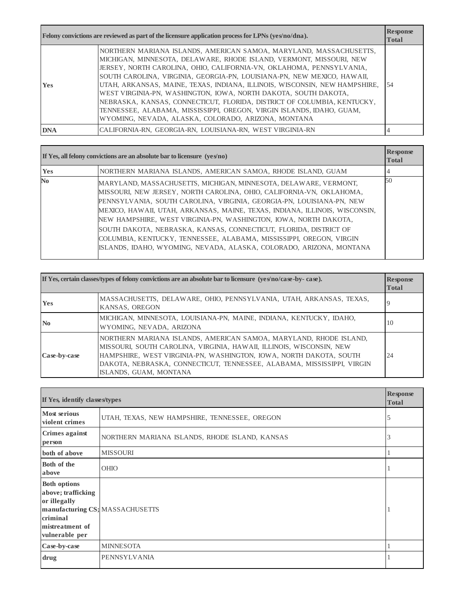|            | Felony convictions are reviewed as part of the licensure application process for LPNs ( $y \in S \cap \mathcal{A}$ ).                                                                                                                                                                                                                                                                                                                                                                                                                                                                                                                                    | <b>Response</b><br><b>Total</b> |
|------------|----------------------------------------------------------------------------------------------------------------------------------------------------------------------------------------------------------------------------------------------------------------------------------------------------------------------------------------------------------------------------------------------------------------------------------------------------------------------------------------------------------------------------------------------------------------------------------------------------------------------------------------------------------|---------------------------------|
| <b>Yes</b> | NORTHERN MARIANA ISLANDS, AMERICAN SAMOA, MARYLAND, MASSACHUSETTS,<br>MICHIGAN, MINNESOTA, DELAWARE, RHODE ISLAND, VERMONT, MISSOURI, NEW<br>JERSEY, NORTH CAROLINA, OHIO, CALIFORNIA-VN, OKLAHOMA, PENNSYLVANIA,<br>SOUTH CAROLINA, VIRGINIA, GEORGIA-PN, LOUISIANA-PN, NEW MEXICO, HAWAII,<br>UTAH, ARKANSAS, MAINE, TEXAS, INDIANA, ILLINOIS, WISCONSIN, NEW HAMPSHIRE,<br>WEST VIRGINIA-PN, WASHINGTON, IOWA, NORTH DAKOTA, SOUTH DAKOTA,<br>NEBRASKA, KANSAS, CONNECTICUT, FLORIDA, DISTRICT OF COLUMBIA, KENTUCKY,<br>TENNESSEE, ALABAMA, MISSISSIPPI, OREGON, VIRGIN ISLANDS, IDAHO, GUAM,<br>WYOMING, NEVADA, ALASKA, COLORADO, ARIZONA, MONTANA | -54                             |
| <b>DNA</b> | CALIFORNIA-RN, GEORGIA-RN, LOUISIANA-RN, WEST VIRGINIA-RN                                                                                                                                                                                                                                                                                                                                                                                                                                                                                                                                                                                                |                                 |

| If Yes, all felony convictions are an absolute bar to licensure $(yes/no)$ |                                                                                                                                                                                                                                                                                                                                                                                                                                                                                                                                                                                         | <b>Response</b><br><b>Total</b> |
|----------------------------------------------------------------------------|-----------------------------------------------------------------------------------------------------------------------------------------------------------------------------------------------------------------------------------------------------------------------------------------------------------------------------------------------------------------------------------------------------------------------------------------------------------------------------------------------------------------------------------------------------------------------------------------|---------------------------------|
| <b>Yes</b>                                                                 | NORTHERN MARIANA ISLANDS, AMERICAN SAMOA, RHODE ISLAND, GUAM                                                                                                                                                                                                                                                                                                                                                                                                                                                                                                                            |                                 |
| N <sub>0</sub>                                                             | MARYLAND, MASSACHUSETTS, MICHIGAN, MINNESOTA, DELAWARE, VERMONT,<br>MISSOURI, NEW JERSEY, NORTH CAROLINA, OHIO, CALIFORNIA-VN, OKLAHOMA,<br>PENNSYLVANIA, SOUTH CAROLINA, VIRGINIA, GEORGIA-PN, LOUISIANA-PN, NEW<br>MEXICO, HAWAII, UTAH, ARKANSAS, MAINE, TEXAS, INDIANA, ILLINOIS, WISCONSIN,<br>NEW HAMPSHIRE, WEST VIRGINIA-PN, WASHINGTON, IOWA, NORTH DAKOTA,<br>SOUTH DAKOTA, NEBRASKA, KANSAS, CONNECTICUT, FLORIDA, DISTRICT OF<br>COLUMBIA, KENTUCKY, TENNESSEE, ALABAMA, MISSISSIPPI, OREGON, VIRGIN<br>ISLANDS, IDAHO, WYOMING, NEVADA, ALASKA, COLORADO, ARIZONA, MONTANA | .50                             |

|                | If Yes, certain classes/types of felony convictions are an absolute bar to licensure $(ve s'no/case-bv-case)$ .                                                                                                                                                                                                     | <b>Response</b><br><b>Total</b> |
|----------------|---------------------------------------------------------------------------------------------------------------------------------------------------------------------------------------------------------------------------------------------------------------------------------------------------------------------|---------------------------------|
| <b>Yes</b>     | MASSACHUSETTS, DELAWARE, OHIO, PENNSYLVANIA, UTAH, ARKANSAS, TEXAS,<br>KANSAS, OREGON                                                                                                                                                                                                                               | 9                               |
| N <sub>0</sub> | MICHIGAN, MINNESOTA, LOUISIANA-PN, MAINE, INDIANA, KENTUCKY, IDAHO,<br>WYOMING, NEVADA, ARIZONA                                                                                                                                                                                                                     | 10                              |
| Case-by-case   | NORTHERN MARIANA ISLANDS, AMERICAN SAMOA, MARYLAND, RHODE ISLAND,<br>MISSOURI, SOUTH CAROLINA, VIRGINIA, HAWAII, ILLINOIS, WISCONSIN, NEW<br>HAMPSHIRE, WEST VIRGINIA-PN, WASHINGTON, IOWA, NORTH DAKOTA, SOUTH<br>DAKOTA, NEBRASKA, CONNECTICUT, TENNESSEE, ALABAMA, MISSISSIPPI, VIRGIN<br>ISLANDS, GUAM, MONTANA | 24                              |

| If Yes, identify classes/types                                                                             |                                                | <b>Response</b><br><b>Total</b> |
|------------------------------------------------------------------------------------------------------------|------------------------------------------------|---------------------------------|
| <b>Most serious</b><br>violent crimes                                                                      | UTAH, TEXAS, NEW HAMPSHIRE, TENNESSEE, OREGON  | 5                               |
| Crimes against<br>person                                                                                   | NORTHERN MARIANA ISLANDS, RHODE ISLAND, KANSAS | 3                               |
| both of above                                                                                              | <b>MISSOURI</b>                                |                                 |
| Both of the<br>above                                                                                       | <b>OHIO</b>                                    |                                 |
| <b>Both options</b><br>above; trafficking<br>or illegally<br>criminal<br>mistreatment of<br>vulnerable per | manufacturing CS; MASSACHUSETTS                |                                 |
| Case-by-case                                                                                               | <b>MINNESOTA</b>                               |                                 |
| drug                                                                                                       | PENNSYLVANIA                                   |                                 |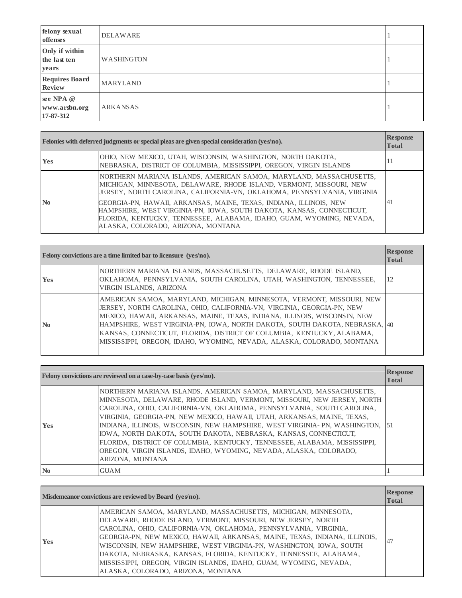| felony sexual<br>offenses               | <b>DELAWARE</b>   |  |
|-----------------------------------------|-------------------|--|
| Only if within<br>the last ten<br>years | <b>WASHINGTON</b> |  |
| <b>Requires Board</b><br><b>Review</b>  | <b>MARYLAND</b>   |  |
| see NPA @<br>www.arsbn.org<br>17-87-312 | <b>ARKANSAS</b>   |  |

| Felonies with deferred judgments or special pleas are given special consideration (yes/no). |                                                                                                                                                                                                                                                                                                                                                                                                                                                                                   | <b>Response</b><br><b>Total</b> |
|---------------------------------------------------------------------------------------------|-----------------------------------------------------------------------------------------------------------------------------------------------------------------------------------------------------------------------------------------------------------------------------------------------------------------------------------------------------------------------------------------------------------------------------------------------------------------------------------|---------------------------------|
| <b>Yes</b>                                                                                  | OHIO, NEW MEXICO, UTAH, WISCONSIN, WASHINGTON, NORTH DAKOTA,<br>NEBRASKA, DISTRICT OF COLUMBIA, MISSISSIPPI, OREGON, VIRGIN ISLANDS                                                                                                                                                                                                                                                                                                                                               | 11                              |
| $\mathbf{N}\mathbf{0}$                                                                      | NORTHERN MARIANA ISLANDS, AMERICAN SAMOA, MARYLAND, MASSACHUSETTS,<br>MICHIGAN, MINNESOTA, DELAWARE, RHODE ISLAND, VERMONT, MISSOURI, NEW<br>JERSEY, NORTH CAROLINA, CALIFORNIA-VN, OKLAHOMA, PENNSYLVANIA, VIRGINIA<br>GEORGIA-PN, HAWAII, ARKANSAS, MAINE, TEXAS, INDIANA, ILLINOIS, NEW<br>HAMPSHIRE, WEST VIRGINIA-PN, IOWA, SOUTH DAKOTA, KANSAS, CONNECTICUT,<br>FLORIDA, KENTUCKY, TENNESSEE, ALABAMA, IDAHO, GUAM, WYOMING, NEVADA,<br>ALASKA, COLORADO, ARIZONA, MONTANA | 41                              |

| Felony convictions are a time limited bar to licensure (yes/no). |                                                                                                                                                                                                                                                                                                                                                                                                                                                                 | <b>Response</b><br><b>Total</b> |
|------------------------------------------------------------------|-----------------------------------------------------------------------------------------------------------------------------------------------------------------------------------------------------------------------------------------------------------------------------------------------------------------------------------------------------------------------------------------------------------------------------------------------------------------|---------------------------------|
| <b>Yes</b>                                                       | NORTHERN MARIANA ISLANDS, MASSACHUSETTS, DELAWARE, RHODE ISLAND,<br>OKLAHOMA, PENNSYLVANIA, SOUTH CAROLINA, UTAH, WASHINGTON, TENNESSEE,<br>VIRGIN ISLANDS, ARIZONA                                                                                                                                                                                                                                                                                             | 12                              |
| $\mathbf{N}\mathbf{0}$                                           | AMERICAN SAMOA, MARYLAND, MICHIGAN, MINNESOTA, VERMONT, MISSOURI, NEW<br>JERSEY, NORTH CAROLINA, OHIO, CALIFORNIA-VN, VIRGINIA, GEORGIA-PN, NEW<br>MEXICO, HAWAII, ARKANSAS, MAINE, TEXAS, INDIANA, ILLINOIS, WISCONSIN, NEW<br>HAMPSHIRE, WEST VIRGINIA-PN, IOWA, NORTH DAKOTA, SOUTH DAKOTA, NEBRASKA, 40<br>KANSAS, CONNECTICUT, FLORIDA, DISTRICT OF COLUMBIA, KENTUCKY, ALABAMA,<br>MISSISSIPPI, OREGON, IDAHO, WYOMING, NEVADA, ALASKA, COLORADO, MONTANA |                                 |

|                        | Felony convictions are reviewed on a case-by-case basis (yes/no).                                                                                                                                                                                                                                                                                                                                                                                                                                                                                                                                                               | <b>Response</b><br><b>Total</b> |
|------------------------|---------------------------------------------------------------------------------------------------------------------------------------------------------------------------------------------------------------------------------------------------------------------------------------------------------------------------------------------------------------------------------------------------------------------------------------------------------------------------------------------------------------------------------------------------------------------------------------------------------------------------------|---------------------------------|
| <b>Yes</b>             | NORTHERN MARIANA ISLANDS, AMERICAN SAMOA, MARYLAND, MASSACHUSETTS,<br>MINNESOTA, DELAWARE, RHODE ISLAND, VERMONT, MISSOURI, NEW JERSEY, NORTH<br>CAROLINA, OHIO, CALIFORNIA-VN, OKLAHOMA, PENNSYLVANIA, SOUTH CAROLINA,<br>VIRGINIA, GEORGIA-PN, NEW MEXICO, HAWAII, UTAH, ARKANSAS, MAINE, TEXAS,<br>INDIANA, ILLINOIS, WISCONSIN, NEW HAMPSHIRE, WEST VIRGINIA-PN, WASHINGTON, [51]<br>IOWA, NORTH DAKOTA, SOUTH DAKOTA, NEBRASKA, KANSAS, CONNECTICUT,<br>FLORIDA, DISTRICT OF COLUMBIA, KENTUCKY, TENNESSEE, ALABAMA, MISSISSIPPI,<br>OREGON, VIRGIN ISLANDS, IDAHO, WYOMING, NEVADA, ALASKA, COLORADO,<br>ARIZONA, MONTANA |                                 |
| $\mathbf{N}\mathbf{0}$ | <b>GUAM</b>                                                                                                                                                                                                                                                                                                                                                                                                                                                                                                                                                                                                                     |                                 |

|            | Misdemeanor convictions are reviewed by Board (yes/no).                                                                                                                                                                                                                                                                                                                                                                                                                                                                                | <b>Response</b><br><b>Total</b> |
|------------|----------------------------------------------------------------------------------------------------------------------------------------------------------------------------------------------------------------------------------------------------------------------------------------------------------------------------------------------------------------------------------------------------------------------------------------------------------------------------------------------------------------------------------------|---------------------------------|
| <b>Yes</b> | AMERICAN SAMOA, MARYLAND, MASSACHUSETTS, MICHIGAN, MINNESOTA,<br>DELAWARE, RHODE ISLAND, VERMONT, MISSOURI, NEW JERSEY, NORTH<br>CAROLINA, OHIO, CALIFORNIA-VN, OKLAHOMA, PENNSYLVANIA, VIRGINIA,<br>GEORGIA-PN, NEW MEXICO, HAWAII, ARKANSAS, MAINE, TEXAS, INDIANA, ILLINOIS,<br>WISCONSIN, NEW HAMPSHIRE, WEST VIRGINIA-PN, WASHINGTON, IOWA, SOUTH<br>DAKOTA, NEBRASKA, KANSAS, FLORIDA, KENTUCKY, TENNESSEE, ALABAMA,<br>MISSISSIPPI, OREGON, VIRGIN ISLANDS, IDAHO, GUAM, WYOMING, NEVADA,<br>ALASKA, COLORADO, ARIZONA, MONTANA | .47                             |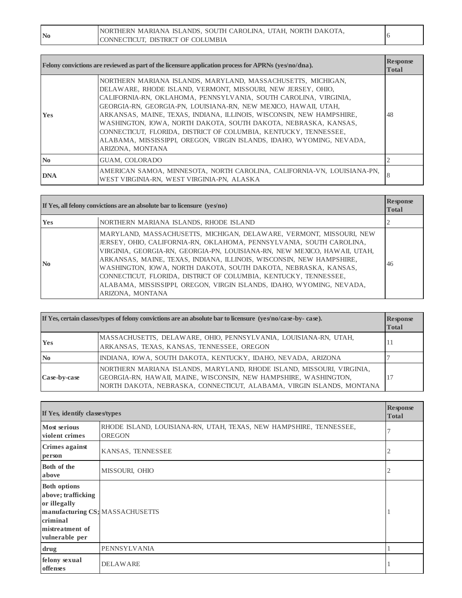| NORTHERN MARIANA ISLANDS, SOUTH CAROLINA, UTAH, NORTH DAKOTA,<br>No<br>CONNECTICUT. DISTRICT OF COLUMBIA |  |  |
|----------------------------------------------------------------------------------------------------------|--|--|
|----------------------------------------------------------------------------------------------------------|--|--|

|                        | Felony convictions are reviewed as part of the licensure application process for APRNs ( $\gamma$ es/no/dna).                                                                                                                                                                                                                                                                                                                                                                                                                                                                   | <b>Response</b><br><b>Total</b> |
|------------------------|---------------------------------------------------------------------------------------------------------------------------------------------------------------------------------------------------------------------------------------------------------------------------------------------------------------------------------------------------------------------------------------------------------------------------------------------------------------------------------------------------------------------------------------------------------------------------------|---------------------------------|
| <b>Yes</b>             | NORTHERN MARIANA ISLANDS, MARYLAND, MASSACHUSETTS, MICHIGAN,<br>DELAWARE, RHODE ISLAND, VERMONT, MISSOURI, NEW JERSEY, OHIO,<br>CALIFORNIA-RN, OKLAHOMA, PENNSYLVANIA, SOUTH CAROLINA, VIRGINIA,<br>GEORGIA-RN, GEORGIA-PN, LOUISIANA-RN, NEW MEXICO, HAWAII, UTAH,<br>ARKANSAS, MAINE, TEXAS, INDIANA, ILLINOIS, WISCONSIN, NEW HAMPSHIRE,<br>WASHINGTON, IOWA, NORTH DAKOTA, SOUTH DAKOTA, NEBRASKA, KANSAS,<br>CONNECTICUT, FLORIDA, DISTRICT OF COLUMBIA, KENTUCKY, TENNESSEE,<br>ALABAMA, MISSISSIPPI, OREGON, VIRGIN ISLANDS, IDAHO, WYOMING, NEVADA,<br>ARIZONA, MONTANA | 48                              |
| $\mathbf{N}\mathbf{0}$ | GUAM, COLORADO                                                                                                                                                                                                                                                                                                                                                                                                                                                                                                                                                                  |                                 |
| <b>DNA</b>             | AMERICAN SAMOA, MINNESOTA, NORTH CAROLINA, CALIFORNIA-VN, LOUISIANA-PN,<br>WEST VIRGINIA-RN, WEST VIRGINIA-PN, ALASKA                                                                                                                                                                                                                                                                                                                                                                                                                                                           | 8                               |

| If Yes, all felony convictions are an absolute bar to licensure $(ves/no)$ |                                                                                                                                                                                                                                                                                                                                                                                                                                                                                                                                      | <b>Response</b><br><b>Total</b> |
|----------------------------------------------------------------------------|--------------------------------------------------------------------------------------------------------------------------------------------------------------------------------------------------------------------------------------------------------------------------------------------------------------------------------------------------------------------------------------------------------------------------------------------------------------------------------------------------------------------------------------|---------------------------------|
| <b>Yes</b>                                                                 | NORTHERN MARIANA ISLANDS, RHODE ISLAND                                                                                                                                                                                                                                                                                                                                                                                                                                                                                               |                                 |
| $\mathbf{N}\mathbf{0}$                                                     | MARYLAND, MASSACHUSETTS, MICHIGAN, DELAWARE, VERMONT, MISSOURI, NEW<br>JERSEY, OHIO, CALIFORNIA-RN, OKLAHOMA, PENNSYLVANIA, SOUTH CAROLINA,<br>VIRGINIA, GEORGIA-RN, GEORGIA-PN, LOUISIANA-RN, NEW MEXICO, HAWAII, UTAH,<br>ARKANSAS, MAINE, TEXAS, INDIANA, ILLINOIS, WISCONSIN, NEW HAMPSHIRE,<br>WASHINGTON, IOWA, NORTH DAKOTA, SOUTH DAKOTA, NEBRASKA, KANSAS,<br>CONNECTICUT, FLORIDA, DISTRICT OF COLUMBIA, KENTUCKY, TENNESSEE,<br>ALABAMA, MISSISSIPPI, OREGON, VIRGIN ISLANDS, IDAHO, WYOMING, NEVADA,<br>ARIZONA, MONTANA | 46                              |

| If Yes, certain classes/types of felony convictions are an absolute bar to licensure (yes/no/case-by-case). |                                                                                                                                                                                                                    | <b>Response</b><br><b>Total</b> |
|-------------------------------------------------------------------------------------------------------------|--------------------------------------------------------------------------------------------------------------------------------------------------------------------------------------------------------------------|---------------------------------|
| <b>Yes</b>                                                                                                  | MASSACHUSETTS, DELAWARE, OHIO, PENNSYLVANIA, LOUISIANA-RN, UTAH,<br>ARKANSAS, TEXAS, KANSAS, TENNESSEE, OREGON                                                                                                     | 11                              |
| N <sub>0</sub>                                                                                              | INDIANA, IOWA, SOUTH DAKOTA, KENTUCKY, IDAHO, NEVADA, ARIZONA                                                                                                                                                      |                                 |
| Case-by-case                                                                                                | NORTHERN MARIANA ISLANDS, MARYLAND, RHODE ISLAND, MISSOURI, VIRGINIA,<br>GEORGIA-RN, HAWAII, MAINE, WISCONSIN, NEW HAMPSHIRE, WASHINGTON,<br>NORTH DAKOTA, NEBRASKA, CONNECTICUT, ALABAMA, VIRGIN ISLANDS, MONTANA |                                 |

| If Yes, identify classes/types                                                                             |                                                                                     | <b>Response</b><br><b>Total</b> |
|------------------------------------------------------------------------------------------------------------|-------------------------------------------------------------------------------------|---------------------------------|
| <b>Most serious</b><br>violent crimes                                                                      | RHODE ISLAND, LOUISIANA-RN, UTAH, TEXAS, NEW HAMPSHIRE, TENNESSEE,<br><b>OREGON</b> |                                 |
| Crimes against<br>person                                                                                   | KANSAS, TENNESSEE                                                                   | 2                               |
| Both of the<br>above                                                                                       | MISSOURI, OHIO                                                                      |                                 |
| <b>Both options</b><br>above; trafficking<br>or illegally<br>criminal<br>mistreatment of<br>vulnerable per | manufacturing CS; MASSACHUSETTS                                                     |                                 |
| drug                                                                                                       | PENNSYLVANIA                                                                        |                                 |
| felony sexual<br>offenses                                                                                  | <b>DELAWARE</b>                                                                     |                                 |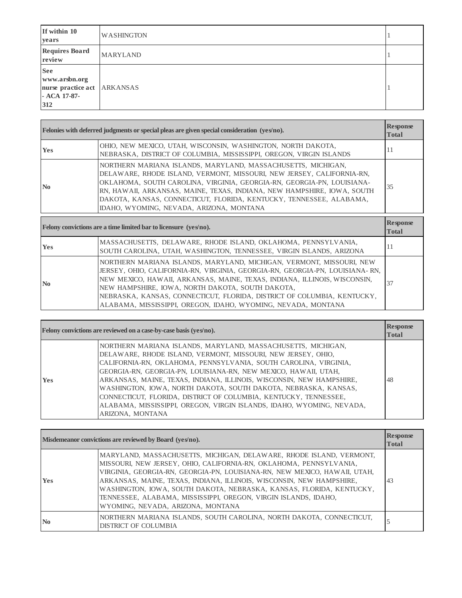| If within 10<br>years                                                    | <b>WASHINGTON</b> |  |
|--------------------------------------------------------------------------|-------------------|--|
| <b>Requires Board</b><br>review                                          | <b>MARYLAND</b>   |  |
| <b>See</b><br>www.arsbn.org<br>nurse practice act<br>- ACA 17-87-<br>312 | <b>ARKANSAS</b>   |  |

|                | Felonies with deferred judgments or special pleas are given special consideration (yes/no).                                                                                                                                                                                                                                                                                                                   |                                                           |
|----------------|---------------------------------------------------------------------------------------------------------------------------------------------------------------------------------------------------------------------------------------------------------------------------------------------------------------------------------------------------------------------------------------------------------------|-----------------------------------------------------------|
| <b>Yes</b>     | OHIO, NEW MEXICO, UTAH, WISCONSIN, WASHINGTON, NORTH DAKOTA,<br>NEBRASKA, DISTRICT OF COLUMBIA, MISSISSIPPI, OREGON, VIRGIN ISLANDS                                                                                                                                                                                                                                                                           | -14                                                       |
| N <sub>0</sub> | NORTHERN MARIANA ISLANDS, MARYLAND, MASSACHUSETTS, MICHIGAN,<br>DELAWARE, RHODE ISLAND, VERMONT, MISSOURI, NEW JERSEY, CALIFORNIA-RN,<br>OKLAHOMA, SOUTH CAROLINA, VIRGINIA, GEORGIA-RN, GEORGIA-PN, LOUISIANA-<br>RN, HAWAII, ARKANSAS, MAINE, TEXAS, INDIANA, NEW HAMPSHIRE, IOWA, SOUTH<br>DAKOTA, KANSAS, CONNECTICUT, FLORIDA, KENTUCKY, TENNESSEE, ALABAMA,<br>IDAHO, WYOMING, NEVADA, ARIZONA, MONTANA | 35                                                        |
|                | Felony convictions are a time limited bar to licensure (yes/no).                                                                                                                                                                                                                                                                                                                                              | <b>Response</b><br>$\mathbf{r}$ $\mathbf{r}$ $\mathbf{r}$ |

|                | Felony convictions are a time limited bar to licensure (yes/no).                                                                                                                                                                                                                                                                                                                                                                  | <b>TTCDhamme</b><br><b>Total</b> |
|----------------|-----------------------------------------------------------------------------------------------------------------------------------------------------------------------------------------------------------------------------------------------------------------------------------------------------------------------------------------------------------------------------------------------------------------------------------|----------------------------------|
| <b>Yes</b>     | MASSACHUSETTS, DELAWARE, RHODE ISLAND, OKLAHOMA, PENNSYLVANIA,<br>SOUTH CAROLINA, UTAH, WASHINGTON, TENNESSEE, VIRGIN ISLANDS, ARIZONA                                                                                                                                                                                                                                                                                            | Ħ                                |
| $\mathbf{N_0}$ | NORTHERN MARIANA ISLANDS, MARYLAND, MICHIGAN, VERMONT, MISSOURI, NEW<br>JERSEY, OHIO, CALIFORNIA-RN, VIRGINIA, GEORGIA-RN, GEORGIA-PN, LOUISIANA-RN,<br>NEW MEXICO, HAWAII, ARKANSAS, MAINE, TEXAS, INDIANA, ILLINOIS, WISCONSIN,<br>NEW HAMPSHIRE, IOWA, NORTH DAKOTA, SOUTH DAKOTA,<br>NEBRASKA, KANSAS, CONNECTICUT, FLORIDA, DISTRICT OF COLUMBIA, KENTUCKY,<br>ALABAMA, MISSISSIPPI, OREGON, IDAHO, WYOMING, NEVADA, MONTANA | 37                               |

|            | Felony convictions are reviewed on a case-by-case basis (yes/no).                                                                                                                                                                                                                                                                                                                                                                                                                                                                                                               | <b>Response</b><br><b>Total</b> |
|------------|---------------------------------------------------------------------------------------------------------------------------------------------------------------------------------------------------------------------------------------------------------------------------------------------------------------------------------------------------------------------------------------------------------------------------------------------------------------------------------------------------------------------------------------------------------------------------------|---------------------------------|
| <b>Yes</b> | NORTHERN MARIANA ISLANDS, MARYLAND, MASSACHUSETTS, MICHIGAN,<br>DELAWARE, RHODE ISLAND, VERMONT, MISSOURI, NEW JERSEY, OHIO,<br>CALIFORNIA-RN, OKLAHOMA, PENNSYLVANIA, SOUTH CAROLINA, VIRGINIA,<br>GEORGIA-RN, GEORGIA-PN, LOUISIANA-RN, NEW MEXICO, HAWAII, UTAH,<br>ARKANSAS, MAINE, TEXAS, INDIANA, ILLINOIS, WISCONSIN, NEW HAMPSHIRE,<br>WASHINGTON, IOWA, NORTH DAKOTA, SOUTH DAKOTA, NEBRASKA, KANSAS,<br>CONNECTICUT, FLORIDA, DISTRICT OF COLUMBIA, KENTUCKY, TENNESSEE,<br>ALABAMA, MISSISSIPPI, OREGON, VIRGIN ISLANDS, IDAHO, WYOMING, NEVADA,<br>ARIZONA, MONTANA | 48                              |

| Misdemeanor convictions are reviewed by Board (yes/no). |                                                                                                                                                                                                                                                                                                                                                                                                                                                                                | <b>Response</b><br><b>Total</b> |
|---------------------------------------------------------|--------------------------------------------------------------------------------------------------------------------------------------------------------------------------------------------------------------------------------------------------------------------------------------------------------------------------------------------------------------------------------------------------------------------------------------------------------------------------------|---------------------------------|
| <b>Yes</b>                                              | MARYLAND, MASSACHUSETTS, MICHIGAN, DELAWARE, RHODE ISLAND, VERMONT,<br>MISSOURI, NEW JERSEY, OHIO, CALIFORNIA-RN, OKLAHOMA, PENNSYLVANIA,<br>VIRGINIA, GEORGIA-RN, GEORGIA-PN, LOUISIANA-RN, NEW MEXICO, HAWAII, UTAH,<br>ARKANSAS, MAINE, TEXAS, INDIANA, ILLINOIS, WISCONSIN, NEW HAMPSHIRE,<br>WASHINGTON, IOWA, SOUTH DAKOTA, NEBRASKA, KANSAS, FLORIDA, KENTUCKY,<br>TENNESSEE, ALABAMA, MISSISSIPPI, OREGON, VIRGIN ISLANDS, IDAHO,<br>WYOMING, NEVADA, ARIZONA, MONTANA | 43                              |
| $\mathbf{N}\mathbf{0}$                                  | NORTHERN MARIANA ISLANDS, SOUTH CAROLINA, NORTH DAKOTA, CONNECTICUT,<br><b>DISTRICT OF COLUMBIA</b>                                                                                                                                                                                                                                                                                                                                                                            |                                 |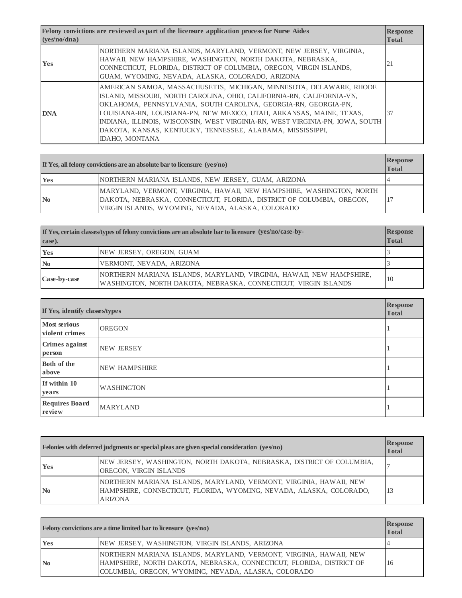| Felony convictions are reviewed as part of the licensure application process for Nurse Aides<br>( <b>ves</b> /no/dna) |                                                                                                                                                                                                                                                                                                                                                                                                                                                                  | <b>Response</b><br><b>Total</b> |
|-----------------------------------------------------------------------------------------------------------------------|------------------------------------------------------------------------------------------------------------------------------------------------------------------------------------------------------------------------------------------------------------------------------------------------------------------------------------------------------------------------------------------------------------------------------------------------------------------|---------------------------------|
| <b>Yes</b>                                                                                                            | NORTHERN MARIANA ISLANDS, MARYLAND, VERMONT, NEW JERSEY, VIRGINIA,<br>HAWAII, NEW HAMPSHIRE, WASHINGTON, NORTH DAKOTA, NEBRASKA,<br>CONNECTICUT, FLORIDA, DISTRICT OF COLUMBIA, OREGON, VIRGIN ISLANDS,<br>GUAM, WYOMING, NEVADA, ALASKA, COLORADO, ARIZONA                                                                                                                                                                                                      | 21                              |
| <b>DNA</b>                                                                                                            | AMERICAN SAMOA, MASSACHUSETTS, MICHIGAN, MINNESOTA, DELAWARE, RHODE<br>ISLAND, MISSOURI, NORTH CAROLINA, OHIO, CALIFORNIA-RN, CALIFORNIA-VN,<br>OKLAHOMA, PENNSYLVANIA, SOUTH CAROLINA, GEORGIA-RN, GEORGIA-PN,<br>LOUISIANA-RN, LOUISIANA-PN, NEW MEXICO, UTAH, ARKANSAS, MAINE, TEXAS,<br>INDIANA, ILLINOIS, WISCONSIN, WEST VIRGINIA-RN, WEST VIRGINIA-PN, IOWA, SOUTH<br>DAKOTA, KANSAS, KENTUCKY, TENNESSEE, ALABAMA, MISSISSIPPI,<br><b>IDAHO, MONTANA</b> | 37                              |

| If Yes, all felony convictions are an absolute bar to licensure $(ves/no)$ |                                                                                                                                                                                                     | <b>Response</b><br><b>Total</b> |
|----------------------------------------------------------------------------|-----------------------------------------------------------------------------------------------------------------------------------------------------------------------------------------------------|---------------------------------|
| Yes                                                                        | NORTHERN MARIANA ISLANDS, NEW JERSEY, GUAM, ARIZONA                                                                                                                                                 |                                 |
| $\mathbf{N_0}$                                                             | MARYLAND, VERMONT, VIRGINIA, HAWAII, NEW HAMPSHIRE, WASHINGTON, NORTH<br>DAKOTA, NEBRASKA, CONNECTICUT, FLORIDA, DISTRICT OF COLUMBIA, OREGON,<br>VIRGIN ISLANDS, WYOMING, NEVADA, ALASKA, COLORADO |                                 |

| If Yes, certain classes/types of felony convictions are an absolute bar to licensure (yes/no/case-by-<br>case). |                                                                                                                                         | <b>Response</b><br><b>Total</b> |
|-----------------------------------------------------------------------------------------------------------------|-----------------------------------------------------------------------------------------------------------------------------------------|---------------------------------|
| Yes                                                                                                             | NEW JERSEY, OREGON, GUAM                                                                                                                |                                 |
| $\mathbf{N_0}$                                                                                                  | VERMONT, NEVADA, ARIZONA                                                                                                                |                                 |
| Case-by-case                                                                                                    | NORTHERN MARIANA ISLANDS, MARYLAND, VIRGINIA, HAWAII, NEW HAMPSHIRE,<br>WASHINGTON, NORTH DAKOTA, NEBRASKA, CONNECTICUT, VIRGIN ISLANDS | 10                              |

| If Yes, identify classes/types        |                      | <b>Response</b><br><b>Total</b> |
|---------------------------------------|----------------------|---------------------------------|
| <b>Most serious</b><br>violent crimes | <b>OREGON</b>        |                                 |
| <b>Crimes against</b><br>person       | <b>NEW JERSEY</b>    |                                 |
| <b>Both of the</b><br>above           | <b>NEW HAMPSHIRE</b> |                                 |
| If within 10<br>years                 | <b>WASHINGTON</b>    |                                 |
| <b>Requires Board</b><br>review       | <b>MARYLAND</b>      |                                 |

|                | Felonies with deferred judgments or special pleas are given special consideration (yes/no)                                                                  | <b>Response</b><br><b>Total</b> |
|----------------|-------------------------------------------------------------------------------------------------------------------------------------------------------------|---------------------------------|
| Yes            | NEW JERSEY, WASHINGTON, NORTH DAKOTA, NEBRASKA, DISTRICT OF COLUMBIA,<br>OREGON, VIRGIN ISLANDS                                                             |                                 |
| $\mathbf{N_0}$ | NORTHERN MARIANA ISLANDS, MARYLAND, VERMONT, VIRGINIA, HAWAII, NEW<br>HAMPSHIRE, CONNECTICUT, FLORIDA, WYOMING, NEVADA, ALASKA, COLORADO,<br><b>ARIZONA</b> | 13                              |

| <b>Felony convictions are a time limited bar to licensure (yes/no)</b> |                                                                                                                                                                                                   | <b>Response</b><br><b>Total</b> |
|------------------------------------------------------------------------|---------------------------------------------------------------------------------------------------------------------------------------------------------------------------------------------------|---------------------------------|
| <b>Yes</b>                                                             | NEW JERSEY, WASHINGTON, VIRGIN ISLANDS, ARIZONA                                                                                                                                                   |                                 |
| $\mathbf{N}$ <sub>0</sub>                                              | NORTHERN MARIANA ISLANDS, MARYLAND, VERMONT, VIRGINIA, HAWAII, NEW<br>HAMPSHIRE, NORTH DAKOTA, NEBRASKA, CONNECTICUT, FLORIDA, DISTRICT OF<br>COLUMBIA, OREGON, WYOMING, NEVADA, ALASKA, COLORADO | 16                              |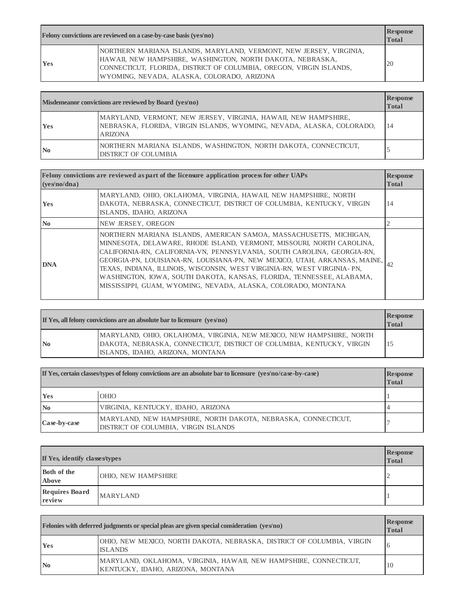|     | Felony convictions are reviewed on a case-by-case basis (yes/no)                                                                                                                                                                                      | <b>Response</b><br><b>Total</b> |
|-----|-------------------------------------------------------------------------------------------------------------------------------------------------------------------------------------------------------------------------------------------------------|---------------------------------|
| Yes | NORTHERN MARIANA ISLANDS, MARYLAND, VERMONT, NEW JERSEY, VIRGINIA,<br>HAWAII, NEW HAMPSHIRE, WASHINGTON, NORTH DAKOTA, NEBRASKA,<br>CONNECTICUT, FLORIDA, DISTRICT OF COLUMBIA, OREGON, VIRGIN ISLANDS,<br>WYOMING, NEVADA, ALASKA, COLORADO, ARIZONA | 20                              |

|                | Misdemeanor convictions are reviewed by Board (yes/no)                                                                                                     | <b>Response</b><br><b>Total</b> |
|----------------|------------------------------------------------------------------------------------------------------------------------------------------------------------|---------------------------------|
| Yes            | MARYLAND, VERMONT, NEW JERSEY, VIRGINIA, HAWAII, NEW HAMPSHIRE,<br>NEBRASKA, FLORIDA, VIRGIN ISLANDS, WYOMING, NEVADA, ALASKA, COLORADO,<br><b>ARIZONA</b> | 14                              |
| N <sub>0</sub> | NORTHERN MARIANA ISLANDS, WASHINGTON, NORTH DAKOTA, CONNECTICUT,<br>DISTRICT OF COLUMBIA                                                                   |                                 |

| ( <b>ves</b> 'no/dna) | Felony convictions are reviewed as part of the licensure application process for other UAPs                                                                                                                                                                                                                                                                                                                                                                                                                                | <b>Response</b><br><b>Total</b> |
|-----------------------|----------------------------------------------------------------------------------------------------------------------------------------------------------------------------------------------------------------------------------------------------------------------------------------------------------------------------------------------------------------------------------------------------------------------------------------------------------------------------------------------------------------------------|---------------------------------|
| <b>Yes</b>            | MARYLAND, OHIO, OKLAHOMA, VIRGINIA, HAWAII, NEW HAMPSHIRE, NORTH<br>DAKOTA, NEBRASKA, CONNECTICUT, DISTRICT OF COLUMBIA, KENTUCKY, VIRGIN<br>ISLANDS, IDAHO, ARIZONA                                                                                                                                                                                                                                                                                                                                                       | 14                              |
| N <sub>0</sub>        | NEW JERSEY, OREGON                                                                                                                                                                                                                                                                                                                                                                                                                                                                                                         |                                 |
| <b>DNA</b>            | NORTHERN MARIANA ISLANDS, AMERICAN SAMOA, MASSACHUSETTS, MICHIGAN,<br>MINNESOTA, DELAWARE, RHODE ISLAND, VERMONT, MISSOURI, NORTH CAROLINA,<br>CALIFORNIA-RN, CALIFORNIA-VN, PENNSYLVANIA, SOUTH CAROLINA, GEORGIA-RN,<br>GEORGIA-PN, LOUISIANA-RN, LOUISIANA-PN, NEW MEXICO, UTAH, ARKANSAS, MAINE,<br>TEXAS, INDIANA, ILLINOIS, WISCONSIN, WEST VIRGINIA-RN, WEST VIRGINIA- PN,<br>WASHINGTON, IOWA, SOUTH DAKOTA, KANSAS, FLORIDA, TENNESSEE, ALABAMA,<br>MISSISSIPPI, GUAM, WYOMING, NEVADA, ALASKA, COLORADO, MONTANA |                                 |

|                | If Yes, all felony convictions are an absolute bar to licensure $(ves/no)$                                                                                                        | <b>Response</b><br><b>Total</b> |
|----------------|-----------------------------------------------------------------------------------------------------------------------------------------------------------------------------------|---------------------------------|
| $\mathbf{N_0}$ | MARYLAND, OHIO, OKLAHOMA, VIRGINIA, NEW MEXICO, NEW HAMPSHIRE, NORTH<br>DAKOTA, NEBRASKA, CONNECTICUT, DISTRICT OF COLUMBIA, KENTUCKY, VIRGIN<br>ISLANDS, IDAHO, ARIZONA, MONTANA | 15                              |

| If Yes, certain classes/types of felony convictions are an absolute bar to licensure $(yes/no/case-by-case)$ |                                                                                                       | <b>Response</b><br><b>Total</b> |
|--------------------------------------------------------------------------------------------------------------|-------------------------------------------------------------------------------------------------------|---------------------------------|
| <b>Yes</b>                                                                                                   | <b>OHIO</b>                                                                                           |                                 |
| $\mathbf{N_0}$                                                                                               | VIRGINIA, KENTUCKY, IDAHO, ARIZONA                                                                    |                                 |
| Case-by-case                                                                                                 | MARYLAND, NEW HAMPSHIRE, NORTH DAKOTA, NEBRASKA, CONNECTICUT,<br>DISTRICT OF COLUMBIA, VIRGIN ISLANDS |                                 |

| If Yes, identify classes/types  |                            | <b>Response</b><br><b>Total</b> |
|---------------------------------|----------------------------|---------------------------------|
| Both of the<br><b>Above</b>     | <b>OHIO, NEW HAMPSHIRE</b> | ∼                               |
| <b>Requires Board</b><br>review | <b>MARYLAND</b>            |                                 |

|                | Felonies with deferred judgments or special pleas are given special consideration (yes/no)             | <b>Response</b><br><b>Total</b> |
|----------------|--------------------------------------------------------------------------------------------------------|---------------------------------|
| Yes            | OHIO, NEW MEXICO, NORTH DAKOTA, NEBRASKA, DISTRICT OF COLUMBIA, VIRGIN<br><b>ISLANDS</b>               |                                 |
| $\mathbf{N_0}$ | MARYLAND, OKLAHOMA, VIRGINIA, HAWAII, NEW HAMPSHIRE, CONNECTICUT,<br>KENTUCKY, IDAHO, ARIZONA, MONTANA | 10                              |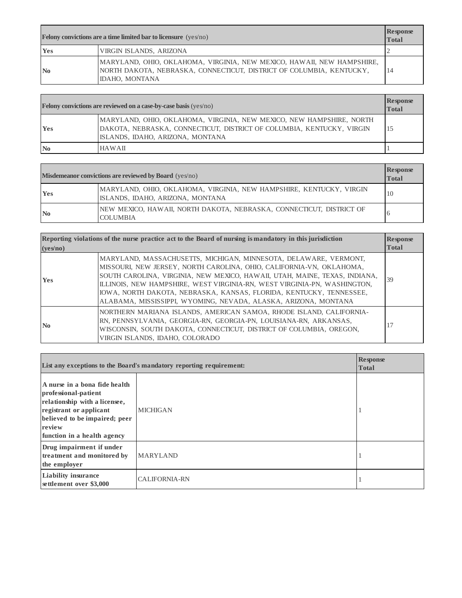| <b>Felony convictions are a time limited bar to licensure</b> $(yes/no)$ |                | <b>Response</b><br><b>Total</b>                                                                                                                                  |    |
|--------------------------------------------------------------------------|----------------|------------------------------------------------------------------------------------------------------------------------------------------------------------------|----|
|                                                                          | Yes            | VIRGIN ISLANDS, ARIZONA                                                                                                                                          |    |
|                                                                          | $\mathbf{N_0}$ | MARYLAND, OHIO, OKLAHOMA, VIRGINIA, NEW MEXICO, HAWAII, NEW HAMPSHIRE,<br>NORTH DAKOTA, NEBRASKA, CONNECTICUT, DISTRICT OF COLUMBIA, KENTUCKY,<br>IDAHO, MONTANA | 14 |

| <b>Felony convictions are reviewed on a case-by-case basis (yes/no)</b> |                                                                                                                                                                                   | <b>Response</b><br><b>Total</b> |
|-------------------------------------------------------------------------|-----------------------------------------------------------------------------------------------------------------------------------------------------------------------------------|---------------------------------|
| <b>Yes</b>                                                              | MARYLAND, OHIO, OKLAHOMA, VIRGINIA, NEW MEXICO, NEW HAMPSHIRE, NORTH<br>DAKOTA, NEBRASKA, CONNECTICUT, DISTRICT OF COLUMBIA, KENTUCKY, VIRGIN<br>ISLANDS, IDAHO, ARIZONA, MONTANA |                                 |
| N <sub>0</sub>                                                          | HAWAII                                                                                                                                                                            |                                 |

| <b>Misdemeanor convictions are reviewed by Board</b> (yes/no) |                                                                                                         | <b>Response</b><br><b>Total</b> |
|---------------------------------------------------------------|---------------------------------------------------------------------------------------------------------|---------------------------------|
| <b>Yes</b>                                                    | MARYLAND, OHIO, OKLAHOMA, VIRGINIA, NEW HAMPSHIRE, KENTUCKY, VIRGIN<br>ISLANDS, IDAHO, ARIZONA, MONTANA | 10                              |
| $\mathbf{N_0}$                                                | NEW MEXICO, HAWAII, NORTH DAKOTA, NEBRASKA, CONNECTICUT, DISTRICT OF<br><b>COLUMBIA</b>                 |                                 |

| Reporting violations of the nurse practice act to the Board of nursing is mandatory in this jurisdiction<br>( <b>ves</b> /no) |                                                                                                                                                                                                                                                                                                                                                                                                                                              | <b>Response</b><br><b>Total</b> |
|-------------------------------------------------------------------------------------------------------------------------------|----------------------------------------------------------------------------------------------------------------------------------------------------------------------------------------------------------------------------------------------------------------------------------------------------------------------------------------------------------------------------------------------------------------------------------------------|---------------------------------|
| <b>Yes</b>                                                                                                                    | MARYLAND, MASSACHUSETTS, MICHIGAN, MINNESOTA, DELAWARE, VERMONT,<br>MISSOURI, NEW JERSEY, NORTH CAROLINA, OHIO, CALIFORNIA-VN, OKLAHOMA,<br>SOUTH CAROLINA, VIRGINIA, NEW MEXICO, HAWAII, UTAH, MAINE, TEXAS, INDIANA,<br>ILLINOIS, NEW HAMPSHIRE, WEST VIRGINIA-RN, WEST VIRGINIA-PN, WASHINGTON,<br>IOWA, NORTH DAKOTA, NEBRASKA, KANSAS, FLORIDA, KENTUCKY, TENNESSEE,<br>ALABAMA, MISSISSIPPI, WYOMING, NEVADA, ALASKA, ARIZONA, MONTANA | 39                              |
| N <sub>0</sub>                                                                                                                | NORTHERN MARIANA ISLANDS, AMERICAN SAMOA, RHODE ISLAND, CALIFORNIA-<br>RN, PENNSYLVANIA, GEORGIA-RN, GEORGIA-PN, LOUISIANA-RN, ARKANSAS,<br>WISCONSIN, SOUTH DAKOTA, CONNECTICUT, DISTRICT OF COLUMBIA, OREGON,<br>VIRGIN ISLANDS, IDAHO, COLORADO                                                                                                                                                                                           | 17                              |

| List any exceptions to the Board's mandatory reporting requirement:                                                                                                                         |                      | <b>Response</b><br><b>Total</b> |
|---------------------------------------------------------------------------------------------------------------------------------------------------------------------------------------------|----------------------|---------------------------------|
| A nurse in a bona fide health<br>professional-patient<br>relationship with a licensee,<br>registrant or applicant<br>believed to be impaired; peer<br>review<br>function in a health agency | <b>MICHIGAN</b>      |                                 |
| Drug impairment if under<br>treatment and monitored by<br>the employer                                                                                                                      | <b>MARYLAND</b>      |                                 |
| <b>Liability insurance</b><br>settlement over \$3,000                                                                                                                                       | <b>CALIFORNIA-RN</b> |                                 |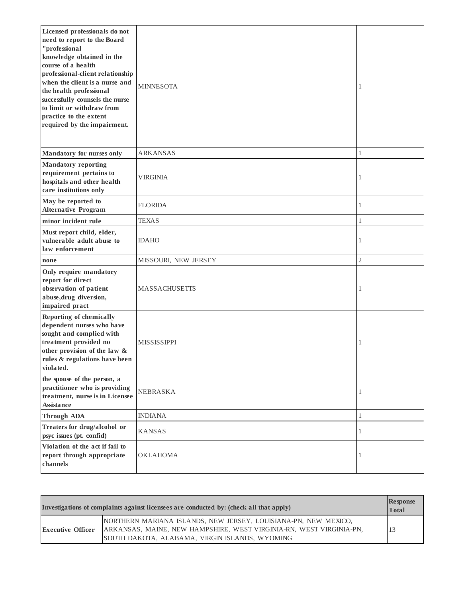| Licensed professionals do not<br>need to report to the Board<br>"professional<br>knowledge obtained in the<br>course of a health<br>professional-client relationship<br>when the client is a nurse and<br>the health professional<br>successfully counsels the nurse<br>to limit or withdraw from<br>practice to the extent<br>required by the impairment. | <b>MINNESOTA</b>     | -1             |
|------------------------------------------------------------------------------------------------------------------------------------------------------------------------------------------------------------------------------------------------------------------------------------------------------------------------------------------------------------|----------------------|----------------|
| Mandatory for nurses only                                                                                                                                                                                                                                                                                                                                  | <b>ARKANSAS</b>      | 1              |
| <b>Mandatory reporting</b><br>requirement pertains to<br>hospitals and other health<br>care institutions only                                                                                                                                                                                                                                              | <b>VIRGINIA</b>      | 1              |
| May be reported to<br><b>Alternative Program</b>                                                                                                                                                                                                                                                                                                           | <b>FLORIDA</b>       | 1              |
| minor incident rule                                                                                                                                                                                                                                                                                                                                        | TEXAS                | 1              |
| Must report child, elder,<br>vulnerable adult abuse to<br>law enforcement                                                                                                                                                                                                                                                                                  | <b>IDAHO</b>         | 1              |
| none                                                                                                                                                                                                                                                                                                                                                       | MISSOURI, NEW JERSEY | $\mathfrak{2}$ |
| Only require mandatory<br>report for direct<br>observation of patient<br>abuse, drug diversion,<br>impaired pract                                                                                                                                                                                                                                          | <b>MASSACHUSETTS</b> | 1              |
| <b>Reporting of chemically</b><br>dependent nurses who have<br>sought and complied with<br>treatment provided no<br>other provision of the law &<br>rules & regulations have been<br>violated.                                                                                                                                                             | <b>MISSISSIPPI</b>   | 1              |
| the spouse of the person, a<br>practitioner who is providing<br>treatment, nurse is in Licensee<br>Assistance                                                                                                                                                                                                                                              | <b>NEBRASKA</b>      | 1              |
| <b>Through ADA</b>                                                                                                                                                                                                                                                                                                                                         | <b>INDIANA</b>       | 1              |
| Treaters for drug/alcohol or<br>psyc issues (pt. confid)                                                                                                                                                                                                                                                                                                   | <b>KANSAS</b>        | 1              |
| Violation of the act if fail to<br>report through appropriate<br>channels                                                                                                                                                                                                                                                                                  | OKLAHOMA             | 1              |

|                          | Investigations of complaints against licensees are conducted by: (check all that apply)                                                                                                  | <b>Response</b><br><b>Total</b> |
|--------------------------|------------------------------------------------------------------------------------------------------------------------------------------------------------------------------------------|---------------------------------|
| <b>Executive Officer</b> | NORTHERN MARIANA ISLANDS, NEW JERSEY, LOUISIANA-PN, NEW MEXICO,<br>ARKANSAS, MAINE, NEW HAMPSHIRE, WEST VIRGINIA-RN, WEST VIRGINIA-PN,<br>SOUTH DAKOTA, ALABAMA, VIRGIN ISLANDS, WYOMING |                                 |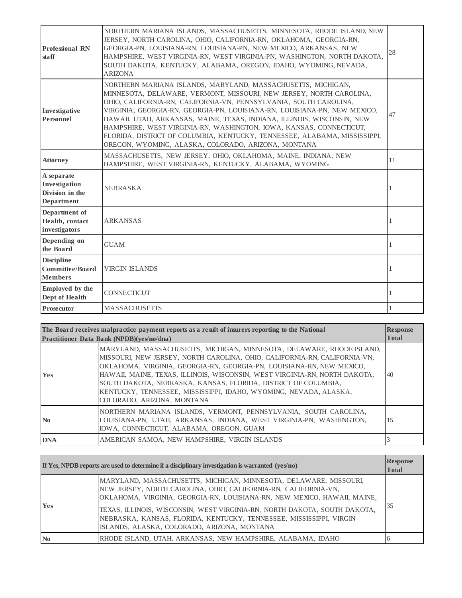| <b>Professional RN</b><br>staff                              | NORTHERN MARIANA ISLANDS, MASSACHUSETTS, MINNESOTA, RHODE ISLAND, NEW<br>JERSEY, NORTH CAROLINA, OHIO, CALIFORNIA-RN, OKLAHOMA, GEORGIA-RN,<br>GEORGIA-PN, LOUISIANA-RN, LOUISIANA-PN, NEW MEXICO, ARKANSAS, NEW<br>HAMPSHIRE, WEST VIRGINIA-RN, WEST VIRGINIA-PN, WASHINGTON, NORTH DAKOTA,<br>SOUTH DAKOTA, KENTUCKY, ALABAMA, OREGON, IDAHO, WYOMING, NEVADA,<br><b>ARIZONA</b>                                                                                                                                                                                          | 28 |
|--------------------------------------------------------------|-----------------------------------------------------------------------------------------------------------------------------------------------------------------------------------------------------------------------------------------------------------------------------------------------------------------------------------------------------------------------------------------------------------------------------------------------------------------------------------------------------------------------------------------------------------------------------|----|
| Investigative<br>Personnel                                   | NORTHERN MARIANA ISLANDS, MARYLAND, MASSACHUSETTS, MICHIGAN,<br>MINNESOTA, DELAWARE, VERMONT, MISSOURI, NEW JERSEY, NORTH CAROLINA,<br>OHIO, CALIFORNIA-RN, CALIFORNIA-VN, PENNSYLVANIA, SOUTH CAROLINA,<br>VIRGINIA, GEORGIA-RN, GEORGIA-PN, LOUISIANA-RN, LOUISIANA-PN, NEW MEXICO,<br>HAWAII, UTAH, ARKANSAS, MAINE, TEXAS, INDIANA, ILLINOIS, WISCONSIN, NEW<br>HAMPSHIRE, WEST VIRGINIA-RN, WASHINGTON, IOWA, KANSAS, CONNECTICUT,<br>FLORIDA, DISTRICT OF COLUMBIA, KENTUCKY, TENNESSEE, ALABAMA, MISSISSIPPI,<br>OREGON, WYOMING, ALASKA, COLORADO, ARIZONA, MONTANA | 47 |
| <b>Attorney</b>                                              | MASSACHUSETTS, NEW JERSEY, OHIO, OKLAHOMA, MAINE, INDIANA, NEW<br>HAMPSHIRE, WEST VIRGINIA-RN, KENTUCKY, ALABAMA, WYOMING                                                                                                                                                                                                                                                                                                                                                                                                                                                   | 11 |
| A separate<br>Investigation<br>Division in the<br>Department | <b>NEBRASKA</b>                                                                                                                                                                                                                                                                                                                                                                                                                                                                                                                                                             |    |
| Department of<br>Health, contact<br>investigators            | ARKANSAS                                                                                                                                                                                                                                                                                                                                                                                                                                                                                                                                                                    |    |
| Depending on<br>the Board                                    | <b>GUAM</b>                                                                                                                                                                                                                                                                                                                                                                                                                                                                                                                                                                 |    |
| <b>Discipline</b><br>Committee/Board<br><b>Members</b>       | <b>VIRGIN ISLANDS</b>                                                                                                                                                                                                                                                                                                                                                                                                                                                                                                                                                       |    |
| <b>Employed</b> by the<br>Dept of Health                     | <b>CONNECTICUT</b>                                                                                                                                                                                                                                                                                                                                                                                                                                                                                                                                                          |    |
| <b>Prosecutor</b>                                            | <b>MASSACHUSETTS</b>                                                                                                                                                                                                                                                                                                                                                                                                                                                                                                                                                        |    |

| The Board receives malpractice payment reports as a result of insurers reporting to the National<br><b>Practitioner Data Bank (NPDB)(ves/no/dna)</b> |                                                                                                                                                                                                                                                                                                                                                                                                                                                                                | <b>Response</b><br><b>Total</b> |
|------------------------------------------------------------------------------------------------------------------------------------------------------|--------------------------------------------------------------------------------------------------------------------------------------------------------------------------------------------------------------------------------------------------------------------------------------------------------------------------------------------------------------------------------------------------------------------------------------------------------------------------------|---------------------------------|
| <b>Yes</b>                                                                                                                                           | MARYLAND, MASSACHUSETTS, MICHIGAN, MINNESOTA, DELAWARE, RHODE ISLAND,<br>MISSOURI, NEW JERSEY, NORTH CAROLINA, OHIO, CALIFORNIA-RN, CALIFORNIA-VN,<br>OKLAHOMA, VIRGINIA, GEORGIA-RN, GEORGIA-PN, LOUISIANA-RN, NEW MEXICO,<br>HAWAII, MAINE, TEXAS, ILLINOIS, WISCONSIN, WEST VIRGINIA-RN, NORTH DAKOTA,<br>SOUTH DAKOTA, NEBRASKA, KANSAS, FLORIDA, DISTRICT OF COLUMBIA,<br>KENTUCKY, TENNESSEE, MISSISSIPPI, IDAHO, WYOMING, NEVADA, ALASKA,<br>COLORADO, ARIZONA, MONTANA | 40                              |
| No.                                                                                                                                                  | NORTHERN MARIANA ISLANDS, VERMONT, PENNSYLVANIA, SOUTH CAROLINA,<br>LOUISIANA-PN, UTAH, ARKANSAS, INDIANA, WEST VIRGINIA-PN, WASHINGTON,<br>IOWA, CONNECTICUT, ALABAMA, OREGON, GUAM                                                                                                                                                                                                                                                                                           | 15                              |
| <b>DNA</b>                                                                                                                                           | AMERICAN SAMOA, NEW HAMPSHIRE, VIRGIN ISLANDS                                                                                                                                                                                                                                                                                                                                                                                                                                  |                                 |

|                | If Yes, NPDB reports are used to determine if a disciplinary investigation is warranted $(yes/no)$                                                                                                                                                                                                                                                                                                                  | <b>Response</b><br><b>Total</b> |
|----------------|---------------------------------------------------------------------------------------------------------------------------------------------------------------------------------------------------------------------------------------------------------------------------------------------------------------------------------------------------------------------------------------------------------------------|---------------------------------|
| <b>Yes</b>     | MARYLAND, MASSACHUSETTS, MICHIGAN, MINNESOTA, DELAWARE, MISSOURI,<br>NEW JERSEY, NORTH CAROLINA, OHIO, CALIFORNIA-RN, CALIFORNIA-VN,<br>OKLAHOMA, VIRGINIA, GEORGIA-RN, LOUISIANA-RN, NEW MEXICO, HAWAII, MAINE,<br>TEXAS, ILLINOIS, WISCONSIN, WEST VIRGINIA-RN, NORTH DAKOTA, SOUTH DAKOTA,<br>NEBRASKA, KANSAS, FLORIDA, KENTUCKY, TENNESSEE, MISSISSIPPI, VIRGIN<br>ISLANDS, ALASKA, COLORADO, ARIZONA, MONTANA | 35                              |
| $\mathbf{N_0}$ | RHODE ISLAND, UTAH, ARKANSAS, NEW HAMPSHIRE, ALABAMA, IDAHO                                                                                                                                                                                                                                                                                                                                                         |                                 |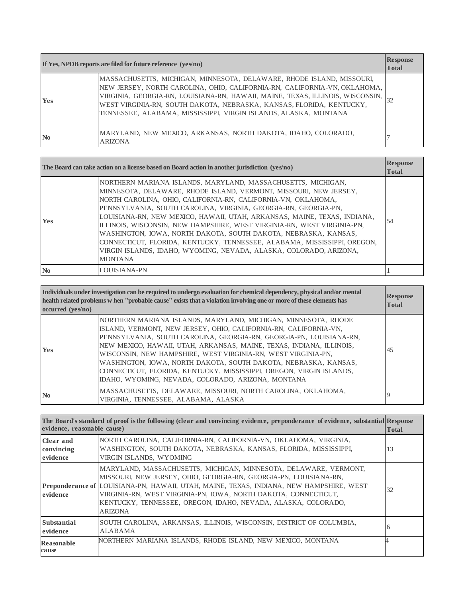| If Yes, NPDB reports are filed for future reference (yes/no) |                                                                                                                                                                                                                                                                                                                                                                                  | <b>Response</b><br><b>Total</b> |
|--------------------------------------------------------------|----------------------------------------------------------------------------------------------------------------------------------------------------------------------------------------------------------------------------------------------------------------------------------------------------------------------------------------------------------------------------------|---------------------------------|
| <b>Yes</b>                                                   | MASSACHUSETTS, MICHIGAN, MINNESOTA, DELAWARE, RHODE ISLAND, MISSOURI,<br>NEW JERSEY, NORTH CAROLINA, OHIO, CALIFORNIA-RN, CALIFORNIA-VN, OKLAHOMA,<br>VIRGINIA, GEORGIA-RN, LOUISIANA-RN, HAWAII, MAINE, TEXAS, ILLINOIS, WISCONSIN,<br>WEST VIRGINIA-RN, SOUTH DAKOTA, NEBRASKA, KANSAS, FLORIDA, KENTUCKY,<br>TENNESSEE, ALABAMA, MISSISSIPPI, VIRGIN ISLANDS, ALASKA, MONTANA | 32                              |
| N <sub>0</sub>                                               | MARYLAND, NEW MEXICO, ARKANSAS, NORTH DAKOTA, IDAHO, COLORADO,<br><b>ARIZONA</b>                                                                                                                                                                                                                                                                                                 |                                 |

|                | The Board can take action on a license based on Board action in another jurisdiction (yes/no)                                                                                                                                                                                                                                                                                                                                                                                                                                                                                                                                                                       | <b>Response</b><br><b>Total</b> |
|----------------|---------------------------------------------------------------------------------------------------------------------------------------------------------------------------------------------------------------------------------------------------------------------------------------------------------------------------------------------------------------------------------------------------------------------------------------------------------------------------------------------------------------------------------------------------------------------------------------------------------------------------------------------------------------------|---------------------------------|
| <b>Yes</b>     | NORTHERN MARIANA ISLANDS, MARYLAND, MASSACHUSETTS, MICHIGAN,<br>MINNESOTA, DELAWARE, RHODE ISLAND, VERMONT, MISSOURI, NEW JERSEY,<br>NORTH CAROLINA, OHIO, CALIFORNIA-RN, CALIFORNIA-VN, OKLAHOMA,<br>PENNSYLVANIA, SOUTH CAROLINA, VIRGINIA, GEORGIA-RN, GEORGIA-PN,<br>LOUISIANA-RN, NEW MEXICO, HAWAII, UTAH, ARKANSAS, MAINE, TEXAS, INDIANA,<br>ILLINOIS, WISCONSIN, NEW HAMPSHIRE, WEST VIRGINIA-RN, WEST VIRGINIA-PN,<br>WASHINGTON, IOWA, NORTH DAKOTA, SOUTH DAKOTA, NEBRASKA, KANSAS,<br>CONNECTICUT, FLORIDA, KENTUCKY, TENNESSEE, ALABAMA, MISSISSIPPI, OREGON,<br>VIRGIN ISLANDS, IDAHO, WYOMING, NEVADA, ALASKA, COLORADO, ARIZONA,<br><b>MONTANA</b> | 54                              |
| N <sub>0</sub> | LOUISIANA-PN                                                                                                                                                                                                                                                                                                                                                                                                                                                                                                                                                                                                                                                        |                                 |

| Individuals under investigation can be required to undergo evaluation for chemical dependency, physical and/or mental<br>health related problems w hen "probable cause" exists that a violation involving one or more of these elements has<br>occurred (ves/no) |                                                                                                                                                                                                                                                                                                                                                                                                                                                                                                                                                     | <b>Response</b><br><b>Total</b> |
|------------------------------------------------------------------------------------------------------------------------------------------------------------------------------------------------------------------------------------------------------------------|-----------------------------------------------------------------------------------------------------------------------------------------------------------------------------------------------------------------------------------------------------------------------------------------------------------------------------------------------------------------------------------------------------------------------------------------------------------------------------------------------------------------------------------------------------|---------------------------------|
| <b>Yes</b>                                                                                                                                                                                                                                                       | NORTHERN MARIANA ISLANDS, MARYLAND, MICHIGAN, MINNESOTA, RHODE<br>ISLAND, VERMONT, NEW JERSEY, OHIO, CALIFORNIA-RN, CALIFORNIA-VN,<br>PENNSYLVANIA, SOUTH CAROLINA, GEORGIA-RN, GEORGIA-PN, LOUISIANA-RN,<br>NEW MEXICO, HAWAII, UTAH, ARKANSAS, MAINE, TEXAS, INDIANA, ILLINOIS,<br>WISCONSIN, NEW HAMPSHIRE, WEST VIRGINIA-RN, WEST VIRGINIA-PN,<br>WASHINGTON, IOWA, NORTH DAKOTA, SOUTH DAKOTA, NEBRASKA, KANSAS,<br>CONNECTICUT, FLORIDA, KENTUCKY, MISSISSIPPI, OREGON, VIRGIN ISLANDS,<br>IDAHO, WYOMING, NEVADA, COLORADO, ARIZONA, MONTANA | 45                              |
| $\mathbf{N}\mathbf{0}$                                                                                                                                                                                                                                           | MASSACHUSETTS, DELAWARE, MISSOURI, NORTH CAROLINA, OKLAHOMA,<br>VIRGINIA, TENNESSEE, ALABAMA, ALASKA                                                                                                                                                                                                                                                                                                                                                                                                                                                |                                 |

| evidence, reasonable cause)         | The Board's standard of proof is the following (clear and convincing evidence, preponderance of evidence, substantial Response                                                                                                                                                                                                                                                         | <b>Total</b> |
|-------------------------------------|----------------------------------------------------------------------------------------------------------------------------------------------------------------------------------------------------------------------------------------------------------------------------------------------------------------------------------------------------------------------------------------|--------------|
| Clear and<br>convincing<br>evidence | NORTH CAROLINA, CALIFORNIA-RN, CALIFORNIA-VN, OKLAHOMA, VIRGINIA,<br>WASHINGTON, SOUTH DAKOTA, NEBRASKA, KANSAS, FLORIDA, MISSISSIPPI,<br>VIRGIN ISLANDS, WYOMING                                                                                                                                                                                                                      | 13           |
| evidence                            | MARYLAND, MASSACHUSETTS, MICHIGAN, MINNESOTA, DELAWARE, VERMONT,<br>MISSOURI, NEW JERSEY, OHIO, GEORGIA-RN, GEORGIA-PN, LOUISIANA-RN,<br>Preponderance of LOUISIANA-PN, HAWAII, UTAH, MAINE, TEXAS, INDIANA, NEW HAMPSHIRE, WEST<br>VIRGINIA-RN, WEST VIRGINIA-PN, IOWA, NORTH DAKOTA, CONNECTICUT,<br>KENTUCKY, TENNESSEE, OREGON, IDAHO, NEVADA, ALASKA, COLORADO,<br><b>ARIZONA</b> | 32           |
| Substantial<br>evidence             | SOUTH CAROLINA, ARKANSAS, ILLINOIS, WISCONSIN, DISTRICT OF COLUMBIA,<br><b>ALABAMA</b>                                                                                                                                                                                                                                                                                                 | <sub>0</sub> |
| Reasonable<br>cause                 | NORTHERN MARIANA ISLANDS, RHODE ISLAND, NEW MEXICO, MONTANA                                                                                                                                                                                                                                                                                                                            |              |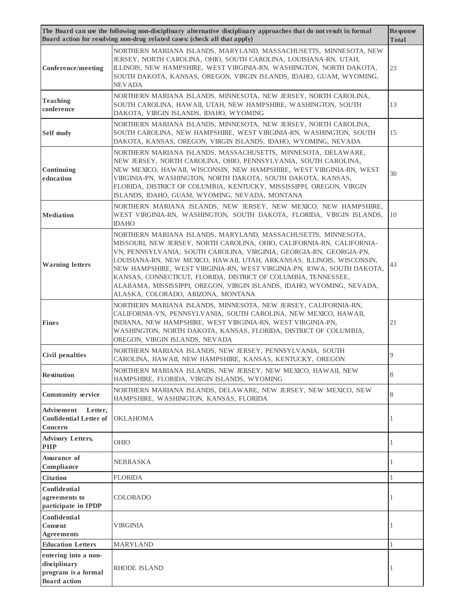|                                                                                    | The Board can use the following non-disciplinary alternative disciplinary approaches that do not result in formal<br>Board action for resolving non-drug related cases: (check all that apply)                                                                                                                                                                                                                                                                                                                                                      | <b>Response</b><br><b>Total</b> |
|------------------------------------------------------------------------------------|-----------------------------------------------------------------------------------------------------------------------------------------------------------------------------------------------------------------------------------------------------------------------------------------------------------------------------------------------------------------------------------------------------------------------------------------------------------------------------------------------------------------------------------------------------|---------------------------------|
| <b>Conference/meeting</b>                                                          | NORTHERN MARIANA ISLANDS, MARYLAND, MASSACHUSETTS, MINNESOTA, NEW<br>JERSEY, NORTH CAROLINA, OHIO, SOUTH CAROLINA, LOUISIANA-RN, UTAH,<br>ILLINOIS, NEW HAMPSHIRE, WEST VIRGINIA-RN, WASHINGTON, NORTH DAKOTA,<br>SOUTH DAKOTA, KANSAS, OREGON, VIRGIN ISLANDS, IDAHO, GUAM, WYOMING,<br><b>NEVADA</b>                                                                                                                                                                                                                                              | 23                              |
| <b>Teaching</b><br>conference                                                      | NORTHERN MARIANA ISLANDS, MINNESOTA, NEW JERSEY, NORTH CAROLINA,<br>SOUTH CAROLINA, HAWAII, UTAH, NEW HAMPSHIRE, WASHINGTON, SOUTH<br>DAKOTA, VIRGIN ISLANDS, IDAHO, WYOMING                                                                                                                                                                                                                                                                                                                                                                        | 13                              |
| <b>Self study</b>                                                                  | NORTHERN MARIANA ISLANDS, MINNESOTA, NEW JERSEY, NORTH CAROLINA,<br>SOUTH CAROLINA, NEW HAMPSHIRE, WEST VIRGINIA-RN, WASHINGTON, SOUTH<br>DAKOTA, KANSAS, OREGON, VIRGIN ISLANDS, IDAHO, WYOMING, NEVADA                                                                                                                                                                                                                                                                                                                                            | 15                              |
| Continuing<br>education                                                            | NORTHERN MARIANA ISLANDS, MASSACHUSETTS, MINNESOTA, DELAWARE,<br>NEW JERSEY, NORTH CAROLINA, OHIO, PENNSYLVANIA, SOUTH CAROLINA,<br>NEW MEXICO, HAWAII, WISCONSIN, NEW HAMPSHIRE, WEST VIRGINIA-RN, WEST<br>VIRGINIA-PN, WASHINGTON, NORTH DAKOTA, SOUTH DAKOTA, KANSAS,<br>FLORIDA, DISTRICT OF COLUMBIA, KENTUCKY, MISSISSIPPI, OREGON, VIRGIN<br>ISLANDS, IDAHO, GUAM, WYOMING, NEVADA, MONTANA                                                                                                                                                  | 30                              |
| <b>Mediation</b>                                                                   | NORTHERN MARIANA ISLANDS, NEW JERSEY, NEW MEXICO, NEW HAMPSHIRE,<br>WEST VIRGINIA-RN, WASHINGTON, SOUTH DAKOTA, FLORIDA, VIRGIN ISLANDS,<br><b>IDAHO</b>                                                                                                                                                                                                                                                                                                                                                                                            | 10                              |
| <b>Warning letters</b>                                                             | NORTHERN MARIANA ISLANDS, MARYLAND, MASSACHUSETTS, MINNESOTA,<br>MISSOURI, NEW JERSEY, NORTH CAROLINA, OHIO, CALIFORNIA-RN, CALIFORNIA-<br>VN, PENNSYLVANIA, SOUTH CAROLINA, VIRGINIA, GEORGIA-RN, GEORGIA-PN,<br>LOUISIANA-RN, NEW MEXICO, HAWAII, UTAH, ARKANSAS, ILLINOIS, WISCONSIN,<br>NEW HAMPSHIRE, WEST VIRGINIA-RN, WEST VIRGINIA-PN, IOWA, SOUTH DAKOTA,<br>KANSAS, CONNECTICUT, FLORIDA, DISTRICT OF COLUMBIA, TENNESSEE,<br>ALABAMA, MISSISSIPPI, OREGON, VIRGIN ISLANDS, IDAHO, WYOMING, NEVADA,<br>ALASKA, COLORADO, ARIZONA, MONTANA | 43                              |
| <b>Fines</b>                                                                       | NORTHERN MARIANA ISLANDS, MINNESOTA, NEW JERSEY, CALIFORNIA-RN,<br>CALIFORNIA-VN, PENNSYLVANIA, SOUTH CAROLINA, NEW MEXICO, HAWAII,<br>INDIANA, NEW HAMPSHIRE, WEST VIRGINIA-RN, WEST VIRGINIA-PN,<br>WASHINGTON, NORTH DAKOTA, KANSAS, FLORIDA, DISTRICT OF COLUMBIA,<br>OREGON, VIRGIN ISLANDS, NEVADA                                                                                                                                                                                                                                            | 21                              |
| <b>Civil penalties</b>                                                             | NORTHERN MARIANA ISLANDS, NEW JERSEY, PENNSYLVANIA, SOUTH<br>CAROLINA, HAWAII, NEW HAMPSHIRE, KANSAS, KENTUCKY, OREGON                                                                                                                                                                                                                                                                                                                                                                                                                              | 9                               |
| <b>Restitution</b>                                                                 | NORTHERN MARIANA ISLANDS, NEW JERSEY, NEW MEXICO, HAWAII, NEW<br>HAMPSHIRE, FLORIDA, VIRGIN ISLANDS, WYOMING                                                                                                                                                                                                                                                                                                                                                                                                                                        | 8                               |
| <b>Community service</b>                                                           | NORTHERN MARIANA ISLANDS, DELAWARE, NEW JERSEY, NEW MEXICO, NEW<br>HAMPSHIRE, WASHINGTON, KANSAS, FLORIDA                                                                                                                                                                                                                                                                                                                                                                                                                                           | 8                               |
| Advisement<br>Letter,<br><b>Confidential Letter of</b><br>Concern                  | <b>OKLAHOMA</b>                                                                                                                                                                                                                                                                                                                                                                                                                                                                                                                                     | 1                               |
| <b>Advisory Letters,</b><br><b>PIIP</b>                                            | <b>OHIO</b>                                                                                                                                                                                                                                                                                                                                                                                                                                                                                                                                         | 1                               |
| Assurance of<br>Compliance                                                         | NEBRASKA                                                                                                                                                                                                                                                                                                                                                                                                                                                                                                                                            | 1                               |
| <b>Citation</b>                                                                    | FLORIDA                                                                                                                                                                                                                                                                                                                                                                                                                                                                                                                                             | 1                               |
| Confidential<br>agreements to<br>participate in IPDP                               | <b>COLORADO</b>                                                                                                                                                                                                                                                                                                                                                                                                                                                                                                                                     | 1                               |
| Confidential<br><b>Consent</b><br><b>Agreements</b>                                | VIRGINIA                                                                                                                                                                                                                                                                                                                                                                                                                                                                                                                                            | 1                               |
| <b>Education Letters</b>                                                           | <b>MARYLAND</b>                                                                                                                                                                                                                                                                                                                                                                                                                                                                                                                                     | $\mathbf{1}$                    |
| entering into a non-<br>disciplinary<br>program is a formal<br><b>Board</b> action | <b>RHODE ISLAND</b>                                                                                                                                                                                                                                                                                                                                                                                                                                                                                                                                 | 1                               |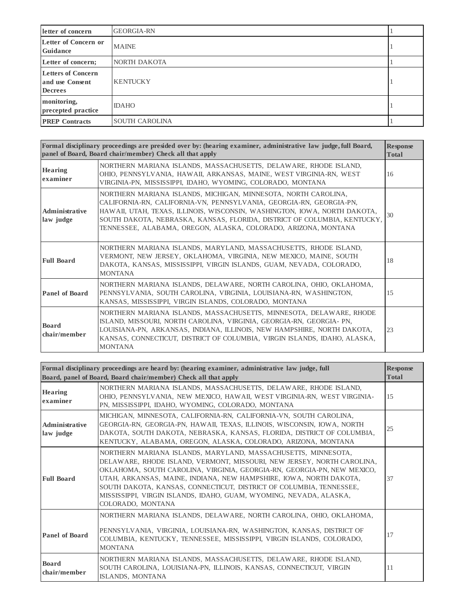| letter of concern                                              | <b>GEORGIA-RN</b>     |  |
|----------------------------------------------------------------|-----------------------|--|
| Letter of Concern or<br><b>Guidance</b>                        | <b>MAINE</b>          |  |
| Letter of concern;                                             | NORTH DAKOTA          |  |
| <b>Letters of Concern</b><br>and use Consent<br><b>Decrees</b> | <b>KENTUCKY</b>       |  |
| monitoring,<br>precepted practice                              | <b>IDAHO</b>          |  |
| <b>PREP</b> Contracts                                          | <b>SOUTH CAROLINA</b> |  |

|                              | Formal disciplinary proceedings are presided over by: (hearing examiner, administrative law judge, full Board,<br>panel of Board, Board chair/member) Check all that apply                                                                                                                                                                                       | <b>Response</b><br><b>Total</b> |
|------------------------------|------------------------------------------------------------------------------------------------------------------------------------------------------------------------------------------------------------------------------------------------------------------------------------------------------------------------------------------------------------------|---------------------------------|
| <b>Hearing</b><br>examiner   | NORTHERN MARIANA ISLANDS, MASSACHUSETTS, DELAWARE, RHODE ISLAND,<br>OHIO, PENNSYLVANIA, HAWAII, ARKANSAS, MAINE, WEST VIRGINIA-RN, WEST<br>VIRGINIA-PN, MISSISSIPPI, IDAHO, WYOMING, COLORADO, MONTANA                                                                                                                                                           | 16                              |
| Administrative<br>law judge  | NORTHERN MARIANA ISLANDS, MICHIGAN, MINNESOTA, NORTH CAROLINA,<br>CALIFORNIA-RN, CALIFORNIA-VN, PENNSYLVANIA, GEORGIA-RN, GEORGIA-PN,<br>HAWAII, UTAH, TEXAS, ILLINOIS, WISCONSIN, WASHINGTON, IOWA, NORTH DAKOTA,<br>SOUTH DAKOTA, NEBRASKA, KANSAS, FLORIDA, DISTRICT OF COLUMBIA, KENTUCKY,<br>TENNESSEE, ALABAMA, OREGON, ALASKA, COLORADO, ARIZONA, MONTANA | 30                              |
| <b>Full Board</b>            | NORTHERN MARIANA ISLANDS, MARYLAND, MASSACHUSETTS, RHODE ISLAND,<br>VERMONT, NEW JERSEY, OKLAHOMA, VIRGINIA, NEW MEXICO, MAINE, SOUTH<br>DAKOTA, KANSAS, MISSISSIPPI, VIRGIN ISLANDS, GUAM, NEVADA, COLORADO,<br><b>MONTANA</b>                                                                                                                                  | 18                              |
| <b>Panel of Board</b>        | NORTHERN MARIANA ISLANDS, DELAWARE, NORTH CAROLINA, OHIO, OKLAHOMA,<br>PENNSYLVANIA, SOUTH CAROLINA, VIRGINIA, LOUISIANA-RN, WASHINGTON,<br>KANSAS, MISSISSIPPI, VIRGIN ISLANDS, COLORADO, MONTANA                                                                                                                                                               | 15                              |
| <b>Board</b><br>chair/member | NORTHERN MARIANA ISLANDS, MASSACHUSETTS, MINNESOTA, DELAWARE, RHODE<br>ISLAND, MISSOURI, NORTH CAROLINA, VIRGINIA, GEORGIA-RN, GEORGIA-PN,<br>LOUISIANA-PN, ARKANSAS, INDIANA, ILLINOIS, NEW HAMPSHIRE, NORTH DAKOTA,<br>KANSAS, CONNECTICUT, DISTRICT OF COLUMBIA, VIRGIN ISLANDS, IDAHO, ALASKA,<br><b>MONTANA</b>                                             | 23                              |

|                                    | Formal disciplinary proceedings are heard by: (hearing examiner, administrative law judge, full<br>Board, panel of Board, Board chair/member) Check all that apply                                                                                                                                                                                                                                                                                         |    |
|------------------------------------|------------------------------------------------------------------------------------------------------------------------------------------------------------------------------------------------------------------------------------------------------------------------------------------------------------------------------------------------------------------------------------------------------------------------------------------------------------|----|
| <b>Hearing</b><br>examiner         | NORTHERN MARIANA ISLANDS, MASSACHUSETTS, DELAWARE, RHODE ISLAND,<br>OHIO, PENNSYLVANIA, NEW MEXICO, HAWAII, WEST VIRGINIA-RN, WEST VIRGINIA-<br>PN, MISSISSIPPI, IDAHO, WYOMING, COLORADO, MONTANA                                                                                                                                                                                                                                                         | 15 |
| <b>Administrative</b><br>law judge | MICHIGAN, MINNESOTA, CALIFORNIA-RN, CALIFORNIA-VN, SOUTH CAROLINA,<br>GEORGIA-RN, GEORGIA-PN, HAWAII, TEXAS, ILLINOIS, WISCONSIN, IOWA, NORTH<br>DAKOTA, SOUTH DAKOTA, NEBRASKA, KANSAS, FLORIDA, DISTRICT OF COLUMBIA,<br>KENTUCKY, ALABAMA, OREGON, ALASKA, COLORADO, ARIZONA, MONTANA                                                                                                                                                                   | 25 |
| <b>Full Board</b>                  | NORTHERN MARIANA ISLANDS, MARYLAND, MASSACHUSETTS, MINNESOTA,<br>DELAWARE, RHODE ISLAND, VERMONT, MISSOURI, NEW JERSEY, NORTH CAROLINA,<br>OKLAHOMA, SOUTH CAROLINA, VIRGINIA, GEORGIA-RN, GEORGIA-PN, NEW MEXICO,<br>UTAH, ARKANSAS, MAINE, INDIANA, NEW HAMPSHIRE, IOWA, NORTH DAKOTA,<br>SOUTH DAKOTA, KANSAS, CONNECTICUT, DISTRICT OF COLUMBIA, TENNESSEE,<br>MISSISSIPPI, VIRGIN ISLANDS, IDAHO, GUAM, WYOMING, NEVADA, ALASKA,<br>COLORADO, MONTANA | 37 |
| <b>Panel of Board</b>              | NORTHERN MARIANA ISLANDS, DELAWARE, NORTH CAROLINA, OHIO, OKLAHOMA,<br>PENNSYLVANIA, VIRGINIA, LOUISIANA-RN, WASHINGTON, KANSAS, DISTRICT OF<br>COLUMBIA, KENTUCKY, TENNESSEE, MISSISSIPPI, VIRGIN ISLANDS, COLORADO,<br><b>MONTANA</b>                                                                                                                                                                                                                    | 17 |
| <b>Board</b><br>chair/member       | NORTHERN MARIANA ISLANDS, MASSACHUSETTS, DELAWARE, RHODE ISLAND,<br>SOUTH CAROLINA, LOUISIANA-PN, ILLINOIS, KANSAS, CONNECTICUT, VIRGIN<br>ISLANDS, MONTANA                                                                                                                                                                                                                                                                                                | 11 |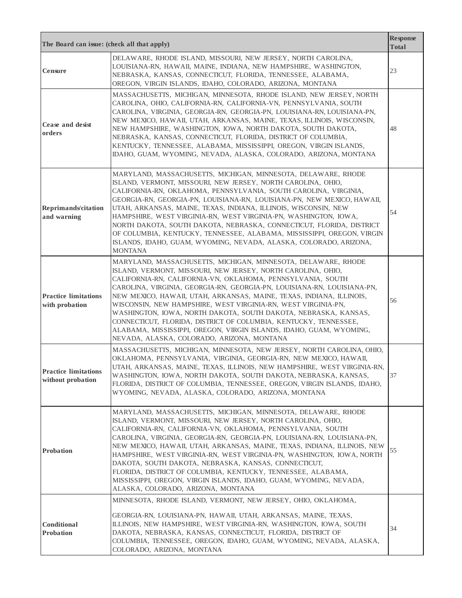| The Board can issue: (check all that apply)      |                                                                                                                                                                                                                                                                                                                                                                                                                                                                                                                                                                                                                                                                              | <b>Response</b><br><b>Total</b> |
|--------------------------------------------------|------------------------------------------------------------------------------------------------------------------------------------------------------------------------------------------------------------------------------------------------------------------------------------------------------------------------------------------------------------------------------------------------------------------------------------------------------------------------------------------------------------------------------------------------------------------------------------------------------------------------------------------------------------------------------|---------------------------------|
| <b>Censure</b>                                   | DELAWARE, RHODE ISLAND, MISSOURI, NEW JERSEY, NORTH CAROLINA,<br>LOUISIANA-RN, HAWAII, MAINE, INDIANA, NEW HAMPSHIRE, WASHINGTON,<br>NEBRASKA, KANSAS, CONNECTICUT, FLORIDA, TENNESSEE, ALABAMA,<br>OREGON, VIRGIN ISLANDS, IDAHO, COLORADO, ARIZONA, MONTANA                                                                                                                                                                                                                                                                                                                                                                                                                | 23                              |
| Cease and desist<br>orders                       | MASSACHUSETTS, MICHIGAN, MINNESOTA, RHODE ISLAND, NEW JERSEY, NORTH<br>CAROLINA, OHIO, CALIFORNIA-RN, CALIFORNIA-VN, PENNSYLVANIA, SOUTH<br>CAROLINA, VIRGINIA, GEORGIA-RN, GEORGIA-PN, LOUISIANA-RN, LOUISIANA-PN,<br>NEW MEXICO, HAWAII, UTAH, ARKANSAS, MAINE, TEXAS, ILLINOIS, WISCONSIN,<br>NEW HAMPSHIRE, WASHINGTON, IOWA, NORTH DAKOTA, SOUTH DAKOTA,<br>NEBRASKA, KANSAS, CONNECTICUT, FLORIDA, DISTRICT OF COLUMBIA,<br>KENTUCKY, TENNESSEE, ALABAMA, MISSISSIPPI, OREGON, VIRGIN ISLANDS,<br>IDAHO, GUAM, WYOMING, NEVADA, ALASKA, COLORADO, ARIZONA, MONTANA                                                                                                     | 48                              |
| Reprimands/citation<br>and warning               | MARYLAND, MASSACHUSETTS, MICHIGAN, MINNESOTA, DELAWARE, RHODE<br>ISLAND, VERMONT, MISSOURI, NEW JERSEY, NORTH CAROLINA, OHIO,<br>CALIFORNIA-RN, OKLAHOMA, PENNSYLVANIA, SOUTH CAROLINA, VIRGINIA,<br>GEORGIA-RN, GEORGIA-PN, LOUISIANA-RN, LOUISIANA-PN, NEW MEXICO, HAWAII,<br>UTAH, ARKANSAS, MAINE, TEXAS, INDIANA, ILLINOIS, WISCONSIN, NEW<br>HAMPSHIRE, WEST VIRGINIA-RN, WEST VIRGINIA-PN, WASHINGTON, IOWA,<br>NORTH DAKOTA, SOUTH DAKOTA, NEBRASKA, CONNECTICUT, FLORIDA, DISTRICT<br>OF COLUMBIA, KENTUCKY, TENNESSEE, ALABAMA, MISSISSIPPI, OREGON, VIRGIN<br>ISLANDS, IDAHO, GUAM, WYOMING, NEVADA, ALASKA, COLORADO, ARIZONA,<br><b>MONTANA</b>                 | 54                              |
| <b>Practice limitations</b><br>with probation    | MARYLAND, MASSACHUSETTS, MICHIGAN, MINNESOTA, DELAWARE, RHODE<br>ISLAND, VERMONT, MISSOURI, NEW JERSEY, NORTH CAROLINA, OHIO,<br>CALIFORNIA-RN, CALIFORNIA-VN, OKLAHOMA, PENNSYLVANIA, SOUTH<br>CAROLINA, VIRGINIA, GEORGIA-RN, GEORGIA-PN, LOUISIANA-RN, LOUISIANA-PN,<br>NEW MEXICO, HAWAII, UTAH, ARKANSAS, MAINE, TEXAS, INDIANA, ILLINOIS,<br>WISCONSIN, NEW HAMPSHIRE, WEST VIRGINIA-RN, WEST VIRGINIA-PN,<br>WASHINGTON, IOWA, NORTH DAKOTA, SOUTH DAKOTA, NEBRASKA, KANSAS,<br>CONNECTICUT, FLORIDA, DISTRICT OF COLUMBIA, KENTUCKY, TENNESSEE,<br>ALABAMA, MISSISSIPPI, OREGON, VIRGIN ISLANDS, IDAHO, GUAM, WYOMING,<br>NEVADA, ALASKA, COLORADO, ARIZONA, MONTANA | 56                              |
| <b>Practice limitations</b><br>without probation | MASSACHUSETTS, MICHIGAN, MINNESOTA, NEW JERSEY, NORTH CAROLINA, OHIO,<br>OKLAHOMA, PENNSYLVANIA, VIRGINIA, GEORGIA-RN, NEW MEXICO, HAWAII,<br>UTAH, ARKANSAS, MAINE, TEXAS, ILLINOIS, NEW HAMPSHIRE, WEST VIRGINIA-RN,<br>WASHINGTON, IOWA, NORTH DAKOTA, SOUTH DAKOTA, NEBRASKA, KANSAS,<br>FLORIDA, DISTRICT OF COLUMBIA, TENNESSEE, OREGON, VIRGIN ISLANDS, IDAHO,<br>WYOMING, NEVADA, ALASKA, COLORADO, ARIZONA, MONTANA                                                                                                                                                                                                                                                 | 37                              |
| Probation                                        | MARYLAND, MASSACHUSETTS, MICHIGAN, MINNESOTA, DELAWARE, RHODE<br>ISLAND, VERMONT, MISSOURI, NEW JERSEY, NORTH CAROLINA, OHIO,<br>CALIFORNIA-RN, CALIFORNIA-VN, OKLAHOMA, PENNSYLVANIA, SOUTH<br>CAROLINA, VIRGINIA, GEORGIA-RN, GEORGIA-PN, LOUISIANA-RN, LOUISIANA-PN,<br>NEW MEXICO, HAWAII, UTAH, ARKANSAS, MAINE, TEXAS, INDIANA, ILLINOIS, NEW<br>HAMPSHIRE, WEST VIRGINIA-RN, WEST VIRGINIA-PN, WASHINGTON, IOWA, NORTH<br>DAKOTA, SOUTH DAKOTA, NEBRASKA, KANSAS, CONNECTICUT,<br>FLORIDA, DISTRICT OF COLUMBIA, KENTUCKY, TENNESSEE, ALABAMA,<br>MISSISSIPPI, OREGON, VIRGIN ISLANDS, IDAHO, GUAM, WYOMING, NEVADA,<br>ALASKA, COLORADO, ARIZONA, MONTANA            | 55                              |
| Conditional<br><b>Probation</b>                  | MINNESOTA, RHODE ISLAND, VERMONT, NEW JERSEY, OHIO, OKLAHOMA,<br>GEORGIA-RN, LOUISIANA-PN, HAWAII, UTAH, ARKANSAS, MAINE, TEXAS,<br>ILLINOIS, NEW HAMPSHIRE, WEST VIRGINIA-RN, WASHINGTON, IOWA, SOUTH<br>DAKOTA, NEBRASKA, KANSAS, CONNECTICUT, FLORIDA, DISTRICT OF<br>COLUMBIA, TENNESSEE, OREGON, IDAHO, GUAM, WYOMING, NEVADA, ALASKA,<br>COLORADO, ARIZONA, MONTANA                                                                                                                                                                                                                                                                                                    | 34                              |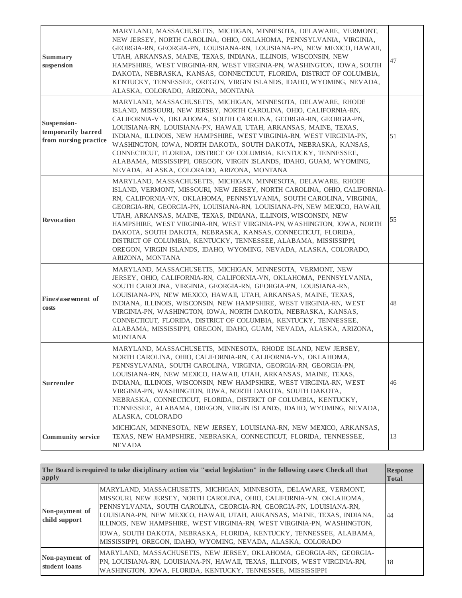| <b>Summary</b><br>suspension                               | MARYLAND, MASSACHUSETTS, MICHIGAN, MINNESOTA, DELAWARE, VERMONT,<br>NEW JERSEY, NORTH CAROLINA, OHIO, OKLAHOMA, PENNSYLVANIA, VIRGINIA,<br>GEORGIA-RN, GEORGIA-PN, LOUISIANA-RN, LOUISIANA-PN, NEW MEXICO, HAWAII,<br>UTAH, ARKANSAS, MAINE, TEXAS, INDIANA, ILLINOIS, WISCONSIN, NEW<br>HAMPSHIRE, WEST VIRGINIA-RN, WEST VIRGINIA-PN, WASHINGTON, IOWA, SOUTH<br>DAKOTA, NEBRASKA, KANSAS, CONNECTICUT, FLORIDA, DISTRICT OF COLUMBIA,<br>KENTUCKY, TENNESSEE, OREGON, VIRGIN ISLANDS, IDAHO, WYOMING, NEVADA,<br>ALASKA, COLORADO, ARIZONA, MONTANA                                                                                                                  | 47 |
|------------------------------------------------------------|-------------------------------------------------------------------------------------------------------------------------------------------------------------------------------------------------------------------------------------------------------------------------------------------------------------------------------------------------------------------------------------------------------------------------------------------------------------------------------------------------------------------------------------------------------------------------------------------------------------------------------------------------------------------------|----|
| Suspension-<br>temporarily barred<br>from nursing practice | MARYLAND, MASSACHUSETTS, MICHIGAN, MINNESOTA, DELAWARE, RHODE<br>ISLAND, MISSOURI, NEW JERSEY, NORTH CAROLINA, OHIO, CALIFORNIA-RN,<br>CALIFORNIA-VN, OKLAHOMA, SOUTH CAROLINA, GEORGIA-RN, GEORGIA-PN,<br>LOUISIANA-RN, LOUISIANA-PN, HAWAII, UTAH, ARKANSAS, MAINE, TEXAS,<br>INDIANA, ILLINOIS, NEW HAMPSHIRE, WEST VIRGINIA-RN, WEST VIRGINIA-PN,<br>WASHINGTON, IOWA, NORTH DAKOTA, SOUTH DAKOTA, NEBRASKA, KANSAS,<br>CONNECTICUT, FLORIDA, DISTRICT OF COLUMBIA, KENTUCKY, TENNESSEE,<br>ALABAMA, MISSISSIPPI, OREGON, VIRGIN ISLANDS, IDAHO, GUAM, WYOMING,<br>NEVADA, ALASKA, COLORADO, ARIZONA, MONTANA                                                       | 51 |
| <b>Revocation</b>                                          | MARYLAND, MASSACHUSETTS, MICHIGAN, MINNESOTA, DELAWARE, RHODE<br>ISLAND, VERMONT, MISSOURI, NEW JERSEY, NORTH CAROLINA, OHIO, CALIFORNIA-<br>RN, CALIFORNIA-VN, OKLAHOMA, PENNSYLVANIA, SOUTH CAROLINA, VIRGINIA,<br>GEORGIA-RN, GEORGIA-PN, LOUISIANA-RN, LOUISIANA-PN, NEW MEXICO, HAWAII,<br>UTAH, ARKANSAS, MAINE, TEXAS, INDIANA, ILLINOIS, WISCONSIN, NEW<br>HAMPSHIRE, WEST VIRGINIA-RN, WEST VIRGINIA-PN, WASHINGTON, IOWA, NORTH<br>DAKOTA, SOUTH DAKOTA, NEBRASKA, KANSAS, CONNECTICUT, FLORIDA,<br>DISTRICT OF COLUMBIA, KENTUCKY, TENNESSEE, ALABAMA, MISSISSIPPI,<br>OREGON, VIRGIN ISLANDS, IDAHO, WYOMING, NEVADA, ALASKA, COLORADO,<br>ARIZONA, MONTANA | 55 |
| Fines/assessment of<br>costs                               | MARYLAND, MASSACHUSETTS, MICHIGAN, MINNESOTA, VERMONT, NEW<br>JERSEY, OHIO, CALIFORNIA-RN, CALIFORNIA-VN, OKLAHOMA, PENNSYLVANIA,<br>SOUTH CAROLINA, VIRGINIA, GEORGIA-RN, GEORGIA-PN, LOUISIANA-RN,<br>LOUISIANA-PN, NEW MEXICO, HAWAII, UTAH, ARKANSAS, MAINE, TEXAS,<br>INDIANA, ILLINOIS, WISCONSIN, NEW HAMPSHIRE, WEST VIRGINIA-RN, WEST<br>VIRGINIA-PN, WASHINGTON, IOWA, NORTH DAKOTA, NEBRASKA, KANSAS,<br>CONNECTICUT, FLORIDA, DISTRICT OF COLUMBIA, KENTUCKY, TENNESSEE,<br>ALABAMA, MISSISSIPPI, OREGON, IDAHO, GUAM, NEVADA, ALASKA, ARIZONA,<br><b>MONTANA</b>                                                                                           | 48 |
| <b>Surrender</b>                                           | MARYLAND, MASSACHUSETTS, MINNESOTA, RHODE ISLAND, NEW JERSEY,<br>NORTH CAROLINA, OHIO, CALIFORNIA-RN, CALIFORNIA-VN, OKLAHOMA,<br>PENNSYLVANIA, SOUTH CAROLINA, VIRGINIA, GEORGIA-RN, GEORGIA-PN,<br>LOUISIANA-RN, NEW MEXICO, HAWAII, UTAH, ARKANSAS, MAINE, TEXAS,<br>INDIANA, ILLINOIS, WISCONSIN, NEW HAMPSHIRE, WEST VIRGINIA-RN, WEST<br>VIRGINIA-PN, WASHINGTON, IOWA, NORTH DAKOTA, SOUTH DAKOTA,<br>NEBRASKA, CONNECTICUT, FLORIDA, DISTRICT OF COLUMBIA, KENTUCKY,<br>TENNESSEE, ALABAMA, OREGON, VIRGIN ISLANDS, IDAHO, WYOMING, NEVADA,<br>ALASKA, COLORADO                                                                                                 | 46 |
| <b>Community service</b>                                   | MICHIGAN, MINNESOTA, NEW JERSEY, LOUISIANA-RN, NEW MEXICO, ARKANSAS,<br>TEXAS, NEW HAMPSHIRE, NEBRASKA, CONNECTICUT, FLORIDA, TENNESSEE,<br><b>NEVADA</b>                                                                                                                                                                                                                                                                                                                                                                                                                                                                                                               | 13 |

| apply                           | The Board is required to take disciplinary action via "social legislation" in the following cases: Check all that                                                                                                                                                                                                                                                                                                                                                                                                | <b>Response</b><br><b>Total</b> |
|---------------------------------|------------------------------------------------------------------------------------------------------------------------------------------------------------------------------------------------------------------------------------------------------------------------------------------------------------------------------------------------------------------------------------------------------------------------------------------------------------------------------------------------------------------|---------------------------------|
| Non-payment of<br>child support | MARYLAND, MASSACHUSETTS, MICHIGAN, MINNESOTA, DELAWARE, VERMONT,<br>MISSOURI, NEW JERSEY, NORTH CAROLINA, OHIO, CALIFORNIA-VN, OKLAHOMA,<br>PENNSYLVANIA, SOUTH CAROLINA, GEORGIA-RN, GEORGIA-PN, LOUISIANA-RN,<br>LOUISIANA-PN, NEW MEXICO, HAWAII, UTAH, ARKANSAS, MAINE, TEXAS, INDIANA,<br>ILLINOIS, NEW HAMPSHIRE, WEST VIRGINIA-RN, WEST VIRGINIA-PN, WASHINGTON,<br>IOWA, SOUTH DAKOTA, NEBRASKA, FLORIDA, KENTUCKY, TENNESSEE, ALABAMA,<br>MISSISSIPPI, OREGON, IDAHO, WYOMING, NEVADA, ALASKA, COLORADO | 44                              |
| Non-payment of<br>student loans | MARYLAND, MASSACHUSETTS, NEW JERSEY, OKLAHOMA, GEORGIA-RN, GEORGIA-<br>PN, LOUISIANA-RN, LOUISIANA-PN, HAWAII, TEXAS, ILLINOIS, WEST VIRGINIA-RN,<br>WASHINGTON, IOWA, FLORIDA, KENTUCKY, TENNESSEE, MISSISSIPPI                                                                                                                                                                                                                                                                                                 | 18                              |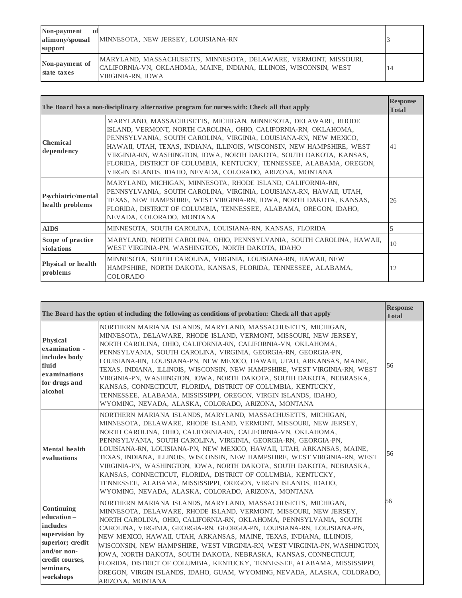| Non-payment<br>-ot<br>alimony/spousal<br>support | MINNESOTA, NEW JERSEY, LOUISIANA-RN                                                                                                                         |  |
|--------------------------------------------------|-------------------------------------------------------------------------------------------------------------------------------------------------------------|--|
| Non-payment of<br>state taxes                    | MARYLAND, MASSACHUSETTS, MINNESOTA, DELAWARE, VERMONT, MISSOURI,<br>CALIFORNIA-VN, OKLAHOMA, MAINE, INDIANA, ILLINOIS, WISCONSIN, WEST<br>VIRGINIA-RN. IOWA |  |

|                                       | The Board has a non-disciplinary alternative program for nurses with: Check all that apply                                                                                                                                                                                                                                                                                                                                                                                                 | <b>Response</b><br><b>Total</b> |
|---------------------------------------|--------------------------------------------------------------------------------------------------------------------------------------------------------------------------------------------------------------------------------------------------------------------------------------------------------------------------------------------------------------------------------------------------------------------------------------------------------------------------------------------|---------------------------------|
| <b>Chemical</b><br>dependency         | MARYLAND, MASSACHUSETTS, MICHIGAN, MINNESOTA, DELAWARE, RHODE<br>ISLAND, VERMONT, NORTH CAROLINA, OHIO, CALIFORNIA-RN, OKLAHOMA,<br>PENNSYLVANIA, SOUTH CAROLINA, VIRGINIA, LOUISIANA-RN, NEW MEXICO,<br>HAWAII, UTAH, TEXAS, INDIANA, ILLINOIS, WISCONSIN, NEW HAMPSHIRE, WEST<br>VIRGINIA-RN, WASHINGTON, IOWA, NORTH DAKOTA, SOUTH DAKOTA, KANSAS,<br>FLORIDA, DISTRICT OF COLUMBIA, KENTUCKY, TENNESSEE, ALABAMA, OREGON,<br>VIRGIN ISLANDS, IDAHO, NEVADA, COLORADO, ARIZONA, MONTANA | 41                              |
| Psychiatric/mental<br>health problems | MARYLAND, MICHIGAN, MINNESOTA, RHODE ISLAND, CALIFORNIA-RN,<br>PENNSYLVANIA, SOUTH CAROLINA, VIRGINIA, LOUISIANA-RN, HAWAII, UTAH,<br>TEXAS, NEW HAMPSHIRE, WEST VIRGINIA-RN, IOWA, NORTH DAKOTA, KANSAS,<br>FLORIDA, DISTRICT OF COLUMBIA, TENNESSEE, ALABAMA, OREGON, IDAHO,<br>NEVADA, COLORADO, MONTANA                                                                                                                                                                                | 26                              |
| <b>AIDS</b>                           | MINNESOTA, SOUTH CAROLINA, LOUISIANA-RN, KANSAS, FLORIDA                                                                                                                                                                                                                                                                                                                                                                                                                                   | 5                               |
| Scope of practice<br>violations       | MARYLAND, NORTH CAROLINA, OHIO, PENNSYLVANIA, SOUTH CAROLINA, HAWAII,<br>WEST VIRGINIA-PN, WASHINGTON, NORTH DAKOTA, IDAHO                                                                                                                                                                                                                                                                                                                                                                 | 10                              |
| Physical or health<br>problems        | MINNESOTA, SOUTH CAROLINA, VIRGINIA, LOUISIANA-RN, HAWAII, NEW<br>HAMPSHIRE, NORTH DAKOTA, KANSAS, FLORIDA, TENNESSEE, ALABAMA,<br><b>COLORADO</b>                                                                                                                                                                                                                                                                                                                                         | 12                              |

|                                                                                                                                        | The Board has the option of including the following as conditions of probation: Check all that apply                                                                                                                                                                                                                                                                                                                                                                                                                                                                                                                                                                                             | <b>Response</b><br><b>Total</b> |
|----------------------------------------------------------------------------------------------------------------------------------------|--------------------------------------------------------------------------------------------------------------------------------------------------------------------------------------------------------------------------------------------------------------------------------------------------------------------------------------------------------------------------------------------------------------------------------------------------------------------------------------------------------------------------------------------------------------------------------------------------------------------------------------------------------------------------------------------------|---------------------------------|
| Physical<br>examination -<br>includes body<br>fluid<br>examinations<br>for drugs and<br>alcohol                                        | NORTHERN MARIANA ISLANDS, MARYLAND, MASSACHUSETTS, MICHIGAN,<br>MINNESOTA, DELAWARE, RHODE ISLAND, VERMONT, MISSOURI, NEW JERSEY,<br>NORTH CAROLINA, OHIO, CALIFORNIA-RN, CALIFORNIA-VN, OKLAHOMA,<br>PENNSYLVANIA, SOUTH CAROLINA, VIRGINIA, GEORGIA-RN, GEORGIA-PN,<br>LOUISIANA-RN, LOUISIANA-PN, NEW MEXICO, HAWAII, UTAH, ARKANSAS, MAINE,<br>TEXAS, INDIANA, ILLINOIS, WISCONSIN, NEW HAMPSHIRE, WEST VIRGINIA-RN, WEST<br>VIRGINIA-PN, WASHINGTON, IOWA, NORTH DAKOTA, SOUTH DAKOTA, NEBRASKA,<br>KANSAS, CONNECTICUT, FLORIDA, DISTRICT OF COLUMBIA, KENTUCKY,<br>TENNESSEE, ALABAMA, MISSISSIPPI, OREGON, VIRGIN ISLANDS, IDAHO,<br>WYOMING, NEVADA, ALASKA, COLORADO, ARIZONA, MONTANA | 56                              |
| <b>Mental</b> health<br>evaluations                                                                                                    | NORTHERN MARIANA ISLANDS, MARYLAND, MASSACHUSETTS, MICHIGAN,<br>MINNESOTA, DELAWARE, RHODE ISLAND, VERMONT, MISSOURI, NEW JERSEY,<br>NORTH CAROLINA, OHIO, CALIFORNIA-RN, CALIFORNIA-VN, OKLAHOMA,<br>PENNSYLVANIA, SOUTH CAROLINA, VIRGINIA, GEORGIA-RN, GEORGIA-PN,<br>LOUISIANA-RN, LOUISIANA-PN, NEW MEXICO, HAWAII, UTAH, ARKANSAS, MAINE,<br>TEXAS, INDIANA, ILLINOIS, WISCONSIN, NEW HAMPSHIRE, WEST VIRGINIA-RN, WEST<br>VIRGINIA-PN, WASHINGTON, IOWA, NORTH DAKOTA, SOUTH DAKOTA, NEBRASKA,<br>KANSAS, CONNECTICUT, FLORIDA, DISTRICT OF COLUMBIA, KENTUCKY,<br>TENNESSEE, ALABAMA, MISSISSIPPI, OREGON, VIRGIN ISLANDS, IDAHO,<br>WYOMING, NEVADA, ALASKA, COLORADO, ARIZONA, MONTANA | 56                              |
| Continuing<br>education-<br>includes<br>supervision by<br>superior; credit<br>and/or non-<br>credit courses.<br>seminars,<br>workshops | NORTHERN MARIANA ISLANDS, MARYLAND, MASSACHUSETTS, MICHIGAN,<br>MINNESOTA, DELAWARE, RHODE ISLAND, VERMONT, MISSOURI, NEW JERSEY,<br>NORTH CAROLINA, OHIO, CALIFORNIA-RN, OKLAHOMA, PENNSYLVANIA, SOUTH<br>CAROLINA, VIRGINIA, GEORGIA-RN, GEORGIA-PN, LOUISIANA-RN, LOUISIANA-PN,<br>NEW MEXICO, HAWAII, UTAH, ARKANSAS, MAINE, TEXAS, INDIANA, ILLINOIS,<br>WISCONSIN, NEW HAMPSHIRE, WEST VIRGINIA-RN, WEST VIRGINIA-PN, WASHINGTON,<br>IOWA, NORTH DAKOTA, SOUTH DAKOTA, NEBRASKA, KANSAS, CONNECTICUT,<br>FLORIDA, DISTRICT OF COLUMBIA, KENTUCKY, TENNESSEE, ALABAMA, MISSISSIPPI,<br>OREGON, VIRGIN ISLANDS, IDAHO, GUAM, WYOMING, NEVADA, ALASKA, COLORADO,<br>ARIZONA, MONTANA          | 56                              |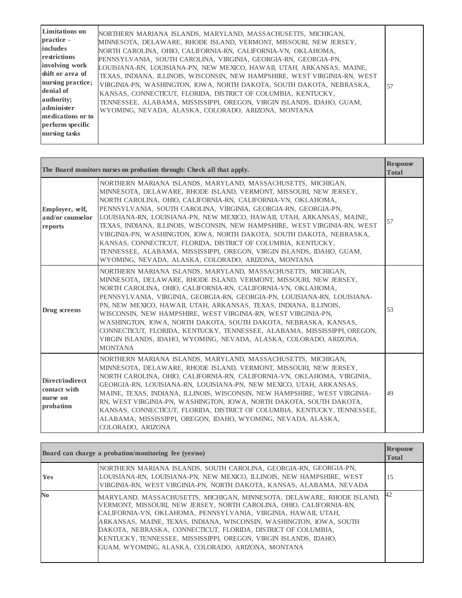| <b>Limitations</b> on<br>practice -<br><i>includes</i><br>restrictions<br>involving work<br>shift or area of<br>nursing practice;<br>denial of<br>authority;<br>administer<br>medications or to<br>perform specific<br>nursing tasks | NORTHERN MARIANA ISLANDS, MARYLAND, MASSACHUSETTS, MICHIGAN,<br>MINNESOTA, DELAWARE, RHODE ISLAND, VERMONT, MISSOURI, NEW JERSEY,<br>NORTH CAROLINA, OHIO, CALIFORNIA-RN, CALIFORNIA-VN, OKLAHOMA,<br>PENNSYLVANIA, SOUTH CAROLINA, VIRGINIA, GEORGIA-RN, GEORGIA-PN,<br>LOUISIANA-RN. LOUISIANA-PN. NEW MEXICO. HAWAII. UTAH. ARKANSAS. MAINE.<br>TEXAS, INDIANA, ILLINOIS, WISCONSIN, NEW HAMPSHIRE, WEST VIRGINIA-RN, WEST<br>VIRGINIA-PN. WASHINGTON. IOWA. NORTH DAKOTA. SOUTH DAKOTA. NEBRASKA.<br>KANSAS, CONNECTICUT, FLORIDA, DISTRICT OF COLUMBIA, KENTUCKY,<br>TENNESSEE, ALABAMA, MISSISSIPPI, OREGON, VIRGIN ISLANDS, IDAHO, GUAM,<br>WYOMING, NEVADA, ALASKA, COLORADO, ARIZONA, MONTANA | 57 |
|--------------------------------------------------------------------------------------------------------------------------------------------------------------------------------------------------------------------------------------|--------------------------------------------------------------------------------------------------------------------------------------------------------------------------------------------------------------------------------------------------------------------------------------------------------------------------------------------------------------------------------------------------------------------------------------------------------------------------------------------------------------------------------------------------------------------------------------------------------------------------------------------------------------------------------------------------------|----|
|--------------------------------------------------------------------------------------------------------------------------------------------------------------------------------------------------------------------------------------|--------------------------------------------------------------------------------------------------------------------------------------------------------------------------------------------------------------------------------------------------------------------------------------------------------------------------------------------------------------------------------------------------------------------------------------------------------------------------------------------------------------------------------------------------------------------------------------------------------------------------------------------------------------------------------------------------------|----|

|                                                          | The Board monitors nurses on probation through: Check all that apply.                                                                                                                                                                                                                                                                                                                                                                                                                                                                                                                                                                                                                                  | <b>Response</b><br><b>Total</b> |
|----------------------------------------------------------|--------------------------------------------------------------------------------------------------------------------------------------------------------------------------------------------------------------------------------------------------------------------------------------------------------------------------------------------------------------------------------------------------------------------------------------------------------------------------------------------------------------------------------------------------------------------------------------------------------------------------------------------------------------------------------------------------------|---------------------------------|
| Employer, self,<br>and/or counselor<br>reports           | NORTHERN MARIANA ISLANDS, MARYLAND, MASSACHUSETTS, MICHIGAN,<br>MINNESOTA, DELAWARE, RHODE ISLAND, VERMONT, MISSOURI, NEW JERSEY,<br>NORTH CAROLINA, OHIO, CALIFORNIA-RN, CALIFORNIA-VN, OKLAHOMA,<br>PENNSYLVANIA, SOUTH CAROLINA, VIRGINIA, GEORGIA-RN, GEORGIA-PN,<br>LOUISIANA-RN, LOUISIANA-PN, NEW MEXICO, HAWAII, UTAH, ARKANSAS, MAINE,<br>TEXAS, INDIANA, ILLINOIS, WISCONSIN, NEW HAMPSHIRE, WEST VIRGINIA-RN, WEST<br>VIRGINIA-PN, WASHINGTON, IOWA, NORTH DAKOTA, SOUTH DAKOTA, NEBRASKA,<br>KANSAS, CONNECTICUT, FLORIDA, DISTRICT OF COLUMBIA, KENTUCKY,<br>TENNESSEE, ALABAMA, MISSISSIPPI, OREGON, VIRGIN ISLANDS, IDAHO, GUAM,<br>WYOMING, NEVADA, ALASKA, COLORADO, ARIZONA, MONTANA | 57                              |
| Drug screens                                             | NORTHERN MARIANA ISLANDS, MARYLAND, MASSACHUSETTS, MICHIGAN,<br>MINNESOTA, DELAWARE, RHODE ISLAND, VERMONT, MISSOURI, NEW JERSEY,<br>NORTH CAROLINA, OHIO, CALIFORNIA-RN, CALIFORNIA-VN, OKLAHOMA,<br>PENNSYLVANIA, VIRGINIA, GEORGIA-RN, GEORGIA-PN, LOUISIANA-RN, LOUISIANA-<br>PN, NEW MEXICO, HAWAII, UTAH, ARKANSAS, TEXAS, INDIANA, ILLINOIS,<br>WISCONSIN, NEW HAMPSHIRE, WEST VIRGINIA-RN, WEST VIRGINIA-PN,<br>WASHINGTON, IOWA, NORTH DAKOTA, SOUTH DAKOTA, NEBRASKA, KANSAS,<br>CONNECTICUT, FLORIDA, KENTUCKY, TENNESSEE, ALABAMA, MISSISSIPPI, OREGON,<br>VIRGIN ISLANDS, IDAHO, WYOMING, NEVADA, ALASKA, COLORADO, ARIZONA,<br><b>MONTANA</b>                                            | 53                              |
| Direct/indirect<br>contact with<br>nurse on<br>probation | NORTHERN MARIANA ISLANDS, MARYLAND, MASSACHUSETTS, MICHIGAN,<br>MINNESOTA, DELAWARE, RHODE ISLAND, VERMONT, MISSOURI, NEW JERSEY,<br>NORTH CAROLINA, OHIO, CALIFORNIA-RN, CALIFORNIA-VN, OKLAHOMA, VIRGINIA,<br>GEORGIA-RN, LOUISIANA-RN, LOUISIANA-PN, NEW MEXICO, UTAH, ARKANSAS,<br>MAINE, TEXAS, INDIANA, ILLINOIS, WISCONSIN, NEW HAMPSHIRE, WEST VIRGINIA-<br>RN, WEST VIRGINIA-PN, WASHINGTON, IOWA, NORTH DAKOTA, SOUTH DAKOTA,<br>KANSAS, CONNECTICUT, FLORIDA, DISTRICT OF COLUMBIA, KENTUCKY, TENNESSEE,<br>ALABAMA, MISSISSIPPI, OREGON, IDAHO, WYOMING, NEVADA, ALASKA,<br>COLORADO, ARIZONA                                                                                              | 49                              |

|                | Board can charge a probation/monitoring fee (yes/no)                                                                                                                                                                                                                                                                                                                                                                                                                            | <b>Response</b><br><b>Total</b> |
|----------------|---------------------------------------------------------------------------------------------------------------------------------------------------------------------------------------------------------------------------------------------------------------------------------------------------------------------------------------------------------------------------------------------------------------------------------------------------------------------------------|---------------------------------|
| <b>Yes</b>     | NORTHERN MARIANA ISLANDS, SOUTH CAROLINA, GEORGIA-RN, GEORGIA-PN,<br>LOUISIANA-RN, LOUISIANA-PN, NEW MEXICO, ILLINOIS, NEW HAMPSHIRE, WEST<br>VIRGINIA-RN, WEST VIRGINIA-PN, NORTH DAKOTA, KANSAS, ALABAMA, NEVADA                                                                                                                                                                                                                                                              | 15                              |
| N <sub>0</sub> | MARYLAND, MASSACHUSETTS, MICHIGAN, MINNESOTA, DELAWARE, RHODE ISLAND,<br>VERMONT, MISSOURI, NEW JERSEY, NORTH CAROLINA, OHIO, CALIFORNIA-RN,<br>CALIFORNIA-VN, OKLAHOMA, PENNSYLVANIA, VIRGINIA, HAWAII, UTAH,<br>ARKANSAS, MAINE, TEXAS, INDIANA, WISCONSIN, WASHINGTON, IOWA, SOUTH<br>DAKOTA, NEBRASKA, CONNECTICUT, FLORIDA, DISTRICT OF COLUMBIA,<br>KENTUCKY, TENNESSEE, MISSISSIPPI, OREGON, VIRGIN ISLANDS, IDAHO,<br>GUAM, WYOMING, ALASKA, COLORADO, ARIZONA, MONTANA | 42                              |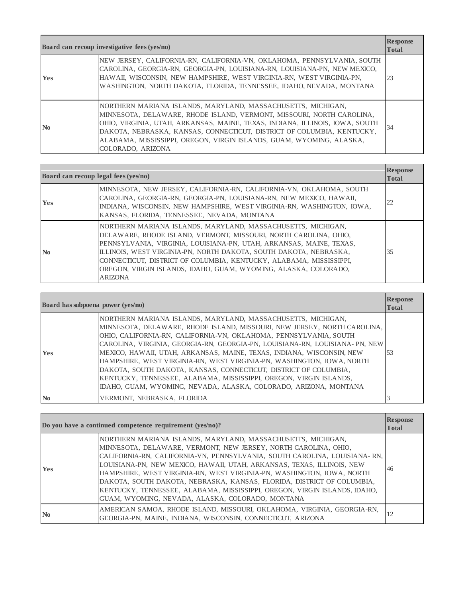| Board can recoup investigative fees (yes/no) |                                                                                                                                                                                                                                                                                                                                                                                              | <b>Response</b><br><b>Total</b> |
|----------------------------------------------|----------------------------------------------------------------------------------------------------------------------------------------------------------------------------------------------------------------------------------------------------------------------------------------------------------------------------------------------------------------------------------------------|---------------------------------|
| <b>Yes</b>                                   | NEW JERSEY, CALIFORNIA-RN, CALIFORNIA-VN, OKLAHOMA, PENNSYLVANIA, SOUTH<br>CAROLINA, GEORGIA-RN, GEORGIA-PN, LOUISIANA-RN, LOUISIANA-PN, NEW MEXICO,<br>HAWAII, WISCONSIN, NEW HAMPSHIRE, WEST VIRGINIA-RN, WEST VIRGINIA-PN,<br>WASHINGTON, NORTH DAKOTA, FLORIDA, TENNESSEE, IDAHO, NEVADA, MONTANA                                                                                        | 23                              |
| $\mathbf{N}\mathbf{0}$                       | NORTHERN MARIANA ISLANDS, MARYLAND, MASSACHUSETTS, MICHIGAN,<br>MINNESOTA, DELAWARE, RHODE ISLAND, VERMONT, MISSOURI, NORTH CAROLINA,<br>OHIO, VIRGINIA, UTAH, ARKANSAS, MAINE, TEXAS, INDIANA, ILLINOIS, IOWA, SOUTH<br>DAKOTA, NEBRASKA, KANSAS, CONNECTICUT, DISTRICT OF COLUMBIA, KENTUCKY,<br>ALABAMA, MISSISSIPPI, OREGON, VIRGIN ISLANDS, GUAM, WYOMING, ALASKA,<br>COLORADO, ARIZONA | 34                              |

| Board can recoup legal fees (yes/no) |                                                                                                                                                                                                                                                                                                                                                                                                                                         | <b>Response</b><br><b>Total</b> |
|--------------------------------------|-----------------------------------------------------------------------------------------------------------------------------------------------------------------------------------------------------------------------------------------------------------------------------------------------------------------------------------------------------------------------------------------------------------------------------------------|---------------------------------|
| <b>Yes</b>                           | MINNESOTA, NEW JERSEY, CALIFORNIA-RN, CALIFORNIA-VN, OKLAHOMA, SOUTH<br>CAROLINA, GEORGIA-RN, GEORGIA-PN, LOUISIANA-RN, NEW MEXICO, HAWAII,<br>INDIANA, WISCONSIN, NEW HAMPSHIRE, WEST VIRGINIA-RN, WASHINGTON, IOWA,<br>KANSAS, FLORIDA, TENNESSEE, NEVADA, MONTANA                                                                                                                                                                    | 22                              |
| $\mathbf{N}\mathbf{0}$               | NORTHERN MARIANA ISLANDS, MARYLAND, MASSACHUSETTS, MICHIGAN,<br>DELAWARE, RHODE ISLAND, VERMONT, MISSOURI, NORTH CAROLINA, OHIO,<br>PENNSYLVANIA, VIRGINIA, LOUISIANA-PN, UTAH, ARKANSAS, MAINE, TEXAS,<br>ILLINOIS, WEST VIRGINIA-PN, NORTH DAKOTA, SOUTH DAKOTA, NEBRASKA,<br>CONNECTICUT, DISTRICT OF COLUMBIA, KENTUCKY, ALABAMA, MISSISSIPPI,<br>OREGON, VIRGIN ISLANDS, IDAHO, GUAM, WYOMING, ALASKA, COLORADO,<br><b>ARIZONA</b> | 35                              |

| Board has subpoena power (yes/no) |                                                                                                                                                                                                                                                                                                                                                                                                                                                                                                                                                                                                                                                               | <b>Response</b><br><b>Total</b> |
|-----------------------------------|---------------------------------------------------------------------------------------------------------------------------------------------------------------------------------------------------------------------------------------------------------------------------------------------------------------------------------------------------------------------------------------------------------------------------------------------------------------------------------------------------------------------------------------------------------------------------------------------------------------------------------------------------------------|---------------------------------|
| <b>Yes</b>                        | NORTHERN MARIANA ISLANDS, MARYLAND, MASSACHUSETTS, MICHIGAN,<br>MINNESOTA, DELAWARE, RHODE ISLAND, MISSOURI, NEW JERSEY, NORTH CAROLINA,<br>OHIO, CALIFORNIA-RN, CALIFORNIA-VN, OKLAHOMA, PENNSYLVANIA, SOUTH<br>CAROLINA, VIRGINIA, GEORGIA-RN, GEORGIA-PN, LOUISIANA-RN, LOUISIANA-PN, NEW<br>MEXICO, HAWAII, UTAH, ARKANSAS, MAINE, TEXAS, INDIANA, WISCONSIN, NEW<br>HAMPSHIRE, WEST VIRGINIA-RN, WEST VIRGINIA-PN, WASHINGTON, IOWA, NORTH<br>DAKOTA, SOUTH DAKOTA, KANSAS, CONNECTICUT, DISTRICT OF COLUMBIA,<br>KENTUCKY, TENNESSEE, ALABAMA, MISSISSIPPI, OREGON, VIRGIN ISLANDS,<br>IDAHO, GUAM, WYOMING, NEVADA, ALASKA, COLORADO, ARIZONA, MONTANA | 53                              |
| $\mathbf{N}$ <sub>0</sub>         | VERMONT, NEBRASKA, FLORIDA                                                                                                                                                                                                                                                                                                                                                                                                                                                                                                                                                                                                                                    |                                 |

|                        | Do you have a continued competence requirement (yes/no)?                                                                                                                                                                                                                                                                                                                                                                                                                                                                                                                    | <b>Response</b><br><b>Total</b> |
|------------------------|-----------------------------------------------------------------------------------------------------------------------------------------------------------------------------------------------------------------------------------------------------------------------------------------------------------------------------------------------------------------------------------------------------------------------------------------------------------------------------------------------------------------------------------------------------------------------------|---------------------------------|
| <b>Yes</b>             | NORTHERN MARIANA ISLANDS, MARYLAND, MASSACHUSETTS, MICHIGAN,<br>MINNESOTA, DELAWARE, VERMONT, NEW JERSEY, NORTH CAROLINA, OHIO,<br>CALIFORNIA-RN, CALIFORNIA-VN, PENNSYLVANIA, SOUTH CAROLINA, LOUISIANA-RN,<br>LOUISIANA-PN, NEW MEXICO, HAWAII, UTAH, ARKANSAS, TEXAS, ILLINOIS, NEW<br>HAMPSHIRE, WEST VIRGINIA-RN, WEST VIRGINIA-PN, WASHINGTON, IOWA, NORTH<br>DAKOTA, SOUTH DAKOTA, NEBRASKA, KANSAS, FLORIDA, DISTRICT OF COLUMBIA,<br>KENTUCKY, TENNESSEE, ALABAMA, MISSISSIPPI, OREGON, VIRGIN ISLANDS, IDAHO,<br>GUAM, WYOMING, NEVADA, ALASKA, COLORADO, MONTANA | 46                              |
| $\mathbf{N}\mathbf{0}$ | AMERICAN SAMOA, RHODE ISLAND, MISSOURI, OKLAHOMA, VIRGINIA, GEORGIA-RN,<br>GEORGIA-PN, MAINE, INDIANA, WISCONSIN, CONNECTICUT, ARIZONA                                                                                                                                                                                                                                                                                                                                                                                                                                      | 12                              |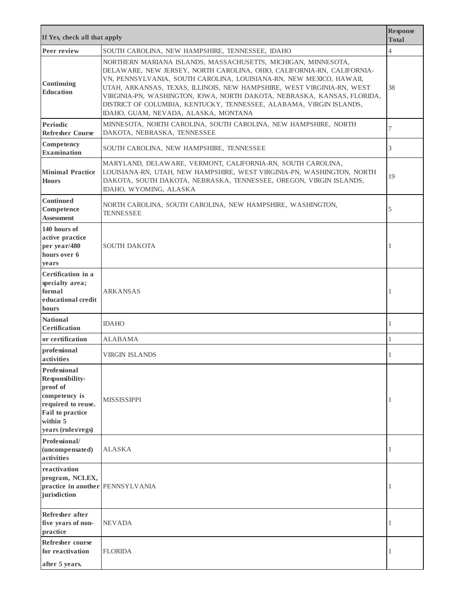| If Yes, check all that apply                                                                                                                    |                                                                                                                                                                                                                                                                                                                                                                                                                                                                                    | <b>Response</b><br><b>Total</b> |
|-------------------------------------------------------------------------------------------------------------------------------------------------|------------------------------------------------------------------------------------------------------------------------------------------------------------------------------------------------------------------------------------------------------------------------------------------------------------------------------------------------------------------------------------------------------------------------------------------------------------------------------------|---------------------------------|
| Peer review                                                                                                                                     | SOUTH CAROLINA, NEW HAMPSHIRE, TENNESSEE, IDAHO                                                                                                                                                                                                                                                                                                                                                                                                                                    | $\overline{4}$                  |
| Continuing<br><b>Education</b>                                                                                                                  | NORTHERN MARIANA ISLANDS, MASSACHUSETTS, MICHIGAN, MINNESOTA,<br>DELAWARE, NEW JERSEY, NORTH CAROLINA, OHIO, CALIFORNIA-RN, CALIFORNIA-<br>VN, PENNSYLVANIA, SOUTH CAROLINA, LOUISIANA-RN, NEW MEXICO, HAWAII,<br>UTAH, ARKANSAS, TEXAS, ILLINOIS, NEW HAMPSHIRE, WEST VIRGINIA-RN, WEST<br>VIRGINIA-PN, WASHINGTON, IOWA, NORTH DAKOTA, NEBRASKA, KANSAS, FLORIDA,<br>DISTRICT OF COLUMBIA, KENTUCKY, TENNESSEE, ALABAMA, VIRGIN ISLANDS,<br>IDAHO, GUAM, NEVADA, ALASKA, MONTANA | 38                              |
| Periodic<br><b>Refresher Course</b>                                                                                                             | MINNESOTA, NORTH CAROLINA, SOUTH CAROLINA, NEW HAMPSHIRE, NORTH<br>DAKOTA, NEBRASKA, TENNESSEE                                                                                                                                                                                                                                                                                                                                                                                     | 7                               |
| Competency<br><b>Examination</b>                                                                                                                | SOUTH CAROLINA, NEW HAMPSHIRE, TENNESSEE                                                                                                                                                                                                                                                                                                                                                                                                                                           | 3                               |
| <b>Minimal Practice</b><br><b>Hours</b>                                                                                                         | MARYLAND, DELAWARE, VERMONT, CALIFORNIA-RN, SOUTH CAROLINA,<br>LOUISIANA-RN, UTAH, NEW HAMPSHIRE, WEST VIRGINIA-PN, WASHINGTON, NORTH<br>DAKOTA, SOUTH DAKOTA, NEBRASKA, TENNESSEE, OREGON, VIRGIN ISLANDS,<br>IDAHO, WYOMING, ALASKA                                                                                                                                                                                                                                              | 19                              |
| <b>Continued</b><br>Competence<br><b>Assessment</b>                                                                                             | NORTH CAROLINA, SOUTH CAROLINA, NEW HAMPSHIRE, WASHINGTON,<br><b>TENNESSEE</b>                                                                                                                                                                                                                                                                                                                                                                                                     | 5                               |
| 140 hours of<br>active practice<br>per year/480<br>hours over 6<br>years                                                                        | <b>SOUTH DAKOTA</b>                                                                                                                                                                                                                                                                                                                                                                                                                                                                |                                 |
| Certification in a<br>specialty area;<br>formal<br>educational credit<br>hours                                                                  | <b>ARKANSAS</b>                                                                                                                                                                                                                                                                                                                                                                                                                                                                    |                                 |
| <b>National</b><br><b>Certification</b>                                                                                                         | <b>IDAHO</b>                                                                                                                                                                                                                                                                                                                                                                                                                                                                       | 1                               |
| or certification                                                                                                                                | <b>ALABAMA</b>                                                                                                                                                                                                                                                                                                                                                                                                                                                                     | 1                               |
| professional<br>activities                                                                                                                      | <b>VIRGIN ISLANDS</b>                                                                                                                                                                                                                                                                                                                                                                                                                                                              | 1                               |
| Professional<br>Responsibility-<br>proof of<br>competency is<br>required to reuse.<br><b>Fail to practice</b><br>within 5<br>years (rules/regs) | <b>MISSISSIPPI</b>                                                                                                                                                                                                                                                                                                                                                                                                                                                                 |                                 |
| Professional/<br>(uncompensated)<br>activities                                                                                                  | <b>ALASKA</b>                                                                                                                                                                                                                                                                                                                                                                                                                                                                      | 1                               |
| reactivation<br>program, NCLEX,<br>practice in another PENNSYLVANIA<br>jurisdiction                                                             |                                                                                                                                                                                                                                                                                                                                                                                                                                                                                    | 1                               |
| Refresher after<br>five years of non-<br>practice                                                                                               | <b>NEVADA</b>                                                                                                                                                                                                                                                                                                                                                                                                                                                                      | 1                               |
| Refresher course<br>for reactivation                                                                                                            | <b>FLORIDA</b>                                                                                                                                                                                                                                                                                                                                                                                                                                                                     | 1                               |
| after 5 years.                                                                                                                                  |                                                                                                                                                                                                                                                                                                                                                                                                                                                                                    |                                 |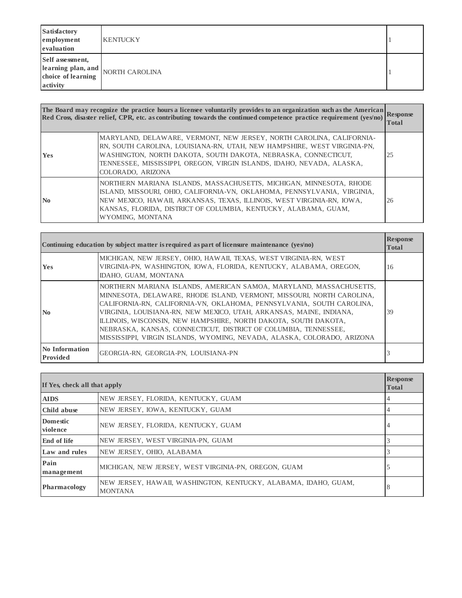| <b>Satisfactory</b><br>employment<br>evaluation | <b>KENTUCKY</b>                                                  |  |
|-------------------------------------------------|------------------------------------------------------------------|--|
| Self assessment,                                | $\left  \text{learning plan}, \text{and} \right $ NORTH CAROLINA |  |
| choice of learning<br>activity                  |                                                                  |  |

|                | The Board may recognize the practice hours a licensee voluntarily provides to an organization such as the American<br>Red Cross, disaster relief, CPR, etc. as contributing towards the continued competence practice requirement (yes/no)                                                                        | <b>Response</b><br>Total |
|----------------|-------------------------------------------------------------------------------------------------------------------------------------------------------------------------------------------------------------------------------------------------------------------------------------------------------------------|--------------------------|
| Yes            | MARYLAND, DELAWARE, VERMONT, NEW JERSEY, NORTH CAROLINA, CALIFORNIA-<br>RN, SOUTH CAROLINA, LOUISIANA-RN, UTAH, NEW HAMPSHIRE, WEST VIRGINIA-PN,<br>WASHINGTON, NORTH DAKOTA, SOUTH DAKOTA, NEBRASKA, CONNECTICUT,<br>TENNESSEE, MISSISSIPPI, OREGON, VIRGIN ISLANDS, IDAHO, NEVADA, ALASKA,<br>COLORADO, ARIZONA | 25                       |
| N <sub>0</sub> | NORTHERN MARIANA ISLANDS, MASSACHUSETTS, MICHIGAN, MINNESOTA, RHODE<br>ISLAND, MISSOURI, OHIO, CALIFORNIA-VN, OKLAHOMA, PENNSYLVANIA, VIRGINIA,<br>NEW MEXICO, HAWAII, ARKANSAS, TEXAS, ILLINOIS, WEST VIRGINIA-RN, IOWA,<br>KANSAS, FLORIDA, DISTRICT OF COLUMBIA, KENTUCKY, ALABAMA, GUAM,<br>WYOMING, MONTANA  | 26                       |

|                            | Continuing education by subject matter is required as part of licensure maintenance $(yes/no)$                                                                                                                                                                                                                                                                                                                                                                                                               | <b>Response</b><br><b>Total</b> |
|----------------------------|--------------------------------------------------------------------------------------------------------------------------------------------------------------------------------------------------------------------------------------------------------------------------------------------------------------------------------------------------------------------------------------------------------------------------------------------------------------------------------------------------------------|---------------------------------|
| <b>Yes</b>                 | MICHIGAN, NEW JERSEY, OHIO, HAWAII, TEXAS, WEST VIRGINIA-RN, WEST<br>VIRGINIA-PN, WASHINGTON, IOWA, FLORIDA, KENTUCKY, ALABAMA, OREGON,<br>IDAHO, GUAM, MONTANA                                                                                                                                                                                                                                                                                                                                              | 16                              |
| $\mathbf{N}$ <sub>0</sub>  | NORTHERN MARIANA ISLANDS, AMERICAN SAMOA, MARYLAND, MASSACHUSETTS,<br>MINNESOTA, DELAWARE, RHODE ISLAND, VERMONT, MISSOURI, NORTH CAROLINA,<br>CALIFORNIA-RN, CALIFORNIA-VN, OKLAHOMA, PENNSYLVANIA, SOUTH CAROLINA,<br>VIRGINIA, LOUISIANA-RN, NEW MEXICO, UTAH, ARKANSAS, MAINE, INDIANA,<br>ILLINOIS, WISCONSIN, NEW HAMPSHIRE, NORTH DAKOTA, SOUTH DAKOTA,<br>NEBRASKA, KANSAS, CONNECTICUT, DISTRICT OF COLUMBIA, TENNESSEE,<br>MISSISSIPPI, VIRGIN ISLANDS, WYOMING, NEVADA, ALASKA, COLORADO, ARIZONA | 39                              |
| No Information<br>Provided | GEORGIA-RN, GEORGIA-PN, LOUISIANA-PN                                                                                                                                                                                                                                                                                                                                                                                                                                                                         |                                 |

| If Yes, check all that apply |                                                                                   | <b>Response</b><br><b>Total</b> |
|------------------------------|-----------------------------------------------------------------------------------|---------------------------------|
| <b>AIDS</b>                  | NEW JERSEY, FLORIDA, KENTUCKY, GUAM                                               | 4                               |
| Child abuse                  | NEW JERSEY, IOWA, KENTUCKY, GUAM                                                  | 4                               |
| <b>Domestic</b><br>violence  | NEW JERSEY, FLORIDA, KENTUCKY, GUAM                                               | 4                               |
| End of life                  | NEW JERSEY, WEST VIRGINIA-PN, GUAM                                                |                                 |
| Law and rules                | NEW JERSEY, OHIO, ALABAMA                                                         |                                 |
| Pain<br>management           | MICHIGAN, NEW JERSEY, WEST VIRGINIA-PN, OREGON, GUAM                              |                                 |
| Pharmacology                 | NEW JERSEY, HAWAII, WASHINGTON, KENTUCKY, ALABAMA, IDAHO, GUAM,<br><b>MONTANA</b> | 8                               |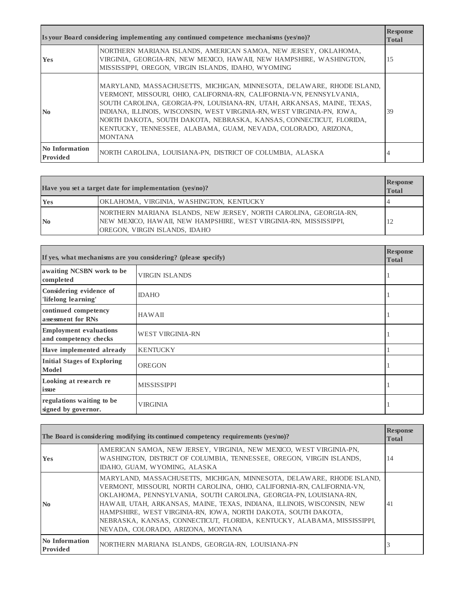|                            | Is your Board considering implementing any continued competence mechanisms (yes/no)?                                                                                                                                                                                                                                                                                                                                                                           | <b>Response</b><br><b>Total</b> |
|----------------------------|----------------------------------------------------------------------------------------------------------------------------------------------------------------------------------------------------------------------------------------------------------------------------------------------------------------------------------------------------------------------------------------------------------------------------------------------------------------|---------------------------------|
| <b>Yes</b>                 | NORTHERN MARIANA ISLANDS, AMERICAN SAMOA, NEW JERSEY, OKLAHOMA,<br>VIRGINIA, GEORGIA-RN, NEW MEXICO, HAWAII, NEW HAMPSHIRE, WASHINGTON,<br>MISSISSIPPI, OREGON, VIRGIN ISLANDS, IDAHO, WYOMING                                                                                                                                                                                                                                                                 | 15                              |
| $\mathbf{N}\mathbf{0}$     | MARYLAND, MASSACHUSETTS, MICHIGAN, MINNESOTA, DELAWARE, RHODE ISLAND,<br>VERMONT, MISSOURI, OHIO, CALIFORNIA-RN, CALIFORNIA-VN, PENNSYLVANIA,<br>SOUTH CAROLINA, GEORGIA-PN, LOUISIANA-RN, UTAH, ARKANSAS, MAINE, TEXAS,<br>INDIANA, ILLINOIS, WISCONSIN, WEST VIRGINIA-RN, WEST VIRGINIA-PN, IOWA,<br>NORTH DAKOTA, SOUTH DAKOTA, NEBRASKA, KANSAS, CONNECTICUT, FLORIDA,<br>KENTUCKY, TENNESSEE, ALABAMA, GUAM, NEVADA, COLORADO, ARIZONA,<br><b>MONTANA</b> | 39                              |
| No Information<br>Provided | NORTH CAROLINA, LOUISIANA-PN, DISTRICT OF COLUMBIA, ALASKA                                                                                                                                                                                                                                                                                                                                                                                                     | 4                               |

|                           | Have you set a target date for implementation $(ves/no)$ ?                                                                                                              | <b>Response</b><br><b>Total</b> |
|---------------------------|-------------------------------------------------------------------------------------------------------------------------------------------------------------------------|---------------------------------|
| <b>Yes</b>                | OKLAHOMA, VIRGINIA, WASHINGTON, KENTUCKY                                                                                                                                |                                 |
| $\mathbf{N}$ <sub>0</sub> | NORTHERN MARIANA ISLANDS, NEW JERSEY, NORTH CAROLINA, GEORGIA-RN,<br>NEW MEXICO, HAWAII, NEW HAMPSHIRE, WEST VIRGINIA-RN, MISSISSIPPI,<br>OREGON, VIRGIN ISLANDS, IDAHO |                                 |

| If yes, what mechanisms are you considering? (please specify) |                         | <b>Response</b><br><b>Total</b> |
|---------------------------------------------------------------|-------------------------|---------------------------------|
| awaiting NCSBN work to be<br>completed                        | <b>VIRGIN ISLANDS</b>   |                                 |
| Considering evidence of<br>'lifelong learning'                | <b>IDAHO</b>            |                                 |
| continued competency<br>assessment for RNs                    | <b>HAWAII</b>           |                                 |
| <b>Employment evaluations</b><br>and competency checks        | <b>WEST VIRGINIA-RN</b> |                                 |
| Have implemented already                                      | <b>KENTUCKY</b>         |                                 |
| <b>Initial Stages of Exploring</b><br>Model                   | <b>OREGON</b>           |                                 |
| Looking at research re<br>issue                               | <b>MISSISSIPPI</b>      |                                 |
| regulations waiting to be<br>signed by governor.              | <b>VIRGINIA</b>         | 1                               |

|                                   | The Board is considering modifying its continued competency requirements (yes/no)?                                                                                                                                                                                                                                                                                                                                                                                                 | <b>Response</b><br><b>Total</b> |
|-----------------------------------|------------------------------------------------------------------------------------------------------------------------------------------------------------------------------------------------------------------------------------------------------------------------------------------------------------------------------------------------------------------------------------------------------------------------------------------------------------------------------------|---------------------------------|
| <b>Yes</b>                        | AMERICAN SAMOA, NEW JERSEY, VIRGINIA, NEW MEXICO, WEST VIRGINIA-PN,<br>WASHINGTON, DISTRICT OF COLUMBIA, TENNESSEE, OREGON, VIRGIN ISLANDS,<br>IDAHO, GUAM, WYOMING, ALASKA                                                                                                                                                                                                                                                                                                        | 14                              |
| $\mathbf{N}\mathbf{0}$            | MARYLAND, MASSACHUSETTS, MICHIGAN, MINNESOTA, DELAWARE, RHODE ISLAND,<br>VERMONT, MISSOURI, NORTH CAROLINA, OHIO, CALIFORNIA-RN, CALIFORNIA-VN,<br>OKLAHOMA, PENNSYLVANIA, SOUTH CAROLINA, GEORGIA-PN, LOUISIANA-RN,<br>HAWAII, UTAH, ARKANSAS, MAINE, TEXAS, INDIANA, ILLINOIS, WISCONSIN, NEW<br>HAMPSHIRE, WEST VIRGINIA-RN, IOWA, NORTH DAKOTA, SOUTH DAKOTA,<br>NEBRASKA, KANSAS, CONNECTICUT, FLORIDA, KENTUCKY, ALABAMA, MISSISSIPPI,<br>NEVADA, COLORADO, ARIZONA, MONTANA | 41                              |
| No Information<br><b>Provided</b> | NORTHERN MARIANA ISLANDS, GEORGIA-RN, LOUISIANA-PN                                                                                                                                                                                                                                                                                                                                                                                                                                 |                                 |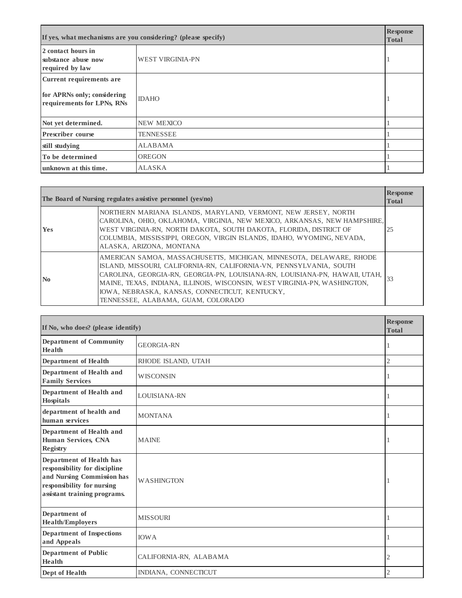| If yes, what mechanisms are you considering? (please specify)                         |                         | <b>Response</b><br><b>Total</b> |
|---------------------------------------------------------------------------------------|-------------------------|---------------------------------|
| 2 contact hours in<br>substance abuse now<br>required by law                          | <b>WEST VIRGINIA-PN</b> |                                 |
| Current requirements are<br>for APRNs only; considering<br>requirements for LPNs, RNs | <b>IDAHO</b>            |                                 |
| Not yet determined.                                                                   | <b>NEW MEXICO</b>       |                                 |
| <b>Prescriber course</b>                                                              | <b>TENNESSEE</b>        |                                 |
| still studying                                                                        | <b>ALABAMA</b>          |                                 |
| To be determined                                                                      | <b>OREGON</b>           |                                 |
| unknown at this time.                                                                 | <b>ALASKA</b>           |                                 |

|                | The Board of Nursing regulates assistive personnel (yes/no)                                                                                                                                                                                                                                                                                                                                    | <b>Response</b><br><b>Total</b> |
|----------------|------------------------------------------------------------------------------------------------------------------------------------------------------------------------------------------------------------------------------------------------------------------------------------------------------------------------------------------------------------------------------------------------|---------------------------------|
| <b>Yes</b>     | NORTHERN MARIANA ISLANDS, MARYLAND, VERMONT, NEW JERSEY, NORTH<br>CAROLINA, OHIO, OKLAHOMA, VIRGINIA, NEW MEXICO, ARKANSAS, NEW HAMPSHIRE,<br>WEST VIRGINIA-RN, NORTH DAKOTA, SOUTH DAKOTA, FLORIDA, DISTRICT OF<br>COLUMBIA, MISSISSIPPI, OREGON, VIRGIN ISLANDS, IDAHO, WYOMING, NEVADA,<br>ALASKA, ARIZONA, MONTANA                                                                         | 25                              |
| N <sub>0</sub> | AMERICAN SAMOA, MASSACHUSETTS, MICHIGAN, MINNESOTA, DELAWARE, RHODE<br>ISLAND, MISSOURI, CALIFORNIA-RN, CALIFORNIA-VN, PENNSYLVANIA, SOUTH<br>CAROLINA, GEORGIA-RN, GEORGIA-PN, LOUISIANA-RN, LOUISIANA-PN, HAWAII, UTAH,<br>MAINE, TEXAS, INDIANA, ILLINOIS, WISCONSIN, WEST VIRGINIA-PN, WASHINGTON,<br>IOWA, NEBRASKA, KANSAS, CONNECTICUT, KENTUCKY,<br>TENNESSEE, ALABAMA, GUAM, COLORADO | 33                              |

| If No, who does? (please identify)                                                                                                                    |                        | <b>Response</b><br><b>Total</b> |
|-------------------------------------------------------------------------------------------------------------------------------------------------------|------------------------|---------------------------------|
| <b>Department of Community</b><br>Health                                                                                                              | <b>GEORGIA-RN</b>      |                                 |
| <b>Department of Health</b>                                                                                                                           | RHODE ISLAND, UTAH     | $\mathfrak{2}$                  |
| Department of Health and<br><b>Family Services</b>                                                                                                    | <b>WISCONSIN</b>       | 1                               |
| Department of Health and<br><b>Hospitals</b>                                                                                                          | <b>LOUISIANA-RN</b>    |                                 |
| department of health and<br>human services                                                                                                            | <b>MONTANA</b>         |                                 |
| Department of Health and<br><b>Human Services, CNA</b><br><b>Registry</b>                                                                             | <b>MAINE</b>           |                                 |
| Department of Health has<br>responsibility for discipline<br>and Nursing Commission has<br>responsibility for nursing<br>assistant training programs. | <b>WASHINGTON</b>      |                                 |
| Department of<br><b>Health/Employers</b>                                                                                                              | <b>MISSOURI</b>        | 1                               |
| <b>Department of Inspections</b><br>and Appeals                                                                                                       | <b>IOWA</b>            |                                 |
| <b>Department of Public</b><br><b>Health</b>                                                                                                          | CALIFORNIA-RN, ALABAMA | 2                               |
| Dept of Health                                                                                                                                        | INDIANA, CONNECTICUT   | 2                               |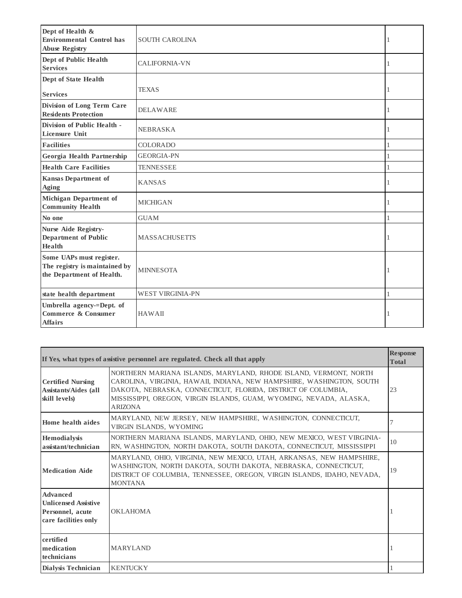| Dept of Health &<br><b>Environmental Control has</b><br><b>Abuse Registry</b>          | <b>SOUTH CAROLINA</b>   | 1 |
|----------------------------------------------------------------------------------------|-------------------------|---|
| Dept of Public Health<br><b>Services</b>                                               | <b>CALIFORNIA-VN</b>    | 1 |
| <b>Dept of State Health</b>                                                            |                         |   |
| <b>Services</b>                                                                        | <b>TEXAS</b>            | 1 |
| Division of Long Term Care<br><b>Residents Protection</b>                              | <b>DELAWARE</b>         | 1 |
| Division of Public Health -<br><b>Licensure Unit</b>                                   | <b>NEBRASKA</b>         | 1 |
| <b>Facilities</b>                                                                      | <b>COLORADO</b>         | 1 |
| Georgia Health Partnership                                                             | <b>GEORGIA-PN</b>       | 1 |
| <b>Health Care Facilities</b>                                                          | <b>TENNESSEE</b>        | 1 |
| <b>Kansas Department of</b><br><b>Aging</b>                                            | <b>KANSAS</b>           | 1 |
| <b>Michigan Department of</b><br><b>Community Health</b>                               | <b>MICHIGAN</b>         | 1 |
| No one                                                                                 | <b>GUAM</b>             | 1 |
| <b>Nurse Aide Registry-</b><br><b>Department of Public</b><br>Health                   | <b>MASSACHUSETTS</b>    | 1 |
| Some UAPs must register.<br>The registry is maintained by<br>the Department of Health. | <b>MINNESOTA</b>        | 1 |
| state health department                                                                | <b>WEST VIRGINIA-PN</b> |   |
| Umbrella agency-=Dept. of<br>Commerce & Consumer<br><b>Affairs</b>                     | <b>HAWAII</b>           | 1 |

|                                                                                            | If Yes, what types of assistive personnel are regulated. Check all that apply                                                                                                                                                                                                                       | <b>Response</b><br><b>Total</b> |
|--------------------------------------------------------------------------------------------|-----------------------------------------------------------------------------------------------------------------------------------------------------------------------------------------------------------------------------------------------------------------------------------------------------|---------------------------------|
| <b>Certified Nursing</b><br><b>Assistants/Aides (all</b><br>skill levels)                  | NORTHERN MARIANA ISLANDS, MARYLAND, RHODE ISLAND, VERMONT, NORTH<br>CAROLINA, VIRGINIA, HAWAII, INDIANA, NEW HAMPSHIRE, WASHINGTON, SOUTH<br>DAKOTA, NEBRASKA, CONNECTICUT, FLORIDA, DISTRICT OF COLUMBIA,<br>MISSISSIPPI, OREGON, VIRGIN ISLANDS, GUAM, WYOMING, NEVADA, ALASKA,<br><b>ARIZONA</b> | 23                              |
| Home health aides                                                                          | MARYLAND, NEW JERSEY, NEW HAMPSHIRE, WASHINGTON, CONNECTICUT,<br>VIRGIN ISLANDS, WYOMING                                                                                                                                                                                                            |                                 |
| Hemodialysis<br>assistant/technician                                                       | NORTHERN MARIANA ISLANDS, MARYLAND, OHIO, NEW MEXICO, WEST VIRGINIA-<br>RN, WASHINGTON, NORTH DAKOTA, SOUTH DAKOTA, CONNECTICUT, MISSISSIPPI                                                                                                                                                        | 10                              |
| <b>Medication Aide</b>                                                                     | MARYLAND, OHIO, VIRGINIA, NEW MEXICO, UTAH, ARKANSAS, NEW HAMPSHIRE,<br>WASHINGTON, NORTH DAKOTA, SOUTH DAKOTA, NEBRASKA, CONNECTICUT,<br>DISTRICT OF COLUMBIA, TENNESSEE, OREGON, VIRGIN ISLANDS, IDAHO, NEVADA,<br><b>MONTANA</b>                                                                 | 19                              |
| <b>Advanced</b><br><b>Unlicensed Assistive</b><br>Personnel, acute<br>care facilities only | <b>OKLAHOMA</b>                                                                                                                                                                                                                                                                                     |                                 |
| certified<br>medication<br>technicians                                                     | <b>MARYLAND</b>                                                                                                                                                                                                                                                                                     |                                 |
| Dialysis Technician                                                                        | <b>KENTUCKY</b>                                                                                                                                                                                                                                                                                     |                                 |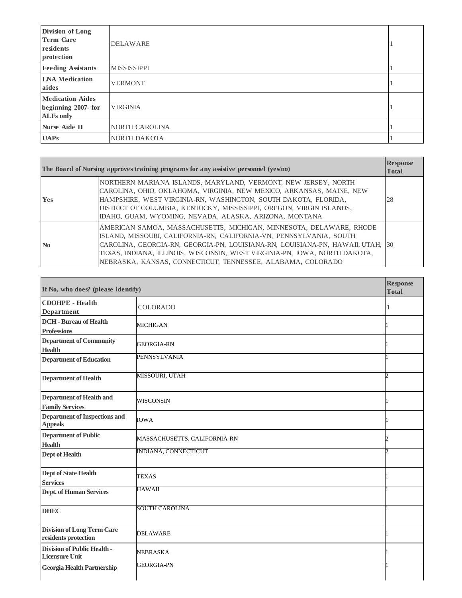| Division of Long<br><b>Term Care</b><br>residents<br>protection   | <b>DELAWARE</b>     |  |
|-------------------------------------------------------------------|---------------------|--|
| <b>Feeding Assistants</b>                                         | <b>MISSISSIPPI</b>  |  |
| <b>LNA</b> Medication<br>aides                                    | <b>VERMONT</b>      |  |
| <b>Medication Aides</b><br>beginning 2007-for<br><b>ALFs only</b> | <b>VIRGINIA</b>     |  |
| <b>Nurse Aide II</b>                                              | NORTH CAROLINA      |  |
| <b>UAPs</b>                                                       | <b>NORTH DAKOTA</b> |  |

|                | The Board of Nursing approves training programs for any assistive personnel (yes/no)                                                                                                                                                                                                                                                                                      | <b>Response</b><br><b>Total</b> |
|----------------|---------------------------------------------------------------------------------------------------------------------------------------------------------------------------------------------------------------------------------------------------------------------------------------------------------------------------------------------------------------------------|---------------------------------|
| <b>Yes</b>     | NORTHERN MARIANA ISLANDS, MARYLAND, VERMONT, NEW JERSEY, NORTH<br>CAROLINA, OHIO, OKLAHOMA, VIRGINIA, NEW MEXICO, ARKANSAS, MAINE, NEW<br>HAMPSHIRE, WEST VIRGINIA-RN, WASHINGTON, SOUTH DAKOTA, FLORIDA,<br>DISTRICT OF COLUMBIA, KENTUCKY, MISSISSIPPI, OREGON, VIRGIN ISLANDS,<br>IDAHO, GUAM, WYOMING, NEVADA, ALASKA, ARIZONA, MONTANA                               | 28                              |
| N <sub>0</sub> | AMERICAN SAMOA, MASSACHUSETTS, MICHIGAN, MINNESOTA, DELAWARE, RHODE<br>ISLAND, MISSOURI, CALIFORNIA-RN, CALIFORNIA-VN, PENNSYLVANIA, SOUTH<br>CAROLINA, GEORGIA-RN, GEORGIA-PN, LOUISIANA-RN, LOUISIANA-PN, HAWAII, UTAH, 30<br>TEXAS, INDIANA, ILLINOIS, WISCONSIN, WEST VIRGINIA-PN, IOWA, NORTH DAKOTA,<br>NEBRASKA, KANSAS, CONNECTICUT, TENNESSEE, ALABAMA, COLORADO |                                 |

| If No, who does? (please identify)                          |                              | <b>Response</b><br><b>Total</b> |
|-------------------------------------------------------------|------------------------------|---------------------------------|
| <b>CDOHPE</b> - Health<br><b>Department</b>                 | <b>COLORADO</b>              |                                 |
| <b>DCH</b> - Bureau of Health<br><b>Professions</b>         | <b>MICHIGAN</b>              |                                 |
| <b>Department of Community</b><br><b>Health</b>             | <b>GEORGIA-RN</b>            |                                 |
| <b>Department of Education</b>                              | <b>PENNSYLVANIA</b>          |                                 |
| <b>Department of Health</b>                                 | MISSOURI, UTAH               |                                 |
| <b>Department of Health and</b><br><b>Family Services</b>   | <b>WISCONSIN</b>             |                                 |
| <b>Department of Inspections and</b><br><b>Appeals</b>      | <b>IOWA</b>                  |                                 |
| <b>Department of Public</b><br><b>Health</b>                | MASSACHUSETTS, CALIFORNIA-RN |                                 |
| <b>Dept of Health</b>                                       | INDIANA, CONNECTICUT         |                                 |
| <b>Dept of State Health</b><br><b>Services</b>              | <b>TEXAS</b>                 |                                 |
| <b>Dept. of Human Services</b>                              | <b>HAWAII</b>                |                                 |
| <b>DHEC</b>                                                 | SOUTH CAROLINA               |                                 |
| <b>Division of Long Term Care</b><br>residents protection   | <b>DELAWARE</b>              |                                 |
| <b>Division of Public Health -</b><br><b>Licensure Unit</b> | <b>NEBRASKA</b>              |                                 |
| <b>Georgia Health Partnership</b>                           | <b>GEORGIA-PN</b>            |                                 |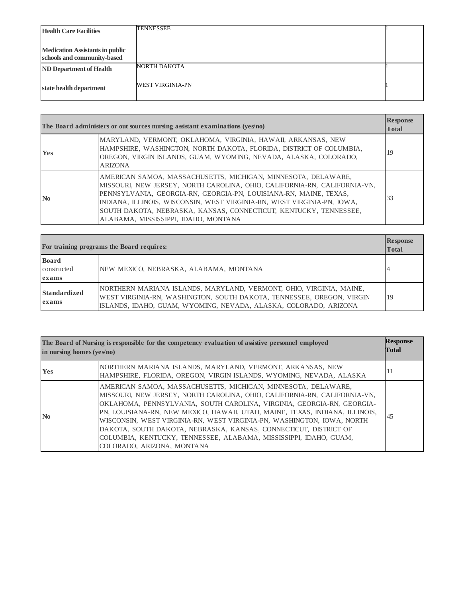| <b>Health Care Facilities</b>                                         | <b>TENNESSEE</b>        |  |
|-----------------------------------------------------------------------|-------------------------|--|
| <b>Medication Assistants in public</b><br>schools and community-based |                         |  |
| <b>ND Department of Health</b>                                        | NORTH DAKOTA            |  |
| state health department                                               | <b>WEST VIRGINIA-PN</b> |  |

| The Board administers or out sources nursing assistant examinations (yes/no) |                                                                                                                                                                                                                                                                                                                                                                                                         | <b>Response</b><br><b>Total</b> |
|------------------------------------------------------------------------------|---------------------------------------------------------------------------------------------------------------------------------------------------------------------------------------------------------------------------------------------------------------------------------------------------------------------------------------------------------------------------------------------------------|---------------------------------|
| <b>Yes</b>                                                                   | MARYLAND, VERMONT, OKLAHOMA, VIRGINIA, HAWAII, ARKANSAS, NEW<br>HAMPSHIRE, WASHINGTON, NORTH DAKOTA, FLORIDA, DISTRICT OF COLUMBIA,<br>OREGON, VIRGIN ISLANDS, GUAM, WYOMING, NEVADA, ALASKA, COLORADO,<br><b>ARIZONA</b>                                                                                                                                                                               | 19                              |
| N <sub>0</sub>                                                               | AMERICAN SAMOA, MASSACHUSETTS, MICHIGAN, MINNESOTA, DELAWARE,<br>MISSOURI, NEW JERSEY, NORTH CAROLINA, OHIO, CALIFORNIA-RN, CALIFORNIA-VN,<br>PENNSYLVANIA, GEORGIA-RN, GEORGIA-PN, LOUISIANA-RN, MAINE, TEXAS,<br>INDIANA, ILLINOIS, WISCONSIN, WEST VIRGINIA-RN, WEST VIRGINIA-PN, IOWA,<br>SOUTH DAKOTA, NEBRASKA, KANSAS, CONNECTICUT, KENTUCKY, TENNESSEE,<br>ALABAMA, MISSISSIPPI, IDAHO, MONTANA | 33                              |

|                                      | For training programs the Board requires:                                                                                                                                                                        | <b>Response</b><br><b>Total</b> |
|--------------------------------------|------------------------------------------------------------------------------------------------------------------------------------------------------------------------------------------------------------------|---------------------------------|
| <b>Board</b><br>constructed<br>exams | NEW MEXICO, NEBRASKA, ALABAMA, MONTANA                                                                                                                                                                           |                                 |
| Standardized<br>exams                | NORTHERN MARIANA ISLANDS, MARYLAND, VERMONT, OHIO, VIRGINIA, MAINE,<br>WEST VIRGINIA-RN, WASHINGTON, SOUTH DAKOTA, TENNESSEE, OREGON, VIRGIN<br>ISLANDS, IDAHO, GUAM, WYOMING, NEVADA, ALASKA, COLORADO, ARIZONA | 19                              |

| The Board of Nursing is responsible for the competency evaluation of assistive personnel employed<br>in nursing homes $(yes/no)$ |                                                                                                                                                                                                                                                                                                                                                                                                                                                                                                                                                       | <b>Response</b><br><b>Total</b> |
|----------------------------------------------------------------------------------------------------------------------------------|-------------------------------------------------------------------------------------------------------------------------------------------------------------------------------------------------------------------------------------------------------------------------------------------------------------------------------------------------------------------------------------------------------------------------------------------------------------------------------------------------------------------------------------------------------|---------------------------------|
| <b>Yes</b>                                                                                                                       | NORTHERN MARIANA ISLANDS, MARYLAND, VERMONT, ARKANSAS, NEW<br>HAMPSHIRE, FLORIDA, OREGON, VIRGIN ISLANDS, WYOMING, NEVADA, ALASKA                                                                                                                                                                                                                                                                                                                                                                                                                     | 11                              |
| $\mathbf{N}\mathbf{0}$                                                                                                           | AMERICAN SAMOA, MASSACHUSETTS, MICHIGAN, MINNESOTA, DELAWARE,<br>MISSOURI, NEW JERSEY, NORTH CAROLINA, OHIO, CALIFORNIA-RN, CALIFORNIA-VN,<br>OKLAHOMA, PENNSYLVANIA, SOUTH CAROLINA, VIRGINIA, GEORGIA-RN, GEORGIA-<br>PN, LOUISIANA-RN, NEW MEXICO, HAWAII, UTAH, MAINE, TEXAS, INDIANA, ILLINOIS,<br>WISCONSIN, WEST VIRGINIA-RN, WEST VIRGINIA-PN, WASHINGTON, IOWA, NORTH<br>DAKOTA, SOUTH DAKOTA, NEBRASKA, KANSAS, CONNECTICUT, DISTRICT OF<br>COLUMBIA, KENTUCKY, TENNESSEE, ALABAMA, MISSISSIPPI, IDAHO, GUAM,<br>COLORADO, ARIZONA, MONTANA | 45                              |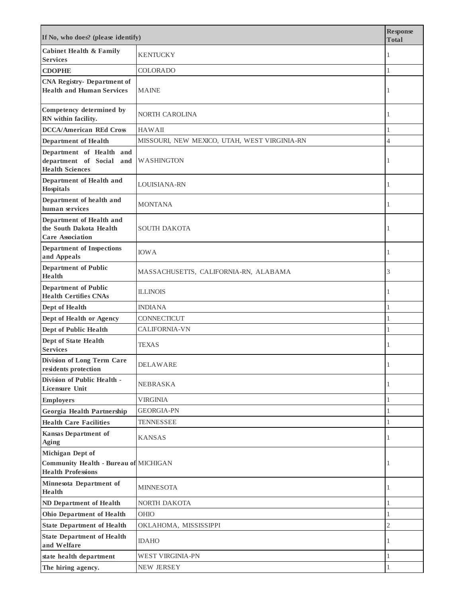| If No, who does? (please identify)                                                            |                                              | <b>Response</b><br><b>Total</b> |
|-----------------------------------------------------------------------------------------------|----------------------------------------------|---------------------------------|
| <b>Cabinet Health &amp; Family</b><br><b>Services</b>                                         | <b>KENTUCKY</b>                              | 1                               |
| <b>CDOPHE</b>                                                                                 | <b>COLORADO</b>                              | $\mathbf{1}$                    |
| <b>CNA Registry- Department of</b><br><b>Health and Human Services</b>                        | <b>MAINE</b>                                 | 1                               |
| Competency determined by<br>RN within facility.                                               | NORTH CAROLINA                               | 1                               |
| <b>DCCA/American REd Cross</b>                                                                | <b>HAWAII</b>                                | $\mathbf{1}$                    |
| <b>Department of Health</b>                                                                   | MISSOURI, NEW MEXICO, UTAH, WEST VIRGINIA-RN | $\overline{4}$                  |
| Department of Health and<br>department of Social and<br><b>Health Sciences</b>                | <b>WASHINGTON</b>                            | 1                               |
| Department of Health and<br>Hospitals                                                         | LOUISIANA-RN                                 | 1                               |
| Department of health and<br>human services                                                    | <b>MONTANA</b>                               | 1                               |
| Department of Health and<br>the South Dakota Health<br><b>Care Association</b>                | <b>SOUTH DAKOTA</b>                          | 1                               |
| <b>Department of Inspections</b><br>and Appeals                                               | <b>IOWA</b>                                  | 1                               |
| <b>Department of Public</b><br><b>Health</b>                                                  | MASSACHUSETTS, CALIFORNIA-RN, ALABAMA        | 3                               |
| <b>Department of Public</b><br><b>Health Certifies CNAs</b>                                   | <b>ILLINOIS</b>                              | 1                               |
| Dept of Health                                                                                | <b>INDIANA</b>                               | 1                               |
| Dept of Health or Agency                                                                      | CONNECTICUT                                  | $\mathbf{1}$                    |
| Dept of Public Health                                                                         | <b>CALIFORNIA-VN</b>                         | $\mathbf{1}$                    |
| <b>Dept of State Health</b><br><b>Services</b>                                                | <b>TEXAS</b>                                 | 1                               |
| Division of Long Term Care<br>residents protection                                            | <b>DELAWARE</b>                              | 1                               |
| Division of Public Health -<br><b>Licensure Unit</b>                                          | <b>NEBRASKA</b>                              | 1                               |
| <b>Employers</b>                                                                              | <b>VIRGINIA</b>                              | $\mathbf{1}$                    |
| Georgia Health Partnership                                                                    | <b>GEORGIA-PN</b>                            | $\mathbf{1}$                    |
| <b>Health Care Facilities</b>                                                                 | <b>TENNESSEE</b>                             | $\mathbf{1}$                    |
| <b>Kansas Department of</b><br>Aging                                                          | <b>KANSAS</b>                                | 1                               |
| Michigan Dept of<br><b>Community Health - Bureau of MICHIGAN</b><br><b>Health Professions</b> |                                              | 1                               |
| Minnesota Department of<br>Health                                                             | <b>MINNESOTA</b>                             | 1                               |
| ND Department of Health                                                                       | NORTH DAKOTA                                 | $\mathbf{1}$                    |
| <b>Ohio Department of Health</b>                                                              | <b>OHIO</b>                                  | $\mathbf{1}$                    |
| <b>State Department of Health</b>                                                             | OKLAHOMA, MISSISSIPPI                        | $\overline{2}$                  |
| <b>State Department of Health</b><br>and Welfare                                              | <b>IDAHO</b>                                 | 1                               |
| state health department                                                                       | <b>WEST VIRGINIA-PN</b>                      | $\mathbf{1}$                    |
| The hiring agency.                                                                            | NEW JERSEY                                   | $\mathbf{1}$                    |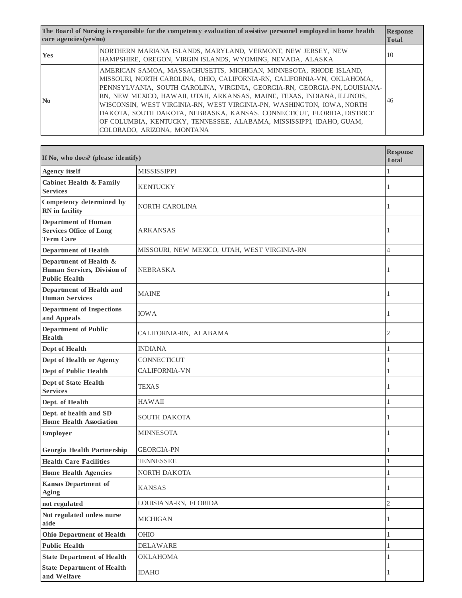| The Board of Nursing is responsible for the competency evaluation of assistive personnel employed in home health<br>care agencies (yes/no) |                                                                                                                                                                                                                                                                                                                                                                                                                                                                                                                                                                  | <b>Response</b><br><b>Total</b> |
|--------------------------------------------------------------------------------------------------------------------------------------------|------------------------------------------------------------------------------------------------------------------------------------------------------------------------------------------------------------------------------------------------------------------------------------------------------------------------------------------------------------------------------------------------------------------------------------------------------------------------------------------------------------------------------------------------------------------|---------------------------------|
| <b>Yes</b>                                                                                                                                 | NORTHERN MARIANA ISLANDS, MARYLAND, VERMONT, NEW JERSEY, NEW<br>HAMPSHIRE, OREGON, VIRGIN ISLANDS, WYOMING, NEVADA, ALASKA                                                                                                                                                                                                                                                                                                                                                                                                                                       | 10                              |
| N <sub>0</sub>                                                                                                                             | AMERICAN SAMOA, MASSACHUSETTS, MICHIGAN, MINNESOTA, RHODE ISLAND,<br>MISSOURI, NORTH CAROLINA, OHIO, CALIFORNIA-RN, CALIFORNIA-VN, OKLAHOMA,<br>PENNSYLVANIA, SOUTH CAROLINA, VIRGINIA, GEORGIA-RN, GEORGIA-PN, LOUISIANA-<br>RN, NEW MEXICO, HAWAII, UTAH, ARKANSAS, MAINE, TEXAS, INDIANA, ILLINOIS,<br>WISCONSIN, WEST VIRGINIA-RN, WEST VIRGINIA-PN, WASHINGTON, IOWA, NORTH<br>DAKOTA, SOUTH DAKOTA, NEBRASKA, KANSAS, CONNECTICUT, FLORIDA, DISTRICT<br>OF COLUMBIA, KENTUCKY, TENNESSEE, ALABAMA, MISSISSIPPI, IDAHO, GUAM,<br>COLORADO, ARIZONA, MONTANA | 46                              |

| If No, who does? (please identify)                                               |                                              | <b>Response</b><br><b>Total</b> |
|----------------------------------------------------------------------------------|----------------------------------------------|---------------------------------|
| <b>Agency itself</b>                                                             | <b>MISSISSIPPI</b>                           |                                 |
| <b>Cabinet Health &amp; Family</b><br><b>Services</b>                            | <b>KENTUCKY</b>                              | 1                               |
| Competency determined by<br>RN in facility                                       | NORTH CAROLINA                               | 1                               |
| <b>Department of Human</b><br><b>Services Office of Long</b><br><b>Term Care</b> | ARKANSAS                                     | 1                               |
| <b>Department of Health</b>                                                      | MISSOURI, NEW MEXICO, UTAH, WEST VIRGINIA-RN | $\overline{4}$                  |
| Department of Health &<br>Human Services, Division of<br><b>Public Health</b>    | <b>NEBRASKA</b>                              |                                 |
| Department of Health and<br><b>Human Services</b>                                | <b>MAINE</b>                                 | 1                               |
| <b>Department of Inspections</b><br>and Appeals                                  | <b>IOWA</b>                                  | 1                               |
| <b>Department of Public</b><br><b>Health</b>                                     | CALIFORNIA-RN, ALABAMA                       | $\overline{c}$                  |
| Dept of Health                                                                   | <b>INDIANA</b>                               | 1                               |
| Dept of Health or Agency                                                         | CONNECTICUT                                  | $\mathbf{1}$                    |
| <b>Dept of Public Health</b>                                                     | <b>CALIFORNIA-VN</b>                         | 1                               |
| Dept of State Health<br><b>Services</b>                                          | TEXAS                                        | 1                               |
| Dept. of Health                                                                  | <b>HAWAII</b>                                | $\mathbf{1}$                    |
| Dept. of health and SD<br><b>Home Health Association</b>                         | SOUTH DAKOTA                                 | 1                               |
| <b>Employer</b>                                                                  | <b>MINNESOTA</b>                             | 1                               |
| Georgia Health Partnership                                                       | <b>GEORGIA-PN</b>                            | 1                               |
| <b>Health Care Facilities</b>                                                    | <b>TENNESSEE</b>                             | $\mathbf{1}$                    |
| <b>Home Health Agencies</b>                                                      | NORTH DAKOTA                                 | 1                               |
| <b>Kansas Department of</b><br><b>Aging</b>                                      | <b>KANSAS</b>                                | $\perp$                         |
| not regulated                                                                    | LOUISIANA-RN, FLORIDA                        | $\sqrt{2}$                      |
| Not regulated unless nurse<br>aide                                               | <b>MICHIGAN</b>                              | 1                               |
| <b>Ohio Department of Health</b>                                                 | OHIO                                         | $\mathbf{1}$                    |
| <b>Public Health</b>                                                             | <b>DELAWARE</b>                              | 1                               |
| <b>State Department of Health</b>                                                | <b>OKLAHOMA</b>                              | $\,1$                           |
| <b>State Department of Health</b><br>and Welfare                                 | <b>IDAHO</b>                                 | 1                               |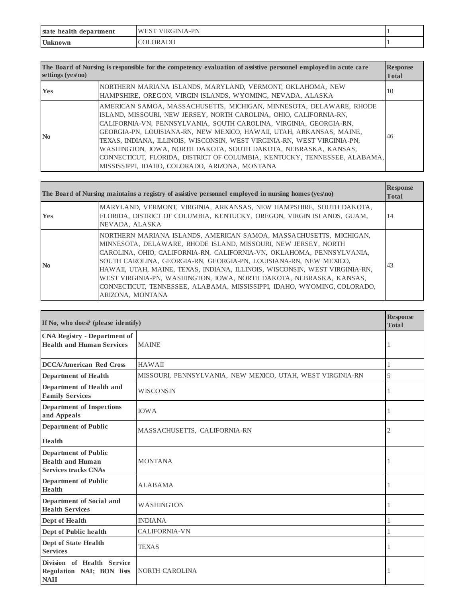| health<br>state<br>department<br>. | <b>GINIA-PN</b><br>W<br>ΊК |  |
|------------------------------------|----------------------------|--|
| <b>Unknown</b>                     | <b>DC</b><br>. IR          |  |

| The Board of Nursing is responsible for the competency evaluation of assistive personnel employed in acute care<br><b>Response</b><br>settings $(yes/no)$<br><b>Total</b> |                                                                                                                                                                                                                                                                                                                                                                                                                                                                                                                                                                       |               |
|---------------------------------------------------------------------------------------------------------------------------------------------------------------------------|-----------------------------------------------------------------------------------------------------------------------------------------------------------------------------------------------------------------------------------------------------------------------------------------------------------------------------------------------------------------------------------------------------------------------------------------------------------------------------------------------------------------------------------------------------------------------|---------------|
| <b>Yes</b>                                                                                                                                                                | NORTHERN MARIANA ISLANDS, MARYLAND, VERMONT, OKLAHOMA, NEW<br>HAMPSHIRE, OREGON, VIRGIN ISLANDS, WYOMING, NEVADA, ALASKA                                                                                                                                                                                                                                                                                                                                                                                                                                              | <sup>10</sup> |
| $\mathbf{N}\mathbf{0}$                                                                                                                                                    | AMERICAN SAMOA, MASSACHUSETTS, MICHIGAN, MINNESOTA, DELAWARE, RHODE<br>ISLAND, MISSOURI, NEW JERSEY, NORTH CAROLINA, OHIO, CALIFORNIA-RN,<br>CALIFORNIA-VN, PENNSYLVANIA, SOUTH CAROLINA, VIRGINIA, GEORGIA-RN,<br>GEORGIA-PN, LOUISIANA-RN, NEW MEXICO, HAWAII, UTAH, ARKANSAS, MAINE,<br>TEXAS, INDIANA, ILLINOIS, WISCONSIN, WEST VIRGINIA-RN, WEST VIRGINIA-PN,<br>WASHINGTON, IOWA, NORTH DAKOTA, SOUTH DAKOTA, NEBRASKA, KANSAS,<br>CONNECTICUT, FLORIDA, DISTRICT OF COLUMBIA, KENTUCKY, TENNESSEE, ALABAMA,<br>MISSISSIPPI, IDAHO, COLORADO, ARIZONA, MONTANA | 46            |

| The Board of Nursing maintains a registry of assistive personnel employed in nursing homes ( $y \in \mathcal{S}(n)$ ) |                                                                                                                                                                                                                                                                                                                                                                                                                                                                                                                                         | <b>Response</b><br><b>Total</b> |
|-----------------------------------------------------------------------------------------------------------------------|-----------------------------------------------------------------------------------------------------------------------------------------------------------------------------------------------------------------------------------------------------------------------------------------------------------------------------------------------------------------------------------------------------------------------------------------------------------------------------------------------------------------------------------------|---------------------------------|
| <b>Yes</b>                                                                                                            | MARYLAND, VERMONT, VIRGINIA, ARKANSAS, NEW HAMPSHIRE, SOUTH DAKOTA,<br>FLORIDA, DISTRICT OF COLUMBIA, KENTUCKY, OREGON, VIRGIN ISLANDS, GUAM,<br>NEVADA, ALASKA                                                                                                                                                                                                                                                                                                                                                                         | 14                              |
| N <sub>0</sub>                                                                                                        | NORTHERN MARIANA ISLANDS, AMERICAN SAMOA, MASSACHUSETTS, MICHIGAN,<br>MINNESOTA, DELAWARE, RHODE ISLAND, MISSOURI, NEW JERSEY, NORTH<br>CAROLINA, OHIO, CALIFORNIA-RN, CALIFORNIA-VN, OKLAHOMA, PENNSYLVANIA,<br>SOUTH CAROLINA, GEORGIA-RN, GEORGIA-PN, LOUISIANA-RN, NEW MEXICO,<br>HAWAII, UTAH, MAINE, TEXAS, INDIANA, ILLINOIS, WISCONSIN, WEST VIRGINIA-RN,<br>WEST VIRGINIA-PN, WASHINGTON, IOWA, NORTH DAKOTA, NEBRASKA, KANSAS,<br>CONNECTICUT, TENNESSEE, ALABAMA, MISSISSIPPI, IDAHO, WYOMING, COLORADO,<br>ARIZONA, MONTANA | 43                              |

| If No, who does? (please identify)                                                    |                                                            | <b>Response</b><br><b>Total</b> |
|---------------------------------------------------------------------------------------|------------------------------------------------------------|---------------------------------|
| <b>CNA Registry - Department of</b><br><b>Health and Human Services</b>               | <b>MAINE</b>                                               | 1                               |
| <b>DCCA/American Red Cross</b>                                                        | <b>HAWAII</b>                                              |                                 |
| <b>Department of Health</b>                                                           | MISSOURI, PENNSYLVANIA, NEW MEXICO, UTAH, WEST VIRGINIA-RN | 5                               |
| Department of Health and<br><b>Family Services</b>                                    | <b>WISCONSIN</b>                                           | 1                               |
| <b>Department of Inspections</b><br>and Appeals                                       | <b>IOWA</b>                                                |                                 |
| <b>Department of Public</b>                                                           | MASSACHUSETTS, CALIFORNIA-RN                               | 2                               |
| <b>Health</b>                                                                         |                                                            |                                 |
| <b>Department of Public</b><br><b>Health and Human</b><br><b>Services tracks CNAs</b> | <b>MONTANA</b>                                             |                                 |
| <b>Department of Public</b><br><b>Health</b>                                          | <b>ALABAMA</b>                                             | 1                               |
| Department of Social and<br><b>Health Services</b>                                    | <b>WASHINGTON</b>                                          |                                 |
| Dept of Health                                                                        | <b>INDIANA</b>                                             | 1                               |
| Dept of Public health                                                                 | <b>CALIFORNIA-VN</b>                                       |                                 |
| <b>Dept of State Health</b><br><b>Services</b>                                        | <b>TEXAS</b>                                               | J.                              |
| Division of Health Service<br>Regulation NAI; BON lists<br><b>NAII</b>                | NORTH CAROLINA                                             | 1                               |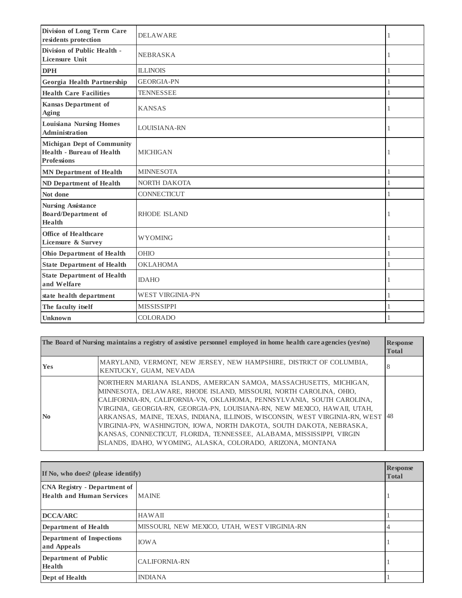| Division of Long Term Care<br>residents protection                                          | <b>DELAWARE</b>         | 1 |
|---------------------------------------------------------------------------------------------|-------------------------|---|
| Division of Public Health -<br><b>Licensure Unit</b>                                        | <b>NEBRASKA</b>         |   |
| <b>DPH</b>                                                                                  | <b>ILLINOIS</b>         | 1 |
| Georgia Health Partnership                                                                  | <b>GEORGIA-PN</b>       |   |
| <b>Health Care Facilities</b>                                                               | <b>TENNESSEE</b>        |   |
| <b>Kansas Department of</b><br><b>Aging</b>                                                 | <b>KANSAS</b>           |   |
| <b>Louisiana Nursing Homes</b><br>Administration                                            | LOUISIANA-RN            | 1 |
| <b>Michigan Dept of Community</b><br><b>Health - Bureau of Health</b><br><b>Professions</b> | <b>MICHIGAN</b>         | 1 |
| <b>MN Department of Health</b>                                                              | <b>MINNESOTA</b>        | 1 |
| <b>ND Department of Health</b>                                                              | <b>NORTH DAKOTA</b>     |   |
| Not done                                                                                    | <b>CONNECTICUT</b>      | 1 |
| <b>Nursing Assistance</b><br><b>Board/Department of</b><br>Health                           | <b>RHODE ISLAND</b>     |   |
| Office of Healthcare<br>Licensure & Survey                                                  | <b>WYOMING</b>          | 1 |
| <b>Ohio Department of Health</b>                                                            | <b>OHIO</b>             |   |
| <b>State Department of Health</b>                                                           | <b>OKLAHOMA</b>         | 1 |
| <b>State Department of Health</b><br>and Welfare                                            | <b>IDAHO</b>            | 1 |
| state health department                                                                     | <b>WEST VIRGINIA-PN</b> | 1 |
| The faculty itself                                                                          | <b>MISSISSIPPI</b>      |   |
| <b>Unknown</b>                                                                              | <b>COLORADO</b>         |   |

|                           | The Board of Nursing maintains a registry of assistive personnel employed in home health care agencies (yes/no)                                                                                                                                                                                                                                                                                                                                                                                                                                                                                     | <b>Response</b><br><b>Total</b> |
|---------------------------|-----------------------------------------------------------------------------------------------------------------------------------------------------------------------------------------------------------------------------------------------------------------------------------------------------------------------------------------------------------------------------------------------------------------------------------------------------------------------------------------------------------------------------------------------------------------------------------------------------|---------------------------------|
| Yes                       | MARYLAND, VERMONT, NEW JERSEY, NEW HAMPSHIRE, DISTRICT OF COLUMBIA,<br>KENTUCKY, GUAM, NEVADA                                                                                                                                                                                                                                                                                                                                                                                                                                                                                                       | 8                               |
| $\mathbf{N}$ <sub>0</sub> | NORTHERN MARIANA ISLANDS, AMERICAN SAMOA, MASSACHUSETTS, MICHIGAN,<br>MINNESOTA, DELAWARE, RHODE ISLAND, MISSOURI, NORTH CAROLINA, OHIO,<br>CALIFORNIA-RN, CALIFORNIA-VN, OKLAHOMA, PENNSYLVANIA, SOUTH CAROLINA,<br>VIRGINIA, GEORGIA-RN, GEORGIA-PN, LOUISIANA-RN, NEW MEXICO, HAWAII, UTAH,<br>ARKANSAS, MAINE, TEXAS, INDIANA, ILLINOIS, WISCONSIN, WEST VIRGINIA-RN, WEST   48<br>VIRGINIA-PN, WASHINGTON, IOWA, NORTH DAKOTA, SOUTH DAKOTA, NEBRASKA,<br>KANSAS, CONNECTICUT, FLORIDA, TENNESSEE, ALABAMA, MISSISSIPPI, VIRGIN<br>ISLANDS, IDAHO, WYOMING, ALASKA, COLORADO, ARIZONA, MONTANA |                                 |

| If No, who does? (please identify)                                      |                                              | <b>Response</b><br><b>Total</b> |
|-------------------------------------------------------------------------|----------------------------------------------|---------------------------------|
| <b>CNA Registry - Department of</b><br><b>Health and Human Services</b> | <b>MAINE</b>                                 |                                 |
| <b>DCCA/ARC</b>                                                         | <b>HAWAII</b>                                |                                 |
| Department of Health                                                    | MISSOURI, NEW MEXICO, UTAH, WEST VIRGINIA-RN | 4                               |
| <b>Department of Inspections</b><br>and Appeals                         | <b>IOWA</b>                                  |                                 |
| <b>Department of Public</b><br>Health                                   | <b>CALIFORNIA-RN</b>                         |                                 |
| Dept of Health                                                          | <b>INDIANA</b>                               |                                 |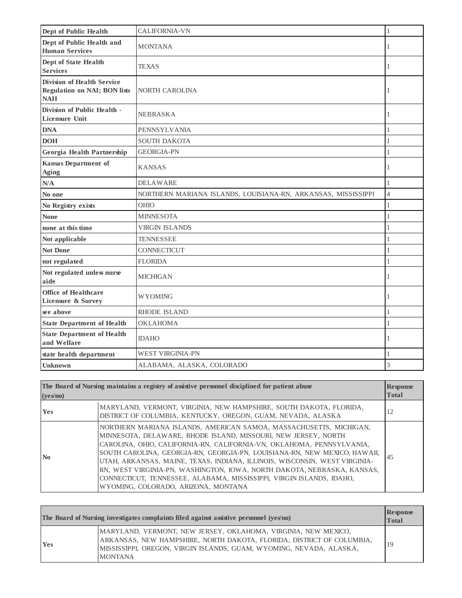| <b>Dept of Public Health</b>                                                            | <b>CALIFORNIA-VN</b>                                          | 1              |
|-----------------------------------------------------------------------------------------|---------------------------------------------------------------|----------------|
| Dept of Public Health and<br><b>Human Services</b>                                      | <b>MONTANA</b>                                                | 1              |
| Dept of State Health<br><b>Services</b>                                                 | <b>TEXAS</b>                                                  | 1              |
| <b>Division of Health Service</b><br><b>Regulation on NAI; BON lists</b><br><b>NAII</b> | NORTH CAROLINA                                                | 1              |
| Division of Public Health -<br><b>Licensure Unit</b>                                    | <b>NEBRASKA</b>                                               | 1              |
| <b>DNA</b>                                                                              | PENNSYLVANIA                                                  | 1              |
| <b>DOH</b>                                                                              | <b>SOUTH DAKOTA</b>                                           | $\mathbf{1}$   |
| Georgia Health Partnership                                                              | <b>GEORGIA-PN</b>                                             | 1              |
| <b>Kansas Department of</b><br><b>Aging</b>                                             | <b>KANSAS</b>                                                 | 1              |
| N/A                                                                                     | <b>DELAWARE</b>                                               | 1              |
| No one                                                                                  | NORTHERN MARIANA ISLANDS, LOUISIANA-RN, ARKANSAS, MISSISSIPPI | $\overline{4}$ |
| No Registry exists                                                                      | <b>OHIO</b>                                                   | 1              |
| <b>None</b>                                                                             | <b>MINNESOTA</b>                                              | 1              |
| none at this time                                                                       | <b>VIRGIN ISLANDS</b>                                         | $\mathbf{1}$   |
| Not applicable                                                                          | <b>TENNESSEE</b>                                              | $\mathbf{1}$   |
| <b>Not Done</b>                                                                         | <b>CONNECTICUT</b>                                            | $\mathbf{1}$   |
| not regulated                                                                           | <b>FLORIDA</b>                                                | $\mathbf{1}$   |
| Not regulated unless nurse<br>aide                                                      | <b>MICHIGAN</b>                                               | 1              |
| Office of Healthcare<br>Licensure & Survey                                              | <b>WYOMING</b>                                                | 1              |
| see above                                                                               | <b>RHODE ISLAND</b>                                           | 1              |
| <b>State Department of Health</b>                                                       | <b>OKLAHOMA</b>                                               | 1              |
| <b>State Department of Health</b><br>and Welfare                                        | <b>IDAHO</b>                                                  | 1              |
| state health department                                                                 | WEST VIRGINIA-PN                                              | 1              |
| <b>Unknown</b>                                                                          | ALABAMA, ALASKA, COLORADO                                     | 3              |

| The Board of Nursing maintains a registry of assistive personnel disciplined for patient abuse<br>(yes/no) |                                                                                                                                                                                                                                                                                                                                                                                                                                                                                                                                                                    | <b>Response</b><br><b>Total</b> |
|------------------------------------------------------------------------------------------------------------|--------------------------------------------------------------------------------------------------------------------------------------------------------------------------------------------------------------------------------------------------------------------------------------------------------------------------------------------------------------------------------------------------------------------------------------------------------------------------------------------------------------------------------------------------------------------|---------------------------------|
| <b>Yes</b>                                                                                                 | MARYLAND, VERMONT, VIRGINIA, NEW HAMPSHIRE, SOUTH DAKOTA, FLORIDA,<br>DISTRICT OF COLUMBIA, KENTUCKY, OREGON, GUAM, NEVADA, ALASKA                                                                                                                                                                                                                                                                                                                                                                                                                                 | 12                              |
| $\mathbf{N}\mathbf{0}$                                                                                     | NORTHERN MARIANA ISLANDS, AMERICAN SAMOA, MASSACHUSETTS, MICHIGAN,<br>MINNESOTA, DELAWARE, RHODE ISLAND, MISSOURI, NEW JERSEY, NORTH<br>CAROLINA, OHIO, CALIFORNIA-RN, CALIFORNIA-VN, OKLAHOMA, PENNSYLVANIA,<br>SOUTH CAROLINA, GEORGIA-RN, GEORGIA-PN, LOUISIANA-RN, NEW MEXICO, HAWAII,<br>UTAH, ARKANSAS, MAINE, TEXAS, INDIANA, ILLINOIS, WISCONSIN, WEST VIRGINIA-<br>RN, WEST VIRGINIA-PN, WASHINGTON, IOWA, NORTH DAKOTA, NEBRASKA, KANSAS,<br>CONNECTICUT, TENNESSEE, ALABAMA, MISSISSIPPI, VIRGIN ISLANDS, IDAHO,<br>WYOMING, COLORADO, ARIZONA, MONTANA | 45                              |

|            | The Board of Nursing investigates complaints filed against assistive personnel (yes/no)                                                                                                                                          | <b>Response</b><br><b>Total</b> |
|------------|----------------------------------------------------------------------------------------------------------------------------------------------------------------------------------------------------------------------------------|---------------------------------|
| <b>Yes</b> | MARYLAND, VERMONT, NEW JERSEY, OKLAHOMA, VIRGINIA, NEW MEXICO,<br>ARKANSAS, NEW HAMPSHIRE, NORTH DAKOTA, FLORIDA, DISTRICT OF COLUMBIA,<br>MISSISSIPPI, OREGON, VIRGIN ISLANDS, GUAM, WYOMING, NEVADA, ALASKA,<br><b>MONTANA</b> | 19                              |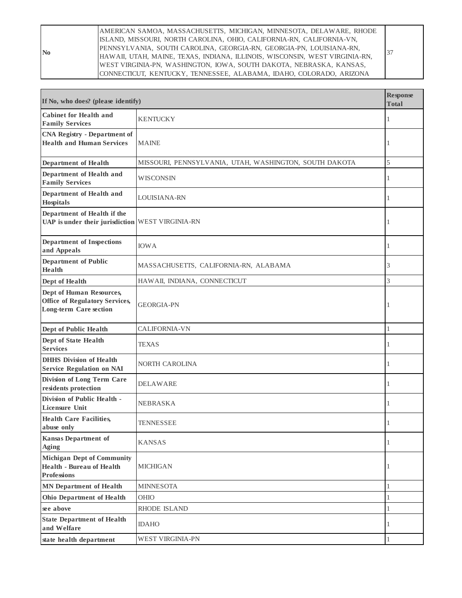AMERICAN SAMOA, MASSACHUSETTS, MICHIGAN, MINNESOTA, DELAWARE, RHODE ISLAND, MISSOURI, NORTH CAROLINA, OHIO, CALIFORNIA-RN, CALIFORNIA-VN, PENNSYLVANIA, SOUTH CAROLINA, GEORGIA-RN, GEORGIA-PN, LOUISIANA-RN, HAWAII, UTAH, MAINE, TEXAS, INDIANA, ILLINOIS, WISCONSIN, WEST VIRGINIA-RN, WEST VIRGINIA-PN, WASHINGTON, IOWA, SOUTH DAKOTA, NEBRASKA, KANSAS, CONNECTICUT, KENTUCKY, TENNESSEE, ALABAMA, IDAHO, COLORADO, ARIZONA 37

**No**

| If No, who does? (please identify)                                                                 |                                                        | <b>Response</b><br><b>Total</b> |
|----------------------------------------------------------------------------------------------------|--------------------------------------------------------|---------------------------------|
| <b>Cabinet for Health and</b><br><b>Family Services</b>                                            | <b>KENTUCKY</b>                                        | 1                               |
| <b>CNA Registry - Department of</b><br><b>Health and Human Services</b>                            | <b>MAINE</b>                                           | 1                               |
| <b>Department of Health</b>                                                                        | MISSOURI, PENNSYLVANIA, UTAH, WASHINGTON, SOUTH DAKOTA | 5                               |
| Department of Health and<br><b>Family Services</b>                                                 | WISCONSIN                                              | 1                               |
| Department of Health and<br>Hospitals                                                              | LOUISIANA-RN                                           | 1                               |
| Department of Health if the<br>UAP is under their jurisdiction WEST VIRGINIA-RN                    |                                                        | 1                               |
| <b>Department of Inspections</b><br>and Appeals                                                    | <b>IOWA</b>                                            | 1                               |
| Department of Public<br>Health                                                                     | MASSACHUSETTS, CALIFORNIA-RN, ALABAMA                  | 3                               |
| Dept of Health                                                                                     | HAWAII, INDIANA, CONNECTICUT                           | 3                               |
| Dept of Human Resources,<br><b>Office of Regulatory Services,</b><br><b>Long-term Care section</b> | <b>GEORGIA-PN</b>                                      | 1                               |
| Dept of Public Health                                                                              | <b>CALIFORNIA-VN</b>                                   | $\mathbf{1}$                    |
| Dept of State Health<br><b>Services</b>                                                            | TEXAS                                                  | 1                               |
| <b>DHHS</b> Division of Health<br><b>Service Regulation on NAI</b>                                 | NORTH CAROLINA                                         | 1                               |
| Division of Long Term Care<br>residents protection                                                 | DELAWARE                                               | 1                               |
| Division of Public Health -<br>Licensure Unit                                                      | <b>NEBRASKA</b>                                        | 1                               |
| <b>Health Care Facilities,</b><br>abuse only                                                       | TENNESSEE                                              | 1                               |
| <b>Kansas Department of</b><br>Aging                                                               | <b>KANSAS</b>                                          | 1                               |
| <b>Michigan Dept of Community</b><br><b>Health - Bureau of Health</b><br><b>Professions</b>        | <b>MICHIGAN</b>                                        | 1                               |
| <b>MN</b> Department of Health                                                                     | <b>MINNESOTA</b>                                       | 1                               |
| <b>Ohio Department of Health</b>                                                                   | OHIO                                                   | $\mathbf{1}$                    |
| see above                                                                                          | RHODE ISLAND                                           | 1                               |
| <b>State Department of Health</b><br>and Welfare                                                   | <b>IDAHO</b>                                           | 1                               |
| state health department                                                                            | <b>WEST VIRGINIA-PN</b>                                | 1                               |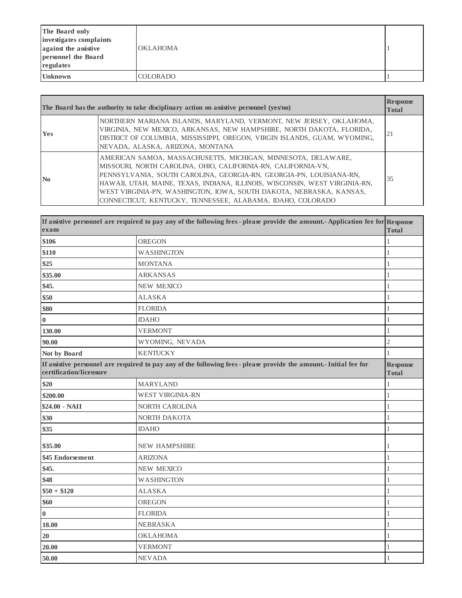| The Board only<br>investigates complaints<br>against the assistive<br>personnel the Board<br>regulates | <b>OKLAHOMA</b> |  |
|--------------------------------------------------------------------------------------------------------|-----------------|--|
| <b>Unknown</b>                                                                                         | <b>COLORADO</b> |  |

| The Board has the authority to take disciplinary action on assistive personnel (yes/no) |                                                                                                                                                                                                                                                                                                                                                                                                                           | <b>Response</b><br><b>Total</b> |
|-----------------------------------------------------------------------------------------|---------------------------------------------------------------------------------------------------------------------------------------------------------------------------------------------------------------------------------------------------------------------------------------------------------------------------------------------------------------------------------------------------------------------------|---------------------------------|
| <b>Yes</b>                                                                              | NORTHERN MARIANA ISLANDS, MARYLAND, VERMONT, NEW JERSEY, OKLAHOMA,<br>VIRGINIA, NEW MEXICO, ARKANSAS, NEW HAMPSHIRE, NORTH DAKOTA, FLORIDA,<br>DISTRICT OF COLUMBIA, MISSISSIPPI, OREGON, VIRGIN ISLANDS, GUAM, WYOMING,<br>NEVADA, ALASKA, ARIZONA, MONTANA                                                                                                                                                              | 21                              |
| $\mathbf{N}\mathbf{0}$                                                                  | AMERICAN SAMOA, MASSACHUSETTS, MICHIGAN, MINNESOTA, DELAWARE,<br>MISSOURI, NORTH CAROLINA, OHIO, CALIFORNIA-RN, CALIFORNIA-VN,<br>PENNSYLVANIA, SOUTH CAROLINA, GEORGIA-RN, GEORGIA-PN, LOUISIANA-RN,<br>HAWAII, UTAH, MAINE, TEXAS, INDIANA, ILLINOIS, WISCONSIN, WEST VIRGINIA-RN,<br>WEST VIRGINIA-PN, WASHINGTON, IOWA, SOUTH DAKOTA, NEBRASKA, KANSAS,<br>CONNECTICUT, KENTUCKY, TENNESSEE, ALABAMA, IDAHO, COLORADO | 35                              |

| exam                    | If assistive personnel are required to pay any of the following fees - please provide the amount. Application fee for Response | <b>Total</b>                    |
|-------------------------|--------------------------------------------------------------------------------------------------------------------------------|---------------------------------|
| \$106                   | <b>OREGON</b>                                                                                                                  | 1                               |
| \$110                   | <b>WASHINGTON</b>                                                                                                              | 1                               |
| \$25                    | <b>MONTANA</b>                                                                                                                 | 1                               |
| \$35.00                 | <b>ARKANSAS</b>                                                                                                                | 1                               |
| \$45.                   | <b>NEW MEXICO</b>                                                                                                              | 1                               |
| \$50                    | <b>ALASKA</b>                                                                                                                  | 1                               |
| \$80                    | <b>FLORIDA</b>                                                                                                                 | 1                               |
| $\boldsymbol{0}$        | <b>IDAHO</b>                                                                                                                   | 1                               |
| 130.00                  | <b>VERMONT</b>                                                                                                                 | 1                               |
| 90.00                   | WYOMING, NEVADA                                                                                                                | $\overline{2}$                  |
| Not by Board            | <b>KENTUCKY</b>                                                                                                                | 1                               |
| certification/licensure | If assistive personnel are required to pay any of the following fees - please provide the amount. Initial fee for              | <b>Response</b><br><b>Total</b> |
| \$20                    | <b>MARYLAND</b>                                                                                                                | 1                               |
| \$200.00                | <b>WEST VIRGINIA-RN</b>                                                                                                        | $\mathbf{1}$                    |
| \$24.00 - NAII          | NORTH CAROLINA                                                                                                                 | 1                               |
| \$30                    | NORTH DAKOTA                                                                                                                   | 1                               |
| \$35                    | <b>IDAHO</b>                                                                                                                   | 1                               |
| \$35.00                 | <b>NEW HAMPSHIRE</b>                                                                                                           | 1                               |
| \$45 Endorsement        | <b>ARIZONA</b>                                                                                                                 | 1                               |
| \$45.                   | <b>NEW MEXICO</b>                                                                                                              | 1                               |
| \$48                    | <b>WASHINGTON</b>                                                                                                              | 1                               |
| $$50 + $120$            | <b>ALASKA</b>                                                                                                                  | 1                               |
| \$60                    | OREGON                                                                                                                         | 1                               |
| $\boldsymbol{0}$        | <b>FLORIDA</b>                                                                                                                 | 1                               |
| 18.00                   | <b>NEBRASKA</b>                                                                                                                | 1                               |
| 20                      | <b>OKLAHOMA</b>                                                                                                                | 1                               |
| 20.00                   | <b>VERMONT</b>                                                                                                                 | 1                               |
| 50.00                   | <b>NEVADA</b>                                                                                                                  | 1                               |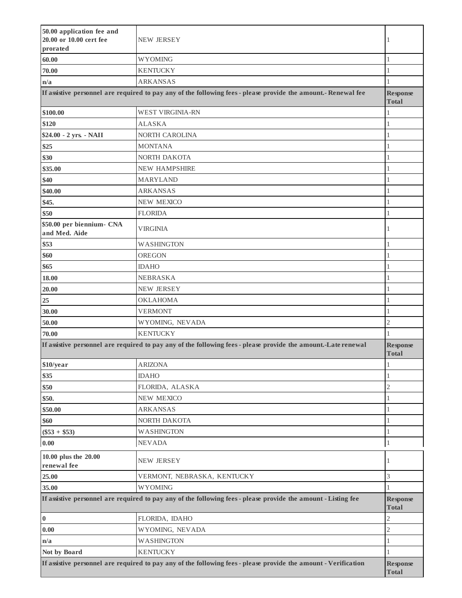| 50.00 application fee and<br>20.00 or 10.00 cert fee<br>prorated | <b>NEW JERSEY</b>                                                                                               | 1                               |
|------------------------------------------------------------------|-----------------------------------------------------------------------------------------------------------------|---------------------------------|
| 60.00                                                            | <b>WYOMING</b>                                                                                                  | 1                               |
| 70.00                                                            | <b>KENTUCKY</b>                                                                                                 | 1                               |
| n/a                                                              | <b>ARKANSAS</b>                                                                                                 | 1                               |
|                                                                  | If assistive personnel are required to pay any of the following fees - please provide the amount. - Renewal fee | <b>Response</b><br><b>Total</b> |
| \$100.00                                                         | <b>WEST VIRGINIA-RN</b>                                                                                         | 1                               |
| \$120                                                            | <b>ALASKA</b>                                                                                                   | 1                               |
| \$24.00 - 2 yrs. - NAII                                          | NORTH CAROLINA                                                                                                  | 1                               |
| \$25                                                             | <b>MONTANA</b>                                                                                                  | 1                               |
| \$30                                                             | NORTH DAKOTA                                                                                                    | 1                               |
| \$35.00                                                          | <b>NEW HAMPSHIRE</b>                                                                                            | 1                               |
| \$40                                                             | <b>MARYLAND</b>                                                                                                 | 1                               |
| \$40.00                                                          | <b>ARKANSAS</b>                                                                                                 | 1                               |
| \$45.                                                            | <b>NEW MEXICO</b>                                                                                               | 1                               |
| \$50                                                             | <b>FLORIDA</b>                                                                                                  | 1                               |
| \$50.00 per biennium- CNA<br>and Med. Aide                       | <b>VIRGINIA</b>                                                                                                 | 1                               |
| \$53                                                             | <b>WASHINGTON</b>                                                                                               | 1                               |
| \$60                                                             | OREGON                                                                                                          | 1                               |
| \$65                                                             | <b>IDAHO</b>                                                                                                    | 1                               |
| 18.00                                                            | NEBRASKA                                                                                                        | 1                               |
| 20.00                                                            | <b>NEW JERSEY</b>                                                                                               | 1                               |
| 25                                                               | <b>OKLAHOMA</b>                                                                                                 | 1                               |
| 30.00                                                            | <b>VERMONT</b>                                                                                                  | 1                               |
| 50.00                                                            | WYOMING, NEVADA                                                                                                 | $\mathbf{2}$                    |
| 70.00                                                            | <b>KENTUCKY</b>                                                                                                 | 1                               |
|                                                                  | If assistive personnel are required to pay any of the following fees - please provide the amount. Late renewal  | <b>Response</b><br><b>Total</b> |
| \$10/year                                                        | <b>ARIZONA</b>                                                                                                  | 1                               |
| \$35                                                             | <b>IDAHO</b>                                                                                                    | 1                               |
| \$50                                                             | FLORIDA, ALASKA                                                                                                 | $\overline{2}$                  |
| \$50.                                                            | <b>NEW MEXICO</b>                                                                                               | 1                               |
| \$50.00                                                          | <b>ARKANSAS</b>                                                                                                 | 1                               |
| \$60                                                             | NORTH DAKOTA                                                                                                    | 1                               |
| $(\$53 + \$53)$                                                  | <b>WASHINGTON</b>                                                                                               | $\mathbf{1}$                    |
| $\boldsymbol{0.00}$                                              | <b>NEVADA</b>                                                                                                   | 1                               |
| 10.00 plus the 20.00<br>renewal fee                              | <b>NEW JERSEY</b>                                                                                               | 1                               |
| 25.00                                                            | VERMONT, NEBRASKA, KENTUCKY                                                                                     | 3                               |
| 35.00                                                            | <b>WYOMING</b>                                                                                                  | 1                               |
|                                                                  | If assistive personnel are required to pay any of the following fees - please provide the amount - Listing fee  | <b>Response</b><br><b>Total</b> |
| $\pmb{0}$                                                        | FLORIDA, IDAHO                                                                                                  | $\overline{2}$                  |
| 0.00                                                             | WYOMING, NEVADA                                                                                                 | $\overline{c}$                  |
| n/a                                                              | <b>WASHINGTON</b>                                                                                               | $\mathbf{1}$                    |
| Not by Board                                                     | <b>KENTUCKY</b>                                                                                                 | 1                               |
|                                                                  | If assistive personnel are required to pay any of the following fees - please provide the amount - Verification | <b>Response</b><br><b>Total</b> |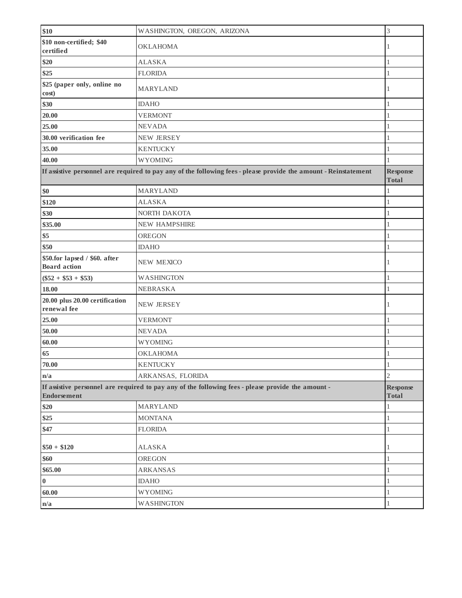| \$10                                                 | WASHINGTON, OREGON, ARIZONA                                                                                      | 3                               |
|------------------------------------------------------|------------------------------------------------------------------------------------------------------------------|---------------------------------|
| \$10 non-certified; \$40<br>certified                | <b>OKLAHOMA</b>                                                                                                  | 1                               |
| \$20                                                 | <b>ALASKA</b>                                                                                                    | 1                               |
| \$25                                                 | <b>FLORIDA</b>                                                                                                   | 1                               |
| \$25 (paper only, online no<br>cost)                 | <b>MARYLAND</b>                                                                                                  | 1                               |
| \$30                                                 | <b>IDAHO</b>                                                                                                     | 1                               |
| 20.00                                                | <b>VERMONT</b>                                                                                                   | 1                               |
| 25.00                                                | <b>NEVADA</b>                                                                                                    | 1                               |
| 30.00 verification fee                               | <b>NEW JERSEY</b>                                                                                                | 1                               |
| 35.00                                                | <b>KENTUCKY</b>                                                                                                  | 1                               |
| 40.00                                                | <b>WYOMING</b>                                                                                                   | 1                               |
|                                                      | If assistive personnel are required to pay any of the following fees - please provide the amount - Reinstatement | <b>Response</b><br><b>Total</b> |
| \$0                                                  | <b>MARYLAND</b>                                                                                                  | 1                               |
| \$120                                                | <b>ALASKA</b>                                                                                                    | 1                               |
| \$30                                                 | NORTH DAKOTA                                                                                                     | 1                               |
| \$35.00                                              | <b>NEW HAMPSHIRE</b>                                                                                             | 1                               |
| \$5                                                  | <b>OREGON</b>                                                                                                    | 1                               |
| \$50                                                 | <b>IDAHO</b>                                                                                                     | $\mathbf{1}$                    |
| \$50.for lapsed / \$60. after<br><b>Board</b> action | <b>NEW MEXICO</b>                                                                                                | 1                               |
| $(\$52 + \$53 + \$53)$                               | <b>WASHINGTON</b>                                                                                                | 1                               |
| 18.00                                                | <b>NEBRASKA</b>                                                                                                  | 1                               |
| 20.00 plus 20.00 certification<br>renewal fee        | <b>NEW JERSEY</b>                                                                                                | 1                               |
| 25.00                                                | <b>VERMONT</b>                                                                                                   | 1                               |
| 50.00                                                | <b>NEVADA</b>                                                                                                    | 1                               |
| 60.00                                                | <b>WYOMING</b>                                                                                                   | 1                               |
| 65                                                   | <b>OKLAHOMA</b>                                                                                                  | 1                               |
| 70.00                                                | <b>KENTUCKY</b>                                                                                                  | $\,1$                           |
| n/a                                                  | ARKANSAS, FLORIDA                                                                                                | $\overline{2}$                  |
| <b>Endorsement</b>                                   | If assistive personnel are required to pay any of the following fees - please provide the amount -               | <b>Response</b><br><b>Total</b> |
| \$20                                                 | <b>MARYLAND</b>                                                                                                  | 1                               |
| \$25                                                 | <b>MONTANA</b>                                                                                                   | 1                               |
| \$47                                                 | <b>FLORIDA</b>                                                                                                   | 1                               |
| $$50 + $120$                                         | <b>ALASKA</b>                                                                                                    | 1                               |
| \$60                                                 | OREGON                                                                                                           | 1                               |
| \$65.00                                              | <b>ARKANSAS</b>                                                                                                  | 1                               |
| $\boldsymbol{0}$                                     | <b>IDAHO</b>                                                                                                     | 1                               |
| 60.00                                                | <b>WYOMING</b>                                                                                                   | 1                               |
| n/a                                                  | <b>WASHINGTON</b>                                                                                                | 1                               |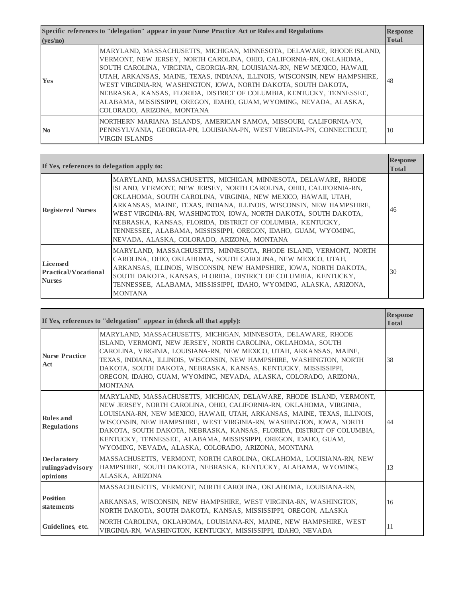**Specific references to "delegation" appear in your Nurse Practice Act or Rules and Regulations (yes/no) Response Total Yes** MARYLAND, MASSACHUSETTS, MICHIGAN, MINNESOTA, DELAWARE, RHODE ISLAND, VERMONT, NEW JERSEY, NORTH CAROLINA, OHIO, CALIFORNIA-RN, OKLAHOMA, SOUTH CAROLINA, VIRGINIA, GEORGIA-RN, LOUISIANA-RN, NEW MEXICO, HAWAII, UTAH, ARKANSAS, MAINE, TEXAS, INDIANA, ILLINOIS, WISCONSIN, NEW HAMPSHIRE, WEST VIRGINIA-RN, WASHINGTON, IOWA, NORTH DAKOTA, SOUTH DAKOTA, NEBRASKA, KANSAS, FLORIDA, DISTRICT OF COLUMBIA, KENTUCKY, TENNESSEE, ALABAMA, MISSISSIPPI, OREGON, IDAHO, GUAM, WYOMING, NEVADA, ALASKA, COLORADO, ARIZONA, MONTANA 48 **No** NORTHERN MARIANA ISLANDS, AMERICAN SAMOA, MISSOURI, CALIFORNIA-VN, PENNSYLVANIA, GEORGIA-PN, LOUISIANA-PN, WEST VIRGINIA-PN, CONNECTICUT, VIRGIN ISLANDS 10

| If Yes, references to delegation apply to:                      |                                                                                                                                                                                                                                                                                                                                                                                                                                                                                                                              | <b>Response</b><br><b>Total</b> |
|-----------------------------------------------------------------|------------------------------------------------------------------------------------------------------------------------------------------------------------------------------------------------------------------------------------------------------------------------------------------------------------------------------------------------------------------------------------------------------------------------------------------------------------------------------------------------------------------------------|---------------------------------|
| <b>Registered Nurses</b>                                        | MARYLAND, MASSACHUSETTS, MICHIGAN, MINNESOTA, DELAWARE, RHODE<br>ISLAND, VERMONT, NEW JERSEY, NORTH CAROLINA, OHIO, CALIFORNIA-RN,<br>OKLAHOMA, SOUTH CAROLINA, VIRGINIA, NEW MEXICO, HAWAII, UTAH,<br>ARKANSAS, MAINE, TEXAS, INDIANA, ILLINOIS, WISCONSIN, NEW HAMPSHIRE,<br>WEST VIRGINIA-RN, WASHINGTON, IOWA, NORTH DAKOTA, SOUTH DAKOTA,<br>NEBRASKA, KANSAS, FLORIDA, DISTRICT OF COLUMBIA, KENTUCKY,<br>TENNESSEE, ALABAMA, MISSISSIPPI, OREGON, IDAHO, GUAM, WYOMING,<br>NEVADA, ALASKA, COLORADO, ARIZONA, MONTANA | 46                              |
| <b>Licensed</b><br><b>Practical/Vocational</b><br><b>Nurses</b> | MARYLAND, MASSACHUSETTS, MINNESOTA, RHODE ISLAND, VERMONT, NORTH<br>CAROLINA, OHIO, OKLAHOMA, SOUTH CAROLINA, NEW MEXICO, UTAH,<br>ARKANSAS, ILLINOIS, WISCONSIN, NEW HAMPSHIRE, IOWA, NORTH DAKOTA,<br>SOUTH DAKOTA, KANSAS, FLORIDA, DISTRICT OF COLUMBIA, KENTUCKY,<br>TENNESSEE, ALABAMA, MISSISSIPPI, IDAHO, WYOMING, ALASKA, ARIZONA,<br><b>MONTANA</b>                                                                                                                                                                | 30                              |

| If Yes, references to "delegation" appear in (check all that apply): |                                                                                                                                                                                                                                                                                                                                                                                                                                                                                                     | <b>Response</b><br><b>Total</b> |
|----------------------------------------------------------------------|-----------------------------------------------------------------------------------------------------------------------------------------------------------------------------------------------------------------------------------------------------------------------------------------------------------------------------------------------------------------------------------------------------------------------------------------------------------------------------------------------------|---------------------------------|
| <b>Nurse Practice</b><br>Act                                         | MARYLAND, MASSACHUSETTS, MICHIGAN, MINNESOTA, DELAWARE, RHODE<br>ISLAND, VERMONT, NEW JERSEY, NORTH CAROLINA, OKLAHOMA, SOUTH<br>CAROLINA, VIRGINIA, LOUISIANA-RN, NEW MEXICO, UTAH, ARKANSAS, MAINE,<br>TEXAS, INDIANA, ILLINOIS, WISCONSIN, NEW HAMPSHIRE, WASHINGTON, NORTH<br>DAKOTA, SOUTH DAKOTA, NEBRASKA, KANSAS, KENTUCKY, MISSISSIPPI,<br>OREGON, IDAHO, GUAM, WYOMING, NEVADA, ALASKA, COLORADO, ARIZONA,<br><b>MONTANA</b>                                                              | 38                              |
| <b>Rules and</b><br><b>Regulations</b>                               | MARYLAND, MASSACHUSETTS, MICHIGAN, DELAWARE, RHODE ISLAND, VERMONT,<br>NEW JERSEY, NORTH CAROLINA, OHIO, CALIFORNIA-RN, OKLAHOMA, VIRGINIA,<br>LOUISIANA-RN, NEW MEXICO, HAWAII, UTAH, ARKANSAS, MAINE, TEXAS, ILLINOIS,<br>WISCONSIN, NEW HAMPSHIRE, WEST VIRGINIA-RN, WASHINGTON, IOWA, NORTH<br>DAKOTA, SOUTH DAKOTA, NEBRASKA, KANSAS, FLORIDA, DISTRICT OF COLUMBIA,<br>KENTUCKY, TENNESSEE, ALABAMA, MISSISSIPPI, OREGON, IDAHO, GUAM,<br>WYOMING, NEVADA, ALASKA, COLORADO, ARIZONA, MONTANA | 44                              |
| <b>Declaratory</b><br>rulings/advisory<br>opinions                   | MASSACHUSETTS, VERMONT, NORTH CAROLINA, OKLAHOMA, LOUISIANA-RN, NEW<br>HAMPSHIRE, SOUTH DAKOTA, NEBRASKA, KENTUCKY, ALABAMA, WYOMING,<br>ALASKA, ARIZONA                                                                                                                                                                                                                                                                                                                                            | 13                              |
| <b>Position</b><br>statements                                        | MASSACHUSETTS, VERMONT, NORTH CAROLINA, OKLAHOMA, LOUISIANA-RN,<br>ARKANSAS, WISCONSIN, NEW HAMPSHIRE, WEST VIRGINIA-RN, WASHINGTON,<br>NORTH DAKOTA, SOUTH DAKOTA, KANSAS, MISSISSIPPI, OREGON, ALASKA                                                                                                                                                                                                                                                                                             | 16                              |
| Guidelines, etc.                                                     | NORTH CAROLINA, OKLAHOMA, LOUISIANA-RN, MAINE, NEW HAMPSHIRE, WEST<br>VIRGINIA-RN, WASHINGTON, KENTUCKY, MISSISSIPPI, IDAHO, NEVADA                                                                                                                                                                                                                                                                                                                                                                 | 11                              |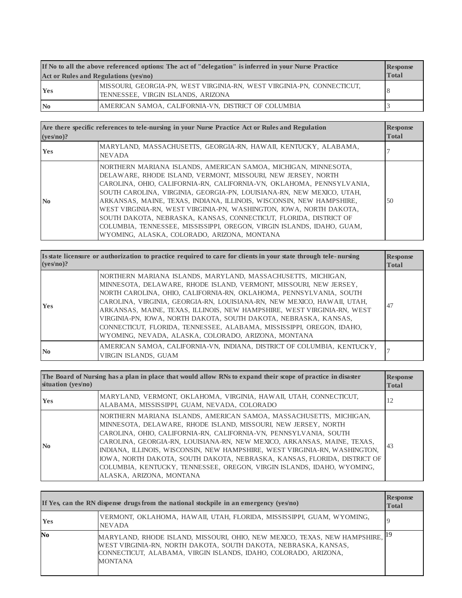| If No to all the above referenced options: The act of "delegation" is inferred in your Nurse Practice |                                                                                                              | <b>Response</b> |
|-------------------------------------------------------------------------------------------------------|--------------------------------------------------------------------------------------------------------------|-----------------|
| Act or Rules and Regulations (yes/no)                                                                 |                                                                                                              | <b>Total</b>    |
| <b>Yes</b>                                                                                            | MISSOURI, GEORGIA-PN, WEST VIRGINIA-RN, WEST VIRGINIA-PN, CONNECTICUT,<br>TENNESSEE, VIRGIN ISLANDS, ARIZONA |                 |
| $\mathbf{N_0}$                                                                                        | AMERICAN SAMOA, CALIFORNIA-VN, DISTRICT OF COLUMBIA                                                          |                 |

| Are there specific references to tele-nursing in your Nurse Practice Act or Rules and Regulation<br>$(ves/no)$ ? |                                                                                                                                                                                                                                                                                                                                                                                                                                                                                                                                                                                                                               | <b>Response</b><br><b>Total</b> |
|------------------------------------------------------------------------------------------------------------------|-------------------------------------------------------------------------------------------------------------------------------------------------------------------------------------------------------------------------------------------------------------------------------------------------------------------------------------------------------------------------------------------------------------------------------------------------------------------------------------------------------------------------------------------------------------------------------------------------------------------------------|---------------------------------|
| <b>Yes</b>                                                                                                       | MARYLAND, MASSACHUSETTS, GEORGIA-RN, HAWAII, KENTUCKY, ALABAMA,<br><b>NEVADA</b>                                                                                                                                                                                                                                                                                                                                                                                                                                                                                                                                              |                                 |
| N <sub>0</sub>                                                                                                   | NORTHERN MARIANA ISLANDS, AMERICAN SAMOA, MICHIGAN, MINNESOTA,<br>DELAWARE, RHODE ISLAND, VERMONT, MISSOURI, NEW JERSEY, NORTH<br>CAROLINA. OHIO. CALIFORNIA-RN. CALIFORNIA-VN. OKLAHOMA. PENNSYLVANIA.<br>SOUTH CAROLINA, VIRGINIA, GEORGIA-PN, LOUISIANA-RN, NEW MEXICO, UTAH,<br>ARKANSAS, MAINE, TEXAS, INDIANA, ILLINOIS, WISCONSIN, NEW HAMPSHIRE,<br>WEST VIRGINIA-RN, WEST VIRGINIA-PN, WASHINGTON, IOWA, NORTH DAKOTA,<br>SOUTH DAKOTA, NEBRASKA, KANSAS, CONNECTICUT, FLORIDA, DISTRICT OF<br>COLUMBIA, TENNESSEE, MISSISSIPPI, OREGON, VIRGIN ISLANDS, IDAHO, GUAM,<br>WYOMING, ALASKA, COLORADO, ARIZONA, MONTANA | .50                             |

| Is state licensure or authorization to practice required to care for clients in your state through tele-nursing<br>(yes/no)? |                                                                                                                                                                                                                                                                                                                                                                                                                                                                                                                                                                   | <b>Response</b><br><b>Total</b> |
|------------------------------------------------------------------------------------------------------------------------------|-------------------------------------------------------------------------------------------------------------------------------------------------------------------------------------------------------------------------------------------------------------------------------------------------------------------------------------------------------------------------------------------------------------------------------------------------------------------------------------------------------------------------------------------------------------------|---------------------------------|
| <b>Yes</b>                                                                                                                   | NORTHERN MARIANA ISLANDS, MARYLAND, MASSACHUSETTS, MICHIGAN,<br>MINNESOTA, DELAWARE, RHODE ISLAND, VERMONT, MISSOURI, NEW JERSEY,<br>NORTH CAROLINA, OHIO, CALIFORNIA-RN, OKLAHOMA, PENNSYLVANIA, SOUTH<br>CAROLINA, VIRGINIA, GEORGIA-RN, LOUISIANA-RN, NEW MEXICO, HAWAII, UTAH,<br>ARKANSAS, MAINE, TEXAS, ILLINOIS, NEW HAMPSHIRE, WEST VIRGINIA-RN, WEST<br>VIRGINIA-PN, IOWA, NORTH DAKOTA, SOUTH DAKOTA, NEBRASKA, KANSAS,<br>CONNECTICUT, FLORIDA, TENNESSEE, ALABAMA, MISSISSIPPI, OREGON, IDAHO,<br>WYOMING, NEVADA, ALASKA, COLORADO, ARIZONA, MONTANA | 47                              |
| N <sub>0</sub>                                                                                                               | AMERICAN SAMOA, CALIFORNIA-VN, INDIANA, DISTRICT OF COLUMBIA, KENTUCKY,<br>VIRGIN ISLANDS, GUAM                                                                                                                                                                                                                                                                                                                                                                                                                                                                   |                                 |

| The Board of Nursing has a plan in place that would allow RNs to expand their scope of practice in disaster<br>situation (yes/no) |                                                                                                                                                                                                                                                                                                                                                                                                                                                                                                                                                      | <b>Response</b><br><b>Total</b> |
|-----------------------------------------------------------------------------------------------------------------------------------|------------------------------------------------------------------------------------------------------------------------------------------------------------------------------------------------------------------------------------------------------------------------------------------------------------------------------------------------------------------------------------------------------------------------------------------------------------------------------------------------------------------------------------------------------|---------------------------------|
| <b>Yes</b>                                                                                                                        | MARYLAND, VERMONT, OKLAHOMA, VIRGINIA, HAWAII, UTAH, CONNECTICUT,<br>ALABAMA, MISSISSIPPI, GUAM, NEVADA, COLORADO                                                                                                                                                                                                                                                                                                                                                                                                                                    | 12                              |
| $\mathbf{N}\mathbf{0}$                                                                                                            | NORTHERN MARIANA ISLANDS, AMERICAN SAMOA, MASSACHUSETTS, MICHIGAN,<br>MINNESOTA, DELAWARE, RHODE ISLAND, MISSOURI, NEW JERSEY, NORTH<br>CAROLINA, OHIO, CALIFORNIA-RN, CALIFORNIA-VN, PENNSYLVANIA, SOUTH<br>CAROLINA, GEORGIA-RN, LOUISIANA-RN, NEW MEXICO, ARKANSAS, MAINE, TEXAS,<br>INDIANA, ILLINOIS, WISCONSIN, NEW HAMPSHIRE, WEST VIRGINIA-RN, WASHINGTON,<br>IOWA, NORTH DAKOTA, SOUTH DAKOTA, NEBRASKA, KANSAS, FLORIDA, DISTRICT OF<br>COLUMBIA, KENTUCKY, TENNESSEE, OREGON, VIRGIN ISLANDS, IDAHO, WYOMING,<br>ALASKA, ARIZONA, MONTANA | 43                              |

|            | If Yes, can the RN dispense drugs from the national stockpile in an emergency ( $vesno$ )                                                                                                                                         | <b>Response</b><br><b>Total</b> |
|------------|-----------------------------------------------------------------------------------------------------------------------------------------------------------------------------------------------------------------------------------|---------------------------------|
| <b>Yes</b> | VERMONT, OKLAHOMA, HAWAII, UTAH, FLORIDA, MISSISSIPPI, GUAM, WYOMING,<br><b>NEVADA</b>                                                                                                                                            |                                 |
| No         | MARYLAND, RHODE ISLAND, MISSOURI, OHIO, NEW MEXICO, TEXAS, NEW HAMPSHIRE,<br>WEST VIRGINIA-RN, NORTH DAKOTA, SOUTH DAKOTA, NEBRASKA, KANSAS,<br>CONNECTICUT, ALABAMA, VIRGIN ISLANDS, IDAHO, COLORADO, ARIZONA,<br><b>MONTANA</b> | 19                              |